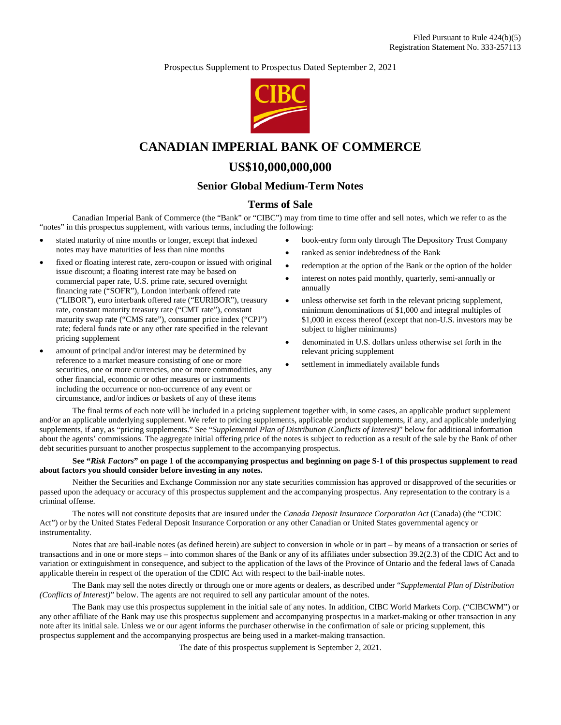Prospectus Supplement to Prospectus Dated September 2, 2021



# **CANADIAN IMPERIAL BANK OF COMMERCE**

# **US\$10,000,000,000**

# **Senior Global Medium-Term Notes**

# **Terms of Sale**

Canadian Imperial Bank of Commerce (the "Bank" or "CIBC") may from time to time offer and sell notes, which we refer to as the "notes" in this prospectus supplement, with various terms, including the following:

- stated maturity of nine months or longer, except that indexed notes may have maturities of less than nine months
- fixed or floating interest rate, zero-coupon or issued with original issue discount; a floating interest rate may be based on commercial paper rate, U.S. prime rate, secured overnight financing rate ("SOFR"), London interbank offered rate ("LIBOR"), euro interbank offered rate ("EURIBOR"), treasury rate, constant maturity treasury rate ("CMT rate"), constant maturity swap rate ("CMS rate"), consumer price index ("CPI") rate; federal funds rate or any other rate specified in the relevant pricing supplement
- amount of principal and/or interest may be determined by reference to a market measure consisting of one or more securities, one or more currencies, one or more commodities, any other financial, economic or other measures or instruments including the occurrence or non-occurrence of any event or circumstance, and/or indices or baskets of any of these items
- book-entry form only through The Depository Trust Company
- 
- ranked as senior indebtedness of the Bank
- redemption at the option of the Bank or the option of the holder
- interest on notes paid monthly, quarterly, semi-annually or annually
- unless otherwise set forth in the relevant pricing supplement, minimum denominations of \$1,000 and integral multiples of \$1,000 in excess thereof (except that non-U.S. investors may be subject to higher minimums)
- denominated in U.S. dollars unless otherwise set forth in the relevant pricing supplement
- settlement in immediately available funds

The final terms of each note will be included in a pricing supplement together with, in some cases, an applicable product supplement and/or an applicable underlying supplement. We refer to pricing supplements, applicable product supplements, if any, and applicable underlying supplements, if any, as "pricing supplements." See "*Supplemental Plan of Distribution (Conflicts of Interest)*" below for additional information about the agents' commissions. The aggregate initial offering price of the notes is subject to reduction as a result of the sale by the Bank of other debt securities pursuant to another prospectus supplement to the accompanying prospectus.

#### **See "***Risk Factors***" on page 1 of the accompanying prospectus and beginning on page S-1 of this prospectus supplement to read about factors you should consider before investing in any notes.**

Neither the Securities and Exchange Commission nor any state securities commission has approved or disapproved of the securities or passed upon the adequacy or accuracy of this prospectus supplement and the accompanying prospectus. Any representation to the contrary is a criminal offense.

The notes will not constitute deposits that are insured under the *Canada Deposit Insurance Corporation Act* (Canada) (the "CDIC Act") or by the United States Federal Deposit Insurance Corporation or any other Canadian or United States governmental agency or instrumentality.

Notes that are bail-inable notes (as defined herein) are subject to conversion in whole or in part – by means of a transaction or series of transactions and in one or more steps – into common shares of the Bank or any of its affiliates under subsection 39.2(2.3) of the CDIC Act and to variation or extinguishment in consequence, and subject to the application of the laws of the Province of Ontario and the federal laws of Canada applicable therein in respect of the operation of the CDIC Act with respect to the bail-inable notes.

The Bank may sell the notes directly or through one or more agents or dealers, as described under "*Supplemental Plan of Distribution (Conflicts of Interest)*" below. The agents are not required to sell any particular amount of the notes.

The Bank may use this prospectus supplement in the initial sale of any notes. In addition, CIBC World Markets Corp. ("CIBCWM") or any other affiliate of the Bank may use this prospectus supplement and accompanying prospectus in a market-making or other transaction in any note after its initial sale. Unless we or our agent informs the purchaser otherwise in the confirmation of sale or pricing supplement, this prospectus supplement and the accompanying prospectus are being used in a market-making transaction.

The date of this prospectus supplement is September 2, 2021.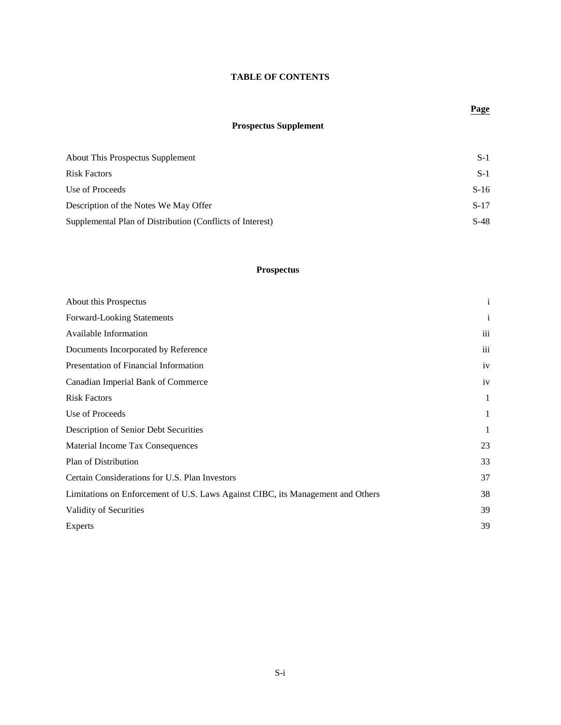# **TABLE OF CONTENTS**

# **Page**

# **Prospectus Supplement**

| About This Prospectus Supplement                          | $S-1$  |
|-----------------------------------------------------------|--------|
| Risk Factors                                              | $S-1$  |
| Use of Proceeds                                           | $S-16$ |
| Description of the Notes We May Offer                     | $S-17$ |
| Supplemental Plan of Distribution (Conflicts of Interest) | $S-48$ |

# **Prospectus**

| About this Prospectus                                                           | $\mathbf{i}$            |
|---------------------------------------------------------------------------------|-------------------------|
| Forward-Looking Statements                                                      | $\mathbf{i}$            |
| Available Information                                                           | $\overline{\text{iii}}$ |
| Documents Incorporated by Reference                                             | iii                     |
| Presentation of Financial Information                                           | iv                      |
| Canadian Imperial Bank of Commerce                                              | iv                      |
| <b>Risk Factors</b>                                                             | 1                       |
| Use of Proceeds                                                                 | 1                       |
| Description of Senior Debt Securities                                           | 1                       |
| Material Income Tax Consequences                                                | 23                      |
| Plan of Distribution                                                            | 33                      |
| Certain Considerations for U.S. Plan Investors                                  | 37                      |
| Limitations on Enforcement of U.S. Laws Against CIBC, its Management and Others | 38                      |
| Validity of Securities                                                          | 39                      |
| Experts                                                                         | 39                      |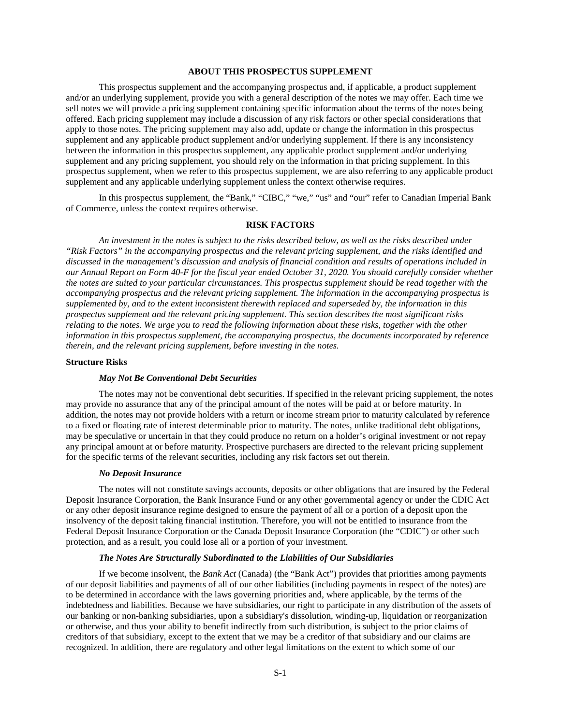#### **ABOUT THIS PROSPECTUS SUPPLEMENT**

This prospectus supplement and the accompanying prospectus and, if applicable, a product supplement and/or an underlying supplement, provide you with a general description of the notes we may offer. Each time we sell notes we will provide a pricing supplement containing specific information about the terms of the notes being offered. Each pricing supplement may include a discussion of any risk factors or other special considerations that apply to those notes. The pricing supplement may also add, update or change the information in this prospectus supplement and any applicable product supplement and/or underlying supplement. If there is any inconsistency between the information in this prospectus supplement, any applicable product supplement and/or underlying supplement and any pricing supplement, you should rely on the information in that pricing supplement. In this prospectus supplement, when we refer to this prospectus supplement, we are also referring to any applicable product supplement and any applicable underlying supplement unless the context otherwise requires.

In this prospectus supplement, the "Bank," "CIBC," "we," "us" and "our" refer to Canadian Imperial Bank of Commerce, unless the context requires otherwise.

#### **RISK FACTORS**

*An investment in the notes is subject to the risks described below, as well as the risks described under "Risk Factors" in the accompanying prospectus and the relevant pricing supplement, and the risks identified and discussed in the management's discussion and analysis of financial condition and results of operations included in our Annual Report on Form 40-F for the fiscal year ended October 31, 2020. You should carefully consider whether the notes are suited to your particular circumstances. This prospectus supplement should be read together with the accompanying prospectus and the relevant pricing supplement. The information in the accompanying prospectus is supplemented by, and to the extent inconsistent therewith replaced and superseded by, the information in this prospectus supplement and the relevant pricing supplement. This section describes the most significant risks relating to the notes. We urge you to read the following information about these risks, together with the other information in this prospectus supplement, the accompanying prospectus, the documents incorporated by reference therein, and the relevant pricing supplement, before investing in the notes.*

# **Structure Risks**

#### *May Not Be Conventional Debt Securities*

The notes may not be conventional debt securities. If specified in the relevant pricing supplement, the notes may provide no assurance that any of the principal amount of the notes will be paid at or before maturity. In addition, the notes may not provide holders with a return or income stream prior to maturity calculated by reference to a fixed or floating rate of interest determinable prior to maturity. The notes, unlike traditional debt obligations, may be speculative or uncertain in that they could produce no return on a holder's original investment or not repay any principal amount at or before maturity. Prospective purchasers are directed to the relevant pricing supplement for the specific terms of the relevant securities, including any risk factors set out therein.

#### *No Deposit Insurance*

The notes will not constitute savings accounts, deposits or other obligations that are insured by the Federal Deposit Insurance Corporation, the Bank Insurance Fund or any other governmental agency or under the CDIC Act or any other deposit insurance regime designed to ensure the payment of all or a portion of a deposit upon the insolvency of the deposit taking financial institution. Therefore, you will not be entitled to insurance from the Federal Deposit Insurance Corporation or the Canada Deposit Insurance Corporation (the "CDIC") or other such protection, and as a result, you could lose all or a portion of your investment.

# *The Notes Are Structurally Subordinated to the Liabilities of Our Subsidiaries*

If we become insolvent, the *Bank Act* (Canada) (the "Bank Act") provides that priorities among payments of our deposit liabilities and payments of all of our other liabilities (including payments in respect of the notes) are to be determined in accordance with the laws governing priorities and, where applicable, by the terms of the indebtedness and liabilities. Because we have subsidiaries, our right to participate in any distribution of the assets of our banking or non-banking subsidiaries, upon a subsidiary's dissolution, winding-up, liquidation or reorganization or otherwise, and thus your ability to benefit indirectly from such distribution, is subject to the prior claims of creditors of that subsidiary, except to the extent that we may be a creditor of that subsidiary and our claims are recognized. In addition, there are regulatory and other legal limitations on the extent to which some of our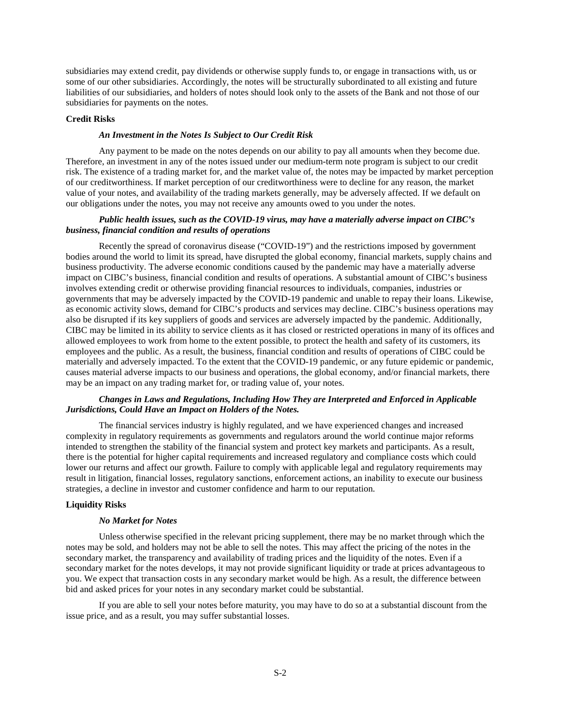subsidiaries may extend credit, pay dividends or otherwise supply funds to, or engage in transactions with, us or some of our other subsidiaries. Accordingly, the notes will be structurally subordinated to all existing and future liabilities of our subsidiaries, and holders of notes should look only to the assets of the Bank and not those of our subsidiaries for payments on the notes.

#### **Credit Risks**

#### *An Investment in the Notes Is Subject to Our Credit Risk*

Any payment to be made on the notes depends on our ability to pay all amounts when they become due. Therefore, an investment in any of the notes issued under our medium-term note program is subject to our credit risk. The existence of a trading market for, and the market value of, the notes may be impacted by market perception of our creditworthiness. If market perception of our creditworthiness were to decline for any reason, the market value of your notes, and availability of the trading markets generally, may be adversely affected. If we default on our obligations under the notes, you may not receive any amounts owed to you under the notes.

## *Public health issues, such as the COVID-19 virus, may have a materially adverse impact on CIBC's business, financial condition and results of operations*

Recently the spread of coronavirus disease ("COVID-19") and the restrictions imposed by government bodies around the world to limit its spread, have disrupted the global economy, financial markets, supply chains and business productivity. The adverse economic conditions caused by the pandemic may have a materially adverse impact on CIBC's business, financial condition and results of operations. A substantial amount of CIBC's business involves extending credit or otherwise providing financial resources to individuals, companies, industries or governments that may be adversely impacted by the COVID-19 pandemic and unable to repay their loans. Likewise, as economic activity slows, demand for CIBC's products and services may decline. CIBC's business operations may also be disrupted if its key suppliers of goods and services are adversely impacted by the pandemic. Additionally, CIBC may be limited in its ability to service clients as it has closed or restricted operations in many of its offices and allowed employees to work from home to the extent possible, to protect the health and safety of its customers, its employees and the public. As a result, the business, financial condition and results of operations of CIBC could be materially and adversely impacted. To the extent that the COVID-19 pandemic, or any future epidemic or pandemic, causes material adverse impacts to our business and operations, the global economy, and/or financial markets, there may be an impact on any trading market for, or trading value of, your notes.

# *Changes in Laws and Regulations, Including How They are Interpreted and Enforced in Applicable Jurisdictions, Could Have an Impact on Holders of the Notes.*

The financial services industry is highly regulated, and we have experienced changes and increased complexity in regulatory requirements as governments and regulators around the world continue major reforms intended to strengthen the stability of the financial system and protect key markets and participants. As a result, there is the potential for higher capital requirements and increased regulatory and compliance costs which could lower our returns and affect our growth. Failure to comply with applicable legal and regulatory requirements may result in litigation, financial losses, regulatory sanctions, enforcement actions, an inability to execute our business strategies, a decline in investor and customer confidence and harm to our reputation.

#### **Liquidity Risks**

#### *No Market for Notes*

Unless otherwise specified in the relevant pricing supplement, there may be no market through which the notes may be sold, and holders may not be able to sell the notes. This may affect the pricing of the notes in the secondary market, the transparency and availability of trading prices and the liquidity of the notes. Even if a secondary market for the notes develops, it may not provide significant liquidity or trade at prices advantageous to you. We expect that transaction costs in any secondary market would be high. As a result, the difference between bid and asked prices for your notes in any secondary market could be substantial.

If you are able to sell your notes before maturity, you may have to do so at a substantial discount from the issue price, and as a result, you may suffer substantial losses.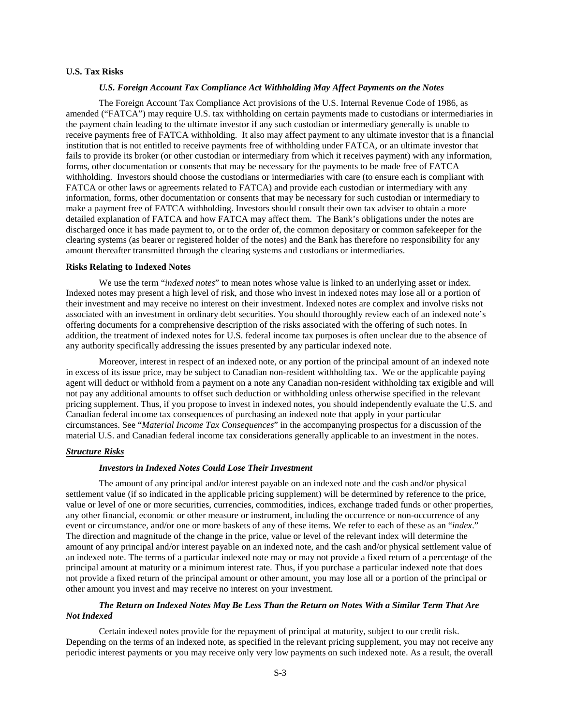# **U.S. Tax Risks**

# *U.S. Foreign Account Tax Compliance Act Withholding May Affect Payments on the Notes*

The Foreign Account Tax Compliance Act provisions of the U.S. Internal Revenue Code of 1986, as amended ("FATCA") may require U.S. tax withholding on certain payments made to custodians or intermediaries in the payment chain leading to the ultimate investor if any such custodian or intermediary generally is unable to receive payments free of FATCA withholding. It also may affect payment to any ultimate investor that is a financial institution that is not entitled to receive payments free of withholding under FATCA, or an ultimate investor that fails to provide its broker (or other custodian or intermediary from which it receives payment) with any information, forms, other documentation or consents that may be necessary for the payments to be made free of FATCA withholding. Investors should choose the custodians or intermediaries with care (to ensure each is compliant with FATCA or other laws or agreements related to FATCA) and provide each custodian or intermediary with any information, forms, other documentation or consents that may be necessary for such custodian or intermediary to make a payment free of FATCA withholding. Investors should consult their own tax adviser to obtain a more detailed explanation of FATCA and how FATCA may affect them. The Bank's obligations under the notes are discharged once it has made payment to, or to the order of, the common depositary or common safekeeper for the clearing systems (as bearer or registered holder of the notes) and the Bank has therefore no responsibility for any amount thereafter transmitted through the clearing systems and custodians or intermediaries.

#### **Risks Relating to Indexed Notes**

We use the term "*indexed notes*" to mean notes whose value is linked to an underlying asset or index. Indexed notes may present a high level of risk, and those who invest in indexed notes may lose all or a portion of their investment and may receive no interest on their investment. Indexed notes are complex and involve risks not associated with an investment in ordinary debt securities. You should thoroughly review each of an indexed note's offering documents for a comprehensive description of the risks associated with the offering of such notes. In addition, the treatment of indexed notes for U.S. federal income tax purposes is often unclear due to the absence of any authority specifically addressing the issues presented by any particular indexed note.

Moreover, interest in respect of an indexed note, or any portion of the principal amount of an indexed note in excess of its issue price, may be subject to Canadian non-resident withholding tax. We or the applicable paying agent will deduct or withhold from a payment on a note any Canadian non-resident withholding tax exigible and will not pay any additional amounts to offset such deduction or withholding unless otherwise specified in the relevant pricing supplement. Thus, if you propose to invest in indexed notes, you should independently evaluate the U.S. and Canadian federal income tax consequences of purchasing an indexed note that apply in your particular circumstances. See "*Material Income Tax Consequences*" in the accompanying prospectus for a discussion of the material U.S. and Canadian federal income tax considerations generally applicable to an investment in the notes.

#### *Structure Risks*

# *Investors in Indexed Notes Could Lose Their Investment*

The amount of any principal and/or interest payable on an indexed note and the cash and/or physical settlement value (if so indicated in the applicable pricing supplement) will be determined by reference to the price, value or level of one or more securities, currencies, commodities, indices, exchange traded funds or other properties, any other financial, economic or other measure or instrument, including the occurrence or non-occurrence of any event or circumstance, and/or one or more baskets of any of these items. We refer to each of these as an "*index*." The direction and magnitude of the change in the price, value or level of the relevant index will determine the amount of any principal and/or interest payable on an indexed note, and the cash and/or physical settlement value of an indexed note. The terms of a particular indexed note may or may not provide a fixed return of a percentage of the principal amount at maturity or a minimum interest rate. Thus, if you purchase a particular indexed note that does not provide a fixed return of the principal amount or other amount, you may lose all or a portion of the principal or other amount you invest and may receive no interest on your investment.

# *The Return on Indexed Notes May Be Less Than the Return on Notes With a Similar Term That Are Not Indexed*

Certain indexed notes provide for the repayment of principal at maturity, subject to our credit risk. Depending on the terms of an indexed note, as specified in the relevant pricing supplement, you may not receive any periodic interest payments or you may receive only very low payments on such indexed note. As a result, the overall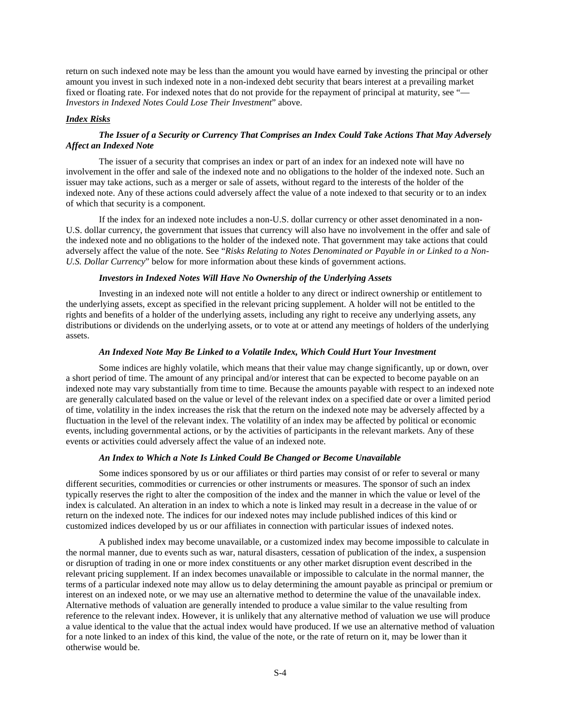return on such indexed note may be less than the amount you would have earned by investing the principal or other amount you invest in such indexed note in a non-indexed debt security that bears interest at a prevailing market fixed or floating rate. For indexed notes that do not provide for the repayment of principal at maturity, see "— *Investors in Indexed Notes Could Lose Their Investment*" above.

#### *Index Risks*

# *The Issuer of a Security or Currency That Comprises an Index Could Take Actions That May Adversely Affect an Indexed Note*

The issuer of a security that comprises an index or part of an index for an indexed note will have no involvement in the offer and sale of the indexed note and no obligations to the holder of the indexed note. Such an issuer may take actions, such as a merger or sale of assets, without regard to the interests of the holder of the indexed note. Any of these actions could adversely affect the value of a note indexed to that security or to an index of which that security is a component.

If the index for an indexed note includes a non-U.S. dollar currency or other asset denominated in a non-U.S. dollar currency, the government that issues that currency will also have no involvement in the offer and sale of the indexed note and no obligations to the holder of the indexed note. That government may take actions that could adversely affect the value of the note. See "*Risks Relating to Notes Denominated or Payable in or Linked to a Non-U.S. Dollar Currency*" below for more information about these kinds of government actions.

# *Investors in Indexed Notes Will Have No Ownership of the Underlying Assets*

Investing in an indexed note will not entitle a holder to any direct or indirect ownership or entitlement to the underlying assets, except as specified in the relevant pricing supplement. A holder will not be entitled to the rights and benefits of a holder of the underlying assets, including any right to receive any underlying assets, any distributions or dividends on the underlying assets, or to vote at or attend any meetings of holders of the underlying assets.

#### *An Indexed Note May Be Linked to a Volatile Index, Which Could Hurt Your Investment*

Some indices are highly volatile, which means that their value may change significantly, up or down, over a short period of time. The amount of any principal and/or interest that can be expected to become payable on an indexed note may vary substantially from time to time. Because the amounts payable with respect to an indexed note are generally calculated based on the value or level of the relevant index on a specified date or over a limited period of time, volatility in the index increases the risk that the return on the indexed note may be adversely affected by a fluctuation in the level of the relevant index. The volatility of an index may be affected by political or economic events, including governmental actions, or by the activities of participants in the relevant markets. Any of these events or activities could adversely affect the value of an indexed note.

#### *An Index to Which a Note Is Linked Could Be Changed or Become Unavailable*

Some indices sponsored by us or our affiliates or third parties may consist of or refer to several or many different securities, commodities or currencies or other instruments or measures. The sponsor of such an index typically reserves the right to alter the composition of the index and the manner in which the value or level of the index is calculated. An alteration in an index to which a note is linked may result in a decrease in the value of or return on the indexed note. The indices for our indexed notes may include published indices of this kind or customized indices developed by us or our affiliates in connection with particular issues of indexed notes.

A published index may become unavailable, or a customized index may become impossible to calculate in the normal manner, due to events such as war, natural disasters, cessation of publication of the index, a suspension or disruption of trading in one or more index constituents or any other market disruption event described in the relevant pricing supplement. If an index becomes unavailable or impossible to calculate in the normal manner, the terms of a particular indexed note may allow us to delay determining the amount payable as principal or premium or interest on an indexed note, or we may use an alternative method to determine the value of the unavailable index. Alternative methods of valuation are generally intended to produce a value similar to the value resulting from reference to the relevant index. However, it is unlikely that any alternative method of valuation we use will produce a value identical to the value that the actual index would have produced. If we use an alternative method of valuation for a note linked to an index of this kind, the value of the note, or the rate of return on it, may be lower than it otherwise would be.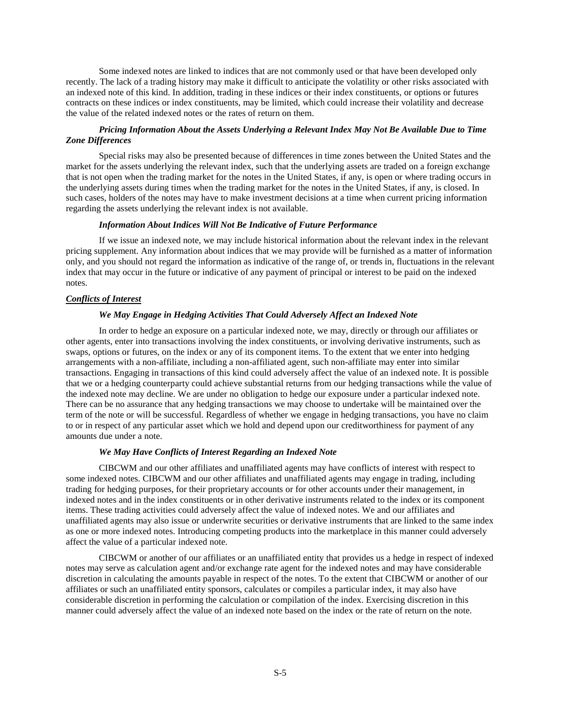Some indexed notes are linked to indices that are not commonly used or that have been developed only recently. The lack of a trading history may make it difficult to anticipate the volatility or other risks associated with an indexed note of this kind. In addition, trading in these indices or their index constituents, or options or futures contracts on these indices or index constituents, may be limited, which could increase their volatility and decrease the value of the related indexed notes or the rates of return on them.

# *Pricing Information About the Assets Underlying a Relevant Index May Not Be Available Due to Time Zone Differences*

Special risks may also be presented because of differences in time zones between the United States and the market for the assets underlying the relevant index, such that the underlying assets are traded on a foreign exchange that is not open when the trading market for the notes in the United States, if any, is open or where trading occurs in the underlying assets during times when the trading market for the notes in the United States, if any, is closed. In such cases, holders of the notes may have to make investment decisions at a time when current pricing information regarding the assets underlying the relevant index is not available.

#### *Information About Indices Will Not Be Indicative of Future Performance*

If we issue an indexed note, we may include historical information about the relevant index in the relevant pricing supplement. Any information about indices that we may provide will be furnished as a matter of information only, and you should not regard the information as indicative of the range of, or trends in, fluctuations in the relevant index that may occur in the future or indicative of any payment of principal or interest to be paid on the indexed notes.

#### *Conflicts of Interest*

#### *We May Engage in Hedging Activities That Could Adversely Affect an Indexed Note*

In order to hedge an exposure on a particular indexed note, we may, directly or through our affiliates or other agents, enter into transactions involving the index constituents, or involving derivative instruments, such as swaps, options or futures, on the index or any of its component items. To the extent that we enter into hedging arrangements with a non-affiliate, including a non-affiliated agent, such non-affiliate may enter into similar transactions. Engaging in transactions of this kind could adversely affect the value of an indexed note. It is possible that we or a hedging counterparty could achieve substantial returns from our hedging transactions while the value of the indexed note may decline. We are under no obligation to hedge our exposure under a particular indexed note. There can be no assurance that any hedging transactions we may choose to undertake will be maintained over the term of the note or will be successful. Regardless of whether we engage in hedging transactions, you have no claim to or in respect of any particular asset which we hold and depend upon our creditworthiness for payment of any amounts due under a note.

## *We May Have Conflicts of Interest Regarding an Indexed Note*

CIBCWM and our other affiliates and unaffiliated agents may have conflicts of interest with respect to some indexed notes. CIBCWM and our other affiliates and unaffiliated agents may engage in trading, including trading for hedging purposes, for their proprietary accounts or for other accounts under their management, in indexed notes and in the index constituents or in other derivative instruments related to the index or its component items. These trading activities could adversely affect the value of indexed notes. We and our affiliates and unaffiliated agents may also issue or underwrite securities or derivative instruments that are linked to the same index as one or more indexed notes. Introducing competing products into the marketplace in this manner could adversely affect the value of a particular indexed note.

CIBCWM or another of our affiliates or an unaffiliated entity that provides us a hedge in respect of indexed notes may serve as calculation agent and/or exchange rate agent for the indexed notes and may have considerable discretion in calculating the amounts payable in respect of the notes. To the extent that CIBCWM or another of our affiliates or such an unaffiliated entity sponsors, calculates or compiles a particular index, it may also have considerable discretion in performing the calculation or compilation of the index. Exercising discretion in this manner could adversely affect the value of an indexed note based on the index or the rate of return on the note.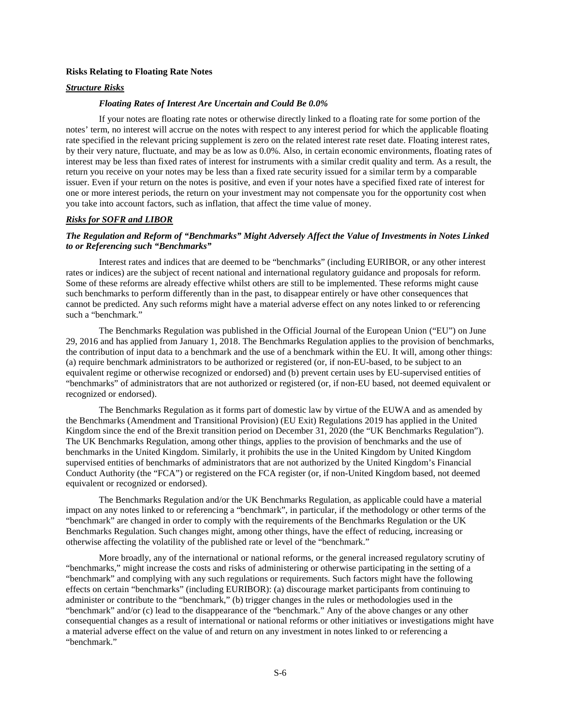# **Risks Relating to Floating Rate Notes**

# *Structure Risks*

#### *Floating Rates of Interest Are Uncertain and Could Be 0.0%*

If your notes are floating rate notes or otherwise directly linked to a floating rate for some portion of the notes' term, no interest will accrue on the notes with respect to any interest period for which the applicable floating rate specified in the relevant pricing supplement is zero on the related interest rate reset date. Floating interest rates, by their very nature, fluctuate, and may be as low as 0.0%. Also, in certain economic environments, floating rates of interest may be less than fixed rates of interest for instruments with a similar credit quality and term. As a result, the return you receive on your notes may be less than a fixed rate security issued for a similar term by a comparable issuer. Even if your return on the notes is positive, and even if your notes have a specified fixed rate of interest for one or more interest periods, the return on your investment may not compensate you for the opportunity cost when you take into account factors, such as inflation, that affect the time value of money.

#### *Risks for SOFR and LIBOR*

# *The Regulation and Reform of "Benchmarks" Might Adversely Affect the Value of Investments in Notes Linked to or Referencing such "Benchmarks"*

Interest rates and indices that are deemed to be "benchmarks" (including EURIBOR, or any other interest rates or indices) are the subject of recent national and international regulatory guidance and proposals for reform. Some of these reforms are already effective whilst others are still to be implemented. These reforms might cause such benchmarks to perform differently than in the past, to disappear entirely or have other consequences that cannot be predicted. Any such reforms might have a material adverse effect on any notes linked to or referencing such a "benchmark."

The Benchmarks Regulation was published in the Official Journal of the European Union ("EU") on June 29, 2016 and has applied from January 1, 2018. The Benchmarks Regulation applies to the provision of benchmarks, the contribution of input data to a benchmark and the use of a benchmark within the EU. It will, among other things: (a) require benchmark administrators to be authorized or registered (or, if non-EU-based, to be subject to an equivalent regime or otherwise recognized or endorsed) and (b) prevent certain uses by EU-supervised entities of "benchmarks" of administrators that are not authorized or registered (or, if non-EU based, not deemed equivalent or recognized or endorsed).

The Benchmarks Regulation as it forms part of domestic law by virtue of the EUWA and as amended by the Benchmarks (Amendment and Transitional Provision) (EU Exit) Regulations 2019 has applied in the United Kingdom since the end of the Brexit transition period on December 31, 2020 (the "UK Benchmarks Regulation"). The UK Benchmarks Regulation, among other things, applies to the provision of benchmarks and the use of benchmarks in the United Kingdom. Similarly, it prohibits the use in the United Kingdom by United Kingdom supervised entities of benchmarks of administrators that are not authorized by the United Kingdom's Financial Conduct Authority (the "FCA") or registered on the FCA register (or, if non-United Kingdom based, not deemed equivalent or recognized or endorsed).

The Benchmarks Regulation and/or the UK Benchmarks Regulation, as applicable could have a material impact on any notes linked to or referencing a "benchmark", in particular, if the methodology or other terms of the "benchmark" are changed in order to comply with the requirements of the Benchmarks Regulation or the UK Benchmarks Regulation. Such changes might, among other things, have the effect of reducing, increasing or otherwise affecting the volatility of the published rate or level of the "benchmark."

More broadly, any of the international or national reforms, or the general increased regulatory scrutiny of "benchmarks," might increase the costs and risks of administering or otherwise participating in the setting of a "benchmark" and complying with any such regulations or requirements. Such factors might have the following effects on certain "benchmarks" (including EURIBOR): (a) discourage market participants from continuing to administer or contribute to the "benchmark," (b) trigger changes in the rules or methodologies used in the "benchmark" and/or (c) lead to the disappearance of the "benchmark." Any of the above changes or any other consequential changes as a result of international or national reforms or other initiatives or investigations might have a material adverse effect on the value of and return on any investment in notes linked to or referencing a "benchmark."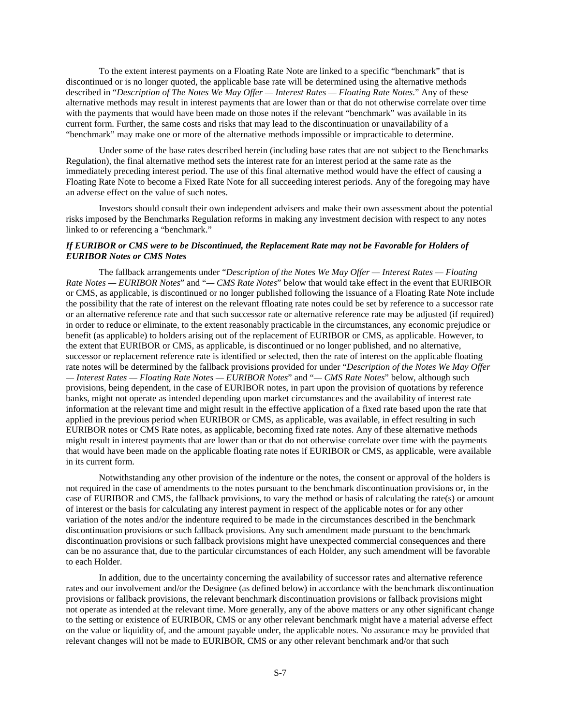To the extent interest payments on a Floating Rate Note are linked to a specific "benchmark" that is discontinued or is no longer quoted, the applicable base rate will be determined using the alternative methods described in "*Description of The Notes We May Offer — Interest Rates — Floating Rate Notes*." Any of these alternative methods may result in interest payments that are lower than or that do not otherwise correlate over time with the payments that would have been made on those notes if the relevant "benchmark" was available in its current form. Further, the same costs and risks that may lead to the discontinuation or unavailability of a "benchmark" may make one or more of the alternative methods impossible or impracticable to determine.

Under some of the base rates described herein (including base rates that are not subject to the Benchmarks Regulation), the final alternative method sets the interest rate for an interest period at the same rate as the immediately preceding interest period. The use of this final alternative method would have the effect of causing a Floating Rate Note to become a Fixed Rate Note for all succeeding interest periods. Any of the foregoing may have an adverse effect on the value of such notes.

Investors should consult their own independent advisers and make their own assessment about the potential risks imposed by the Benchmarks Regulation reforms in making any investment decision with respect to any notes linked to or referencing a "benchmark."

# *If EURIBOR or CMS were to be Discontinued, the Replacement Rate may not be Favorable for Holders of EURIBOR Notes or CMS Notes*

The fallback arrangements under "*Description of the Notes We May Offer — Interest Rates — Floating Rate Notes — EURIBOR Notes*" and "*— CMS Rate Notes*" below that would take effect in the event that EURIBOR or CMS, as applicable, is discontinued or no longer published following the issuance of a Floating Rate Note include the possibility that the rate of interest on the relevant ffloating rate notes could be set by reference to a successor rate or an alternative reference rate and that such successor rate or alternative reference rate may be adjusted (if required) in order to reduce or eliminate, to the extent reasonably practicable in the circumstances, any economic prejudice or benefit (as applicable) to holders arising out of the replacement of EURIBOR or CMS, as applicable. However, to the extent that EURIBOR or CMS, as applicable, is discontinued or no longer published, and no alternative, successor or replacement reference rate is identified or selected, then the rate of interest on the applicable floating rate notes will be determined by the fallback provisions provided for under "*Description of the Notes We May Offer — Interest Rates — Floating Rate Notes — EURIBOR Notes*" and "*— CMS Rate Notes*" below, although such provisions, being dependent, in the case of EURIBOR notes, in part upon the provision of quotations by reference banks, might not operate as intended depending upon market circumstances and the availability of interest rate information at the relevant time and might result in the effective application of a fixed rate based upon the rate that applied in the previous period when EURIBOR or CMS, as applicable, was available, in effect resulting in such EURIBOR notes or CMS Rate notes, as applicable, becoming fixed rate notes. Any of these alternative methods might result in interest payments that are lower than or that do not otherwise correlate over time with the payments that would have been made on the applicable floating rate notes if EURIBOR or CMS, as applicable, were available in its current form.

Notwithstanding any other provision of the indenture or the notes, the consent or approval of the holders is not required in the case of amendments to the notes pursuant to the benchmark discontinuation provisions or, in the case of EURIBOR and CMS, the fallback provisions, to vary the method or basis of calculating the rate(s) or amount of interest or the basis for calculating any interest payment in respect of the applicable notes or for any other variation of the notes and/or the indenture required to be made in the circumstances described in the benchmark discontinuation provisions or such fallback provisions. Any such amendment made pursuant to the benchmark discontinuation provisions or such fallback provisions might have unexpected commercial consequences and there can be no assurance that, due to the particular circumstances of each Holder, any such amendment will be favorable to each Holder.

In addition, due to the uncertainty concerning the availability of successor rates and alternative reference rates and our involvement and/or the Designee (as defined below) in accordance with the benchmark discontinuation provisions or fallback provisions, the relevant benchmark discontinuation provisions or fallback provisions might not operate as intended at the relevant time. More generally, any of the above matters or any other significant change to the setting or existence of EURIBOR, CMS or any other relevant benchmark might have a material adverse effect on the value or liquidity of, and the amount payable under, the applicable notes. No assurance may be provided that relevant changes will not be made to EURIBOR, CMS or any other relevant benchmark and/or that such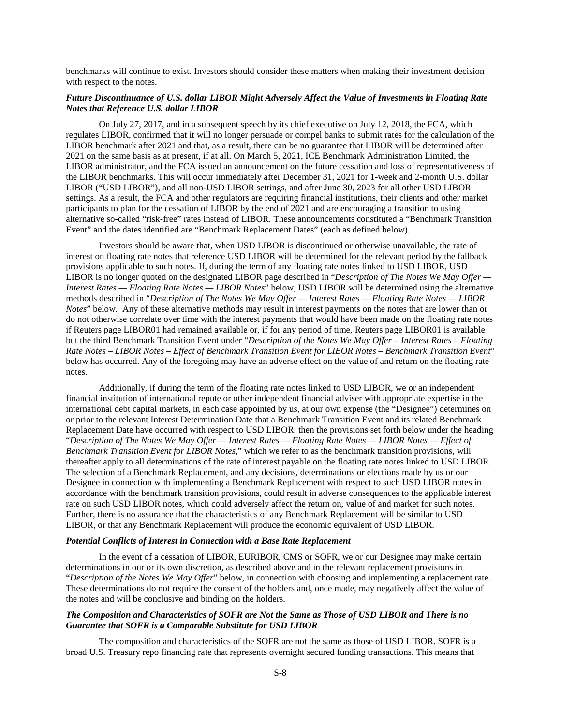benchmarks will continue to exist. Investors should consider these matters when making their investment decision with respect to the notes.

# *Future Discontinuance of U.S. dollar LIBOR Might Adversely Affect the Value of Investments in Floating Rate Notes that Reference U.S. dollar LIBOR*

On July 27, 2017, and in a subsequent speech by its chief executive on July 12, 2018, the FCA, which regulates LIBOR, confirmed that it will no longer persuade or compel banks to submit rates for the calculation of the LIBOR benchmark after 2021 and that, as a result, there can be no guarantee that LIBOR will be determined after 2021 on the same basis as at present, if at all. On March 5, 2021, ICE Benchmark Administration Limited, the LIBOR administrator, and the FCA issued an announcement on the future cessation and loss of representativeness of the LIBOR benchmarks. This will occur immediately after December 31, 2021 for 1-week and 2-month U.S. dollar LIBOR ("USD LIBOR"), and all non-USD LIBOR settings, and after June 30, 2023 for all other USD LIBOR settings. As a result, the FCA and other regulators are requiring financial institutions, their clients and other market participants to plan for the cessation of LIBOR by the end of 2021 and are encouraging a transition to using alternative so-called "risk-free" rates instead of LIBOR. These announcements constituted a "Benchmark Transition Event" and the dates identified are "Benchmark Replacement Dates" (each as defined below).

Investors should be aware that, when USD LIBOR is discontinued or otherwise unavailable, the rate of interest on floating rate notes that reference USD LIBOR will be determined for the relevant period by the fallback provisions applicable to such notes. If, during the term of any floating rate notes linked to USD LIBOR, USD LIBOR is no longer quoted on the designated LIBOR page described in "*Description of The Notes We May Offer — Interest Rates — Floating Rate Notes — LIBOR Notes*" below, USD LIBOR will be determined using the alternative methods described in "*Description of The Notes We May Offer — Interest Rates — Floating Rate Notes — LIBOR Notes*" below. Any of these alternative methods may result in interest payments on the notes that are lower than or do not otherwise correlate over time with the interest payments that would have been made on the floating rate notes if Reuters page LIBOR01 had remained available or, if for any period of time, Reuters page LIBOR01 is available but the third Benchmark Transition Event under "*Description of the Notes We May Offer – Interest Rates – Floating Rate Notes – LIBOR Notes – Effect of Benchmark Transition Event for LIBOR Notes – Benchmark Transition Event*" below has occurred. Any of the foregoing may have an adverse effect on the value of and return on the floating rate notes.

Additionally, if during the term of the floating rate notes linked to USD LIBOR, we or an independent financial institution of international repute or other independent financial adviser with appropriate expertise in the international debt capital markets, in each case appointed by us, at our own expense (the "Designee") determines on or prior to the relevant Interest Determination Date that a Benchmark Transition Event and its related Benchmark Replacement Date have occurred with respect to USD LIBOR, then the provisions set forth below under the heading "*Description of The Notes We May Offer — Interest Rates — Floating Rate Notes — LIBOR Notes — Effect of Benchmark Transition Event for LIBOR Notes*," which we refer to as the benchmark transition provisions, will thereafter apply to all determinations of the rate of interest payable on the floating rate notes linked to USD LIBOR. The selection of a Benchmark Replacement, and any decisions, determinations or elections made by us or our Designee in connection with implementing a Benchmark Replacement with respect to such USD LIBOR notes in accordance with the benchmark transition provisions, could result in adverse consequences to the applicable interest rate on such USD LIBOR notes, which could adversely affect the return on, value of and market for such notes. Further, there is no assurance that the characteristics of any Benchmark Replacement will be similar to USD LIBOR, or that any Benchmark Replacement will produce the economic equivalent of USD LIBOR.

#### *Potential Conflicts of Interest in Connection with a Base Rate Replacement*

In the event of a cessation of LIBOR, EURIBOR, CMS or SOFR, we or our Designee may make certain determinations in our or its own discretion, as described above and in the relevant replacement provisions in "*Description of the Notes We May Offer*" below, in connection with choosing and implementing a replacement rate. These determinations do not require the consent of the holders and, once made, may negatively affect the value of the notes and will be conclusive and binding on the holders.

# *The Composition and Characteristics of SOFR are Not the Same as Those of USD LIBOR and There is no Guarantee that SOFR is a Comparable Substitute for USD LIBOR*

The composition and characteristics of the SOFR are not the same as those of USD LIBOR. SOFR is a broad U.S. Treasury repo financing rate that represents overnight secured funding transactions. This means that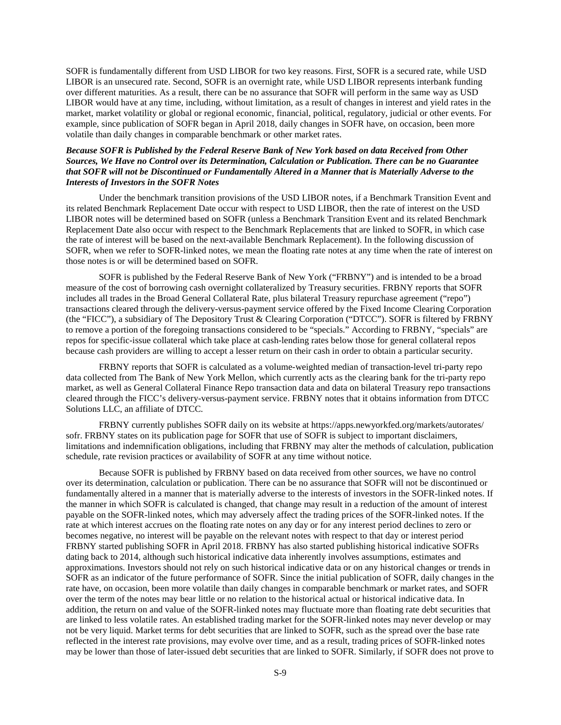SOFR is fundamentally different from USD LIBOR for two key reasons. First, SOFR is a secured rate, while USD LIBOR is an unsecured rate. Second, SOFR is an overnight rate, while USD LIBOR represents interbank funding over different maturities. As a result, there can be no assurance that SOFR will perform in the same way as USD LIBOR would have at any time, including, without limitation, as a result of changes in interest and yield rates in the market, market volatility or global or regional economic, financial, political, regulatory, judicial or other events. For example, since publication of SOFR began in April 2018, daily changes in SOFR have, on occasion, been more volatile than daily changes in comparable benchmark or other market rates.

# *Because SOFR is Published by the Federal Reserve Bank of New York based on data Received from Other Sources, We Have no Control over its Determination, Calculation or Publication. There can be no Guarantee that SOFR will not be Discontinued or Fundamentally Altered in a Manner that is Materially Adverse to the Interests of Investors in the SOFR Notes*

Under the benchmark transition provisions of the USD LIBOR notes, if a Benchmark Transition Event and its related Benchmark Replacement Date occur with respect to USD LIBOR, then the rate of interest on the USD LIBOR notes will be determined based on SOFR (unless a Benchmark Transition Event and its related Benchmark Replacement Date also occur with respect to the Benchmark Replacements that are linked to SOFR, in which case the rate of interest will be based on the next-available Benchmark Replacement). In the following discussion of SOFR, when we refer to SOFR-linked notes, we mean the floating rate notes at any time when the rate of interest on those notes is or will be determined based on SOFR.

SOFR is published by the Federal Reserve Bank of New York ("FRBNY") and is intended to be a broad measure of the cost of borrowing cash overnight collateralized by Treasury securities. FRBNY reports that SOFR includes all trades in the Broad General Collateral Rate, plus bilateral Treasury repurchase agreement ("repo") transactions cleared through the delivery-versus-payment service offered by the Fixed Income Clearing Corporation (the "FICC"), a subsidiary of The Depository Trust & Clearing Corporation ("DTCC"). SOFR is filtered by FRBNY to remove a portion of the foregoing transactions considered to be "specials." According to FRBNY, "specials" are repos for specific-issue collateral which take place at cash-lending rates below those for general collateral repos because cash providers are willing to accept a lesser return on their cash in order to obtain a particular security.

FRBNY reports that SOFR is calculated as a volume-weighted median of transaction-level tri-party repo data collected from The Bank of New York Mellon, which currently acts as the clearing bank for the tri-party repo market, as well as General Collateral Finance Repo transaction data and data on bilateral Treasury repo transactions cleared through the FICC's delivery-versus-payment service. FRBNY notes that it obtains information from DTCC Solutions LLC, an affiliate of DTCC.

FRBNY currently publishes SOFR daily on its website at https://apps.newyorkfed.org/markets/autorates/ sofr. FRBNY states on its publication page for SOFR that use of SOFR is subject to important disclaimers, limitations and indemnification obligations, including that FRBNY may alter the methods of calculation, publication schedule, rate revision practices or availability of SOFR at any time without notice.

Because SOFR is published by FRBNY based on data received from other sources, we have no control over its determination, calculation or publication. There can be no assurance that SOFR will not be discontinued or fundamentally altered in a manner that is materially adverse to the interests of investors in the SOFR-linked notes. If the manner in which SOFR is calculated is changed, that change may result in a reduction of the amount of interest payable on the SOFR-linked notes, which may adversely affect the trading prices of the SOFR-linked notes. If the rate at which interest accrues on the floating rate notes on any day or for any interest period declines to zero or becomes negative, no interest will be payable on the relevant notes with respect to that day or interest period FRBNY started publishing SOFR in April 2018. FRBNY has also started publishing historical indicative SOFRs dating back to 2014, although such historical indicative data inherently involves assumptions, estimates and approximations. Investors should not rely on such historical indicative data or on any historical changes or trends in SOFR as an indicator of the future performance of SOFR. Since the initial publication of SOFR, daily changes in the rate have, on occasion, been more volatile than daily changes in comparable benchmark or market rates, and SOFR over the term of the notes may bear little or no relation to the historical actual or historical indicative data. In addition, the return on and value of the SOFR-linked notes may fluctuate more than floating rate debt securities that are linked to less volatile rates. An established trading market for the SOFR-linked notes may never develop or may not be very liquid. Market terms for debt securities that are linked to SOFR, such as the spread over the base rate reflected in the interest rate provisions, may evolve over time, and as a result, trading prices of SOFR-linked notes may be lower than those of later-issued debt securities that are linked to SOFR. Similarly, if SOFR does not prove to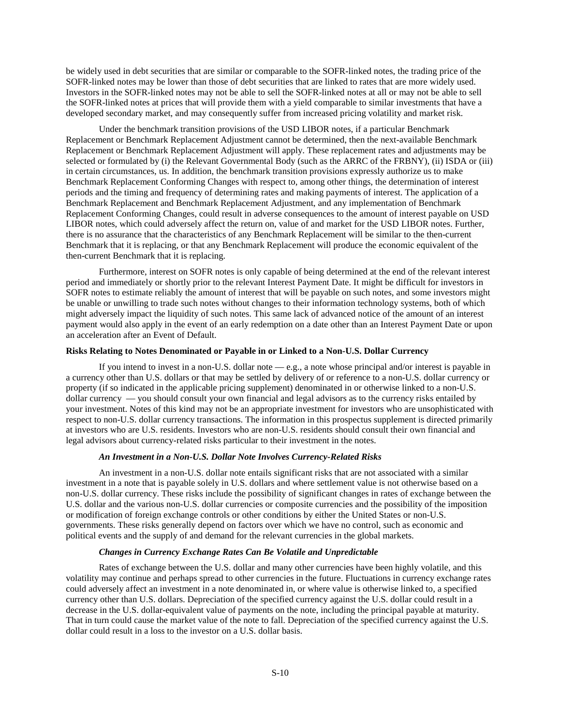be widely used in debt securities that are similar or comparable to the SOFR-linked notes, the trading price of the SOFR-linked notes may be lower than those of debt securities that are linked to rates that are more widely used. Investors in the SOFR-linked notes may not be able to sell the SOFR-linked notes at all or may not be able to sell the SOFR-linked notes at prices that will provide them with a yield comparable to similar investments that have a developed secondary market, and may consequently suffer from increased pricing volatility and market risk.

Under the benchmark transition provisions of the USD LIBOR notes, if a particular Benchmark Replacement or Benchmark Replacement Adjustment cannot be determined, then the next-available Benchmark Replacement or Benchmark Replacement Adjustment will apply. These replacement rates and adjustments may be selected or formulated by (i) the Relevant Governmental Body (such as the ARRC of the FRBNY), (ii) ISDA or (iii) in certain circumstances, us. In addition, the benchmark transition provisions expressly authorize us to make Benchmark Replacement Conforming Changes with respect to, among other things, the determination of interest periods and the timing and frequency of determining rates and making payments of interest. The application of a Benchmark Replacement and Benchmark Replacement Adjustment, and any implementation of Benchmark Replacement Conforming Changes, could result in adverse consequences to the amount of interest payable on USD LIBOR notes, which could adversely affect the return on, value of and market for the USD LIBOR notes. Further, there is no assurance that the characteristics of any Benchmark Replacement will be similar to the then-current Benchmark that it is replacing, or that any Benchmark Replacement will produce the economic equivalent of the then-current Benchmark that it is replacing.

Furthermore, interest on SOFR notes is only capable of being determined at the end of the relevant interest period and immediately or shortly prior to the relevant Interest Payment Date. It might be difficult for investors in SOFR notes to estimate reliably the amount of interest that will be payable on such notes, and some investors might be unable or unwilling to trade such notes without changes to their information technology systems, both of which might adversely impact the liquidity of such notes. This same lack of advanced notice of the amount of an interest payment would also apply in the event of an early redemption on a date other than an Interest Payment Date or upon an acceleration after an Event of Default.

# **Risks Relating to Notes Denominated or Payable in or Linked to a Non-U.S. Dollar Currency**

If you intend to invest in a non-U.S. dollar note — e.g., a note whose principal and/or interest is payable in a currency other than U.S. dollars or that may be settled by delivery of or reference to a non-U.S. dollar currency or property (if so indicated in the applicable pricing supplement) denominated in or otherwise linked to a non-U.S. dollar currency — you should consult your own financial and legal advisors as to the currency risks entailed by your investment. Notes of this kind may not be an appropriate investment for investors who are unsophisticated with respect to non-U.S. dollar currency transactions. The information in this prospectus supplement is directed primarily at investors who are U.S. residents. Investors who are non-U.S. residents should consult their own financial and legal advisors about currency-related risks particular to their investment in the notes.

#### *An Investment in a Non-U.S. Dollar Note Involves Currency-Related Risks*

An investment in a non-U.S. dollar note entails significant risks that are not associated with a similar investment in a note that is payable solely in U.S. dollars and where settlement value is not otherwise based on a non-U.S. dollar currency. These risks include the possibility of significant changes in rates of exchange between the U.S. dollar and the various non-U.S. dollar currencies or composite currencies and the possibility of the imposition or modification of foreign exchange controls or other conditions by either the United States or non-U.S. governments. These risks generally depend on factors over which we have no control, such as economic and political events and the supply of and demand for the relevant currencies in the global markets.

#### *Changes in Currency Exchange Rates Can Be Volatile and Unpredictable*

Rates of exchange between the U.S. dollar and many other currencies have been highly volatile, and this volatility may continue and perhaps spread to other currencies in the future. Fluctuations in currency exchange rates could adversely affect an investment in a note denominated in, or where value is otherwise linked to, a specified currency other than U.S. dollars. Depreciation of the specified currency against the U.S. dollar could result in a decrease in the U.S. dollar-equivalent value of payments on the note, including the principal payable at maturity. That in turn could cause the market value of the note to fall. Depreciation of the specified currency against the U.S. dollar could result in a loss to the investor on a U.S. dollar basis.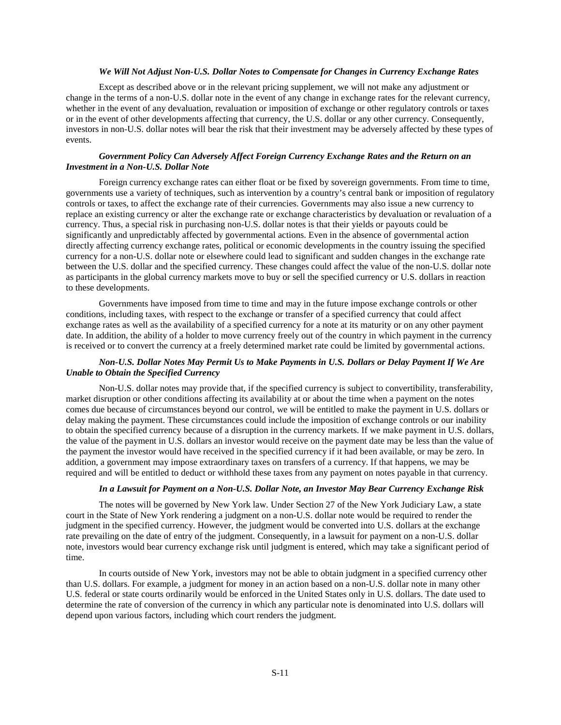#### *We Will Not Adjust Non-U.S. Dollar Notes to Compensate for Changes in Currency Exchange Rates*

Except as described above or in the relevant pricing supplement, we will not make any adjustment or change in the terms of a non-U.S. dollar note in the event of any change in exchange rates for the relevant currency, whether in the event of any devaluation, revaluation or imposition of exchange or other regulatory controls or taxes or in the event of other developments affecting that currency, the U.S. dollar or any other currency. Consequently, investors in non-U.S. dollar notes will bear the risk that their investment may be adversely affected by these types of events.

# *Government Policy Can Adversely Affect Foreign Currency Exchange Rates and the Return on an Investment in a Non-U.S. Dollar Note*

Foreign currency exchange rates can either float or be fixed by sovereign governments. From time to time, governments use a variety of techniques, such as intervention by a country's central bank or imposition of regulatory controls or taxes, to affect the exchange rate of their currencies. Governments may also issue a new currency to replace an existing currency or alter the exchange rate or exchange characteristics by devaluation or revaluation of a currency. Thus, a special risk in purchasing non-U.S. dollar notes is that their yields or payouts could be significantly and unpredictably affected by governmental actions. Even in the absence of governmental action directly affecting currency exchange rates, political or economic developments in the country issuing the specified currency for a non-U.S. dollar note or elsewhere could lead to significant and sudden changes in the exchange rate between the U.S. dollar and the specified currency. These changes could affect the value of the non-U.S. dollar note as participants in the global currency markets move to buy or sell the specified currency or U.S. dollars in reaction to these developments.

Governments have imposed from time to time and may in the future impose exchange controls or other conditions, including taxes, with respect to the exchange or transfer of a specified currency that could affect exchange rates as well as the availability of a specified currency for a note at its maturity or on any other payment date. In addition, the ability of a holder to move currency freely out of the country in which payment in the currency is received or to convert the currency at a freely determined market rate could be limited by governmental actions.

# *Non-U.S. Dollar Notes May Permit Us to Make Payments in U.S. Dollars or Delay Payment If We Are Unable to Obtain the Specified Currency*

Non-U.S. dollar notes may provide that, if the specified currency is subject to convertibility, transferability, market disruption or other conditions affecting its availability at or about the time when a payment on the notes comes due because of circumstances beyond our control, we will be entitled to make the payment in U.S. dollars or delay making the payment. These circumstances could include the imposition of exchange controls or our inability to obtain the specified currency because of a disruption in the currency markets. If we make payment in U.S. dollars, the value of the payment in U.S. dollars an investor would receive on the payment date may be less than the value of the payment the investor would have received in the specified currency if it had been available, or may be zero. In addition, a government may impose extraordinary taxes on transfers of a currency. If that happens, we may be required and will be entitled to deduct or withhold these taxes from any payment on notes payable in that currency.

# *In a Lawsuit for Payment on a Non-U.S. Dollar Note, an Investor May Bear Currency Exchange Risk*

The notes will be governed by New York law. Under Section 27 of the New York Judiciary Law, a state court in the State of New York rendering a judgment on a non-U.S. dollar note would be required to render the judgment in the specified currency. However, the judgment would be converted into U.S. dollars at the exchange rate prevailing on the date of entry of the judgment. Consequently, in a lawsuit for payment on a non-U.S. dollar note, investors would bear currency exchange risk until judgment is entered, which may take a significant period of time.

In courts outside of New York, investors may not be able to obtain judgment in a specified currency other than U.S. dollars. For example, a judgment for money in an action based on a non-U.S. dollar note in many other U.S. federal or state courts ordinarily would be enforced in the United States only in U.S. dollars. The date used to determine the rate of conversion of the currency in which any particular note is denominated into U.S. dollars will depend upon various factors, including which court renders the judgment.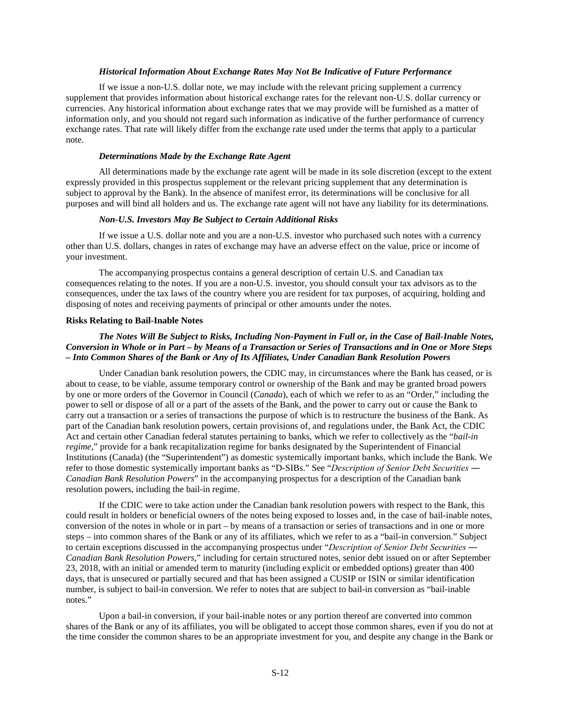# *Historical Information About Exchange Rates May Not Be Indicative of Future Performance*

If we issue a non-U.S. dollar note, we may include with the relevant pricing supplement a currency supplement that provides information about historical exchange rates for the relevant non-U.S. dollar currency or currencies. Any historical information about exchange rates that we may provide will be furnished as a matter of information only, and you should not regard such information as indicative of the further performance of currency exchange rates. That rate will likely differ from the exchange rate used under the terms that apply to a particular note.

# *Determinations Made by the Exchange Rate Agent*

All determinations made by the exchange rate agent will be made in its sole discretion (except to the extent expressly provided in this prospectus supplement or the relevant pricing supplement that any determination is subject to approval by the Bank). In the absence of manifest error, its determinations will be conclusive for all purposes and will bind all holders and us. The exchange rate agent will not have any liability for its determinations.

#### *Non-U.S. Investors May Be Subject to Certain Additional Risks*

If we issue a U.S. dollar note and you are a non-U.S. investor who purchased such notes with a currency other than U.S. dollars, changes in rates of exchange may have an adverse effect on the value, price or income of your investment.

The accompanying prospectus contains a general description of certain U.S. and Canadian tax consequences relating to the notes. If you are a non-U.S. investor, you should consult your tax advisors as to the consequences, under the tax laws of the country where you are resident for tax purposes, of acquiring, holding and disposing of notes and receiving payments of principal or other amounts under the notes.

#### **Risks Relating to Bail-Inable Notes**

# *The Notes Will Be Subject to Risks, Including Non-Payment in Full or, in the Case of Bail-Inable Notes, Conversion in Whole or in Part – by Means of a Transaction or Series of Transactions and in One or More Steps – Into Common Shares of the Bank or Any of Its Affiliates, Under Canadian Bank Resolution Powers*

Under Canadian bank resolution powers, the CDIC may, in circumstances where the Bank has ceased, or is about to cease, to be viable, assume temporary control or ownership of the Bank and may be granted broad powers by one or more orders of the Governor in Council (*Canada*), each of which we refer to as an "Order," including the power to sell or dispose of all or a part of the assets of the Bank, and the power to carry out or cause the Bank to carry out a transaction or a series of transactions the purpose of which is to restructure the business of the Bank. As part of the Canadian bank resolution powers, certain provisions of, and regulations under, the Bank Act, the CDIC Act and certain other Canadian federal statutes pertaining to banks, which we refer to collectively as the "*bail-in regime*," provide for a bank recapitalization regime for banks designated by the Superintendent of Financial Institutions (Canada) (the "Superintendent") as domestic systemically important banks, which include the Bank. We refer to those domestic systemically important banks as "D-SIBs." See "*Description of Senior Debt Securities ― Canadian Bank Resolution Powers*" in the accompanying prospectus for a description of the Canadian bank resolution powers, including the bail-in regime.

If the CDIC were to take action under the Canadian bank resolution powers with respect to the Bank, this could result in holders or beneficial owners of the notes being exposed to losses and, in the case of bail-inable notes, conversion of the notes in whole or in part – by means of a transaction or series of transactions and in one or more steps – into common shares of the Bank or any of its affiliates, which we refer to as a "bail-in conversion." Subject to certain exceptions discussed in the accompanying prospectus under "*Description of Senior Debt Securities ― Canadian Bank Resolution Powers*," including for certain structured notes, senior debt issued on or after September 23, 2018, with an initial or amended term to maturity (including explicit or embedded options) greater than 400 days, that is unsecured or partially secured and that has been assigned a CUSIP or ISIN or similar identification number, is subject to bail-in conversion. We refer to notes that are subject to bail-in conversion as "bail-inable notes."

Upon a bail-in conversion, if your bail-inable notes or any portion thereof are converted into common shares of the Bank or any of its affiliates, you will be obligated to accept those common shares, even if you do not at the time consider the common shares to be an appropriate investment for you, and despite any change in the Bank or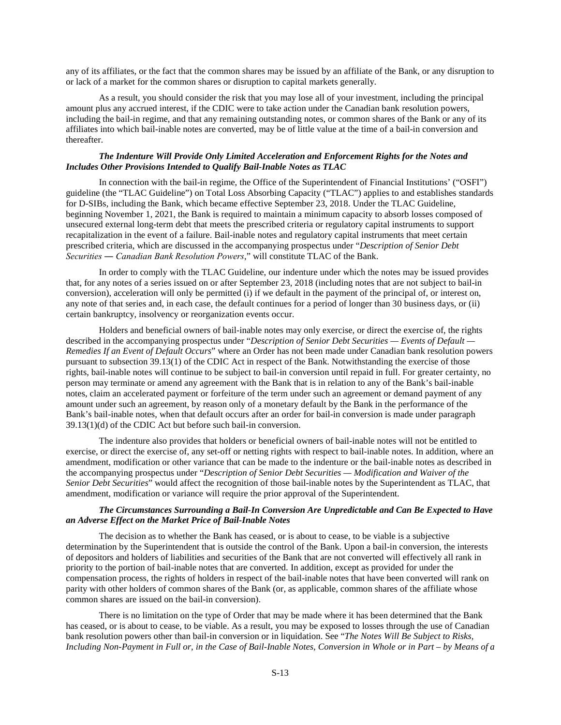any of its affiliates, or the fact that the common shares may be issued by an affiliate of the Bank, or any disruption to or lack of a market for the common shares or disruption to capital markets generally.

As a result, you should consider the risk that you may lose all of your investment, including the principal amount plus any accrued interest, if the CDIC were to take action under the Canadian bank resolution powers, including the bail-in regime, and that any remaining outstanding notes, or common shares of the Bank or any of its affiliates into which bail-inable notes are converted, may be of little value at the time of a bail-in conversion and thereafter.

## *The Indenture Will Provide Only Limited Acceleration and Enforcement Rights for the Notes and Includes Other Provisions Intended to Qualify Bail-Inable Notes as TLAC*

In connection with the bail-in regime, the Office of the Superintendent of Financial Institutions' ("OSFI") guideline (the "TLAC Guideline") on Total Loss Absorbing Capacity ("TLAC") applies to and establishes standards for D-SIBs, including the Bank, which became effective September 23, 2018. Under the TLAC Guideline, beginning November 1, 2021, the Bank is required to maintain a minimum capacity to absorb losses composed of unsecured external long-term debt that meets the prescribed criteria or regulatory capital instruments to support recapitalization in the event of a failure. Bail-inable notes and regulatory capital instruments that meet certain prescribed criteria, which are discussed in the accompanying prospectus under "*Description of Senior Debt Securities ― Canadian Bank Resolution Powers*," will constitute TLAC of the Bank.

In order to comply with the TLAC Guideline, our indenture under which the notes may be issued provides that, for any notes of a series issued on or after September 23, 2018 (including notes that are not subject to bail-in conversion), acceleration will only be permitted (i) if we default in the payment of the principal of, or interest on, any note of that series and, in each case, the default continues for a period of longer than 30 business days, or (ii) certain bankruptcy, insolvency or reorganization events occur.

Holders and beneficial owners of bail-inable notes may only exercise, or direct the exercise of, the rights described in the accompanying prospectus under "*Description of Senior Debt Securities — Events of Default — Remedies If an Event of Default Occurs*" where an Order has not been made under Canadian bank resolution powers pursuant to subsection 39.13(1) of the CDIC Act in respect of the Bank. Notwithstanding the exercise of those rights, bail-inable notes will continue to be subject to bail-in conversion until repaid in full. For greater certainty, no person may terminate or amend any agreement with the Bank that is in relation to any of the Bank's bail-inable notes, claim an accelerated payment or forfeiture of the term under such an agreement or demand payment of any amount under such an agreement, by reason only of a monetary default by the Bank in the performance of the Bank's bail-inable notes, when that default occurs after an order for bail-in conversion is made under paragraph 39.13(1)(d) of the CDIC Act but before such bail-in conversion.

The indenture also provides that holders or beneficial owners of bail-inable notes will not be entitled to exercise, or direct the exercise of, any set-off or netting rights with respect to bail-inable notes. In addition, where an amendment, modification or other variance that can be made to the indenture or the bail-inable notes as described in the accompanying prospectus under "*Description of Senior Debt Securities — Modification and Waiver of the Senior Debt Securities*" would affect the recognition of those bail-inable notes by the Superintendent as TLAC, that amendment, modification or variance will require the prior approval of the Superintendent.

#### *The Circumstances Surrounding a Bail-In Conversion Are Unpredictable and Can Be Expected to Have an Adverse Effect on the Market Price of Bail-Inable Notes*

The decision as to whether the Bank has ceased, or is about to cease, to be viable is a subjective determination by the Superintendent that is outside the control of the Bank. Upon a bail-in conversion, the interests of depositors and holders of liabilities and securities of the Bank that are not converted will effectively all rank in priority to the portion of bail-inable notes that are converted. In addition, except as provided for under the compensation process, the rights of holders in respect of the bail-inable notes that have been converted will rank on parity with other holders of common shares of the Bank (or, as applicable, common shares of the affiliate whose common shares are issued on the bail-in conversion).

There is no limitation on the type of Order that may be made where it has been determined that the Bank has ceased, or is about to cease, to be viable. As a result, you may be exposed to losses through the use of Canadian bank resolution powers other than bail-in conversion or in liquidation. See "*The Notes Will Be Subject to Risks, Including Non-Payment in Full or, in the Case of Bail-Inable Notes, Conversion in Whole or in Part – by Means of a*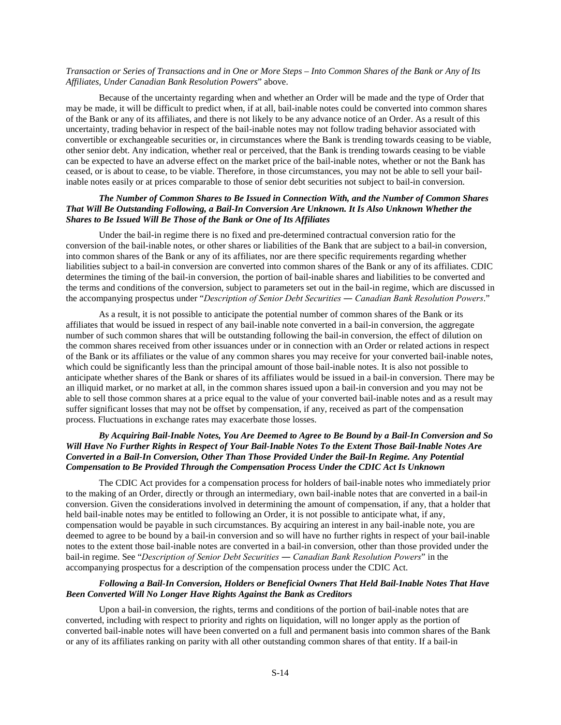# *Transaction or Series of Transactions and in One or More Steps – Into Common Shares of the Bank or Any of Its Affiliates, Under Canadian Bank Resolution Powers*" above.

Because of the uncertainty regarding when and whether an Order will be made and the type of Order that may be made, it will be difficult to predict when, if at all, bail-inable notes could be converted into common shares of the Bank or any of its affiliates, and there is not likely to be any advance notice of an Order. As a result of this uncertainty, trading behavior in respect of the bail-inable notes may not follow trading behavior associated with convertible or exchangeable securities or, in circumstances where the Bank is trending towards ceasing to be viable, other senior debt. Any indication, whether real or perceived, that the Bank is trending towards ceasing to be viable can be expected to have an adverse effect on the market price of the bail-inable notes, whether or not the Bank has ceased, or is about to cease, to be viable. Therefore, in those circumstances, you may not be able to sell your bailinable notes easily or at prices comparable to those of senior debt securities not subject to bail-in conversion.

# *The Number of Common Shares to Be Issued in Connection With, and the Number of Common Shares That Will Be Outstanding Following, a Bail-In Conversion Are Unknown. It Is Also Unknown Whether the Shares to Be Issued Will Be Those of the Bank or One of Its Affiliates*

 Under the bail-in regime there is no fixed and pre-determined contractual conversion ratio for the conversion of the bail-inable notes, or other shares or liabilities of the Bank that are subject to a bail-in conversion, into common shares of the Bank or any of its affiliates, nor are there specific requirements regarding whether liabilities subject to a bail-in conversion are converted into common shares of the Bank or any of its affiliates. CDIC determines the timing of the bail-in conversion, the portion of bail-inable shares and liabilities to be converted and the terms and conditions of the conversion, subject to parameters set out in the bail-in regime, which are discussed in the accompanying prospectus under "*Description of Senior Debt Securities ― Canadian Bank Resolution Powers*."

 As a result, it is not possible to anticipate the potential number of common shares of the Bank or its affiliates that would be issued in respect of any bail-inable note converted in a bail-in conversion, the aggregate number of such common shares that will be outstanding following the bail-in conversion, the effect of dilution on the common shares received from other issuances under or in connection with an Order or related actions in respect of the Bank or its affiliates or the value of any common shares you may receive for your converted bail-inable notes, which could be significantly less than the principal amount of those bail-inable notes. It is also not possible to anticipate whether shares of the Bank or shares of its affiliates would be issued in a bail-in conversion. There may be an illiquid market, or no market at all, in the common shares issued upon a bail-in conversion and you may not be able to sell those common shares at a price equal to the value of your converted bail-inable notes and as a result may suffer significant losses that may not be offset by compensation, if any, received as part of the compensation process. Fluctuations in exchange rates may exacerbate those losses.

# *By Acquiring Bail-Inable Notes, You Are Deemed to Agree to Be Bound by a Bail-In Conversion and So Will Have No Further Rights in Respect of Your Bail-Inable Notes To the Extent Those Bail-Inable Notes Are Converted in a Bail-In Conversion, Other Than Those Provided Under the Bail-In Regime. Any Potential Compensation to Be Provided Through the Compensation Process Under the CDIC Act Is Unknown*

 The CDIC Act provides for a compensation process for holders of bail-inable notes who immediately prior to the making of an Order, directly or through an intermediary, own bail-inable notes that are converted in a bail-in conversion. Given the considerations involved in determining the amount of compensation, if any, that a holder that held bail-inable notes may be entitled to following an Order, it is not possible to anticipate what, if any, compensation would be payable in such circumstances. By acquiring an interest in any bail-inable note, you are deemed to agree to be bound by a bail-in conversion and so will have no further rights in respect of your bail-inable notes to the extent those bail-inable notes are converted in a bail-in conversion, other than those provided under the bail-in regime. See "*Description of Senior Debt Securities ― Canadian Bank Resolution Powers*" in the accompanying prospectus for a description of the compensation process under the CDIC Act.

# *Following a Bail-In Conversion, Holders or Beneficial Owners That Held Bail-Inable Notes That Have Been Converted Will No Longer Have Rights Against the Bank as Creditors*

 Upon a bail-in conversion, the rights, terms and conditions of the portion of bail-inable notes that are converted, including with respect to priority and rights on liquidation, will no longer apply as the portion of converted bail-inable notes will have been converted on a full and permanent basis into common shares of the Bank or any of its affiliates ranking on parity with all other outstanding common shares of that entity. If a bail-in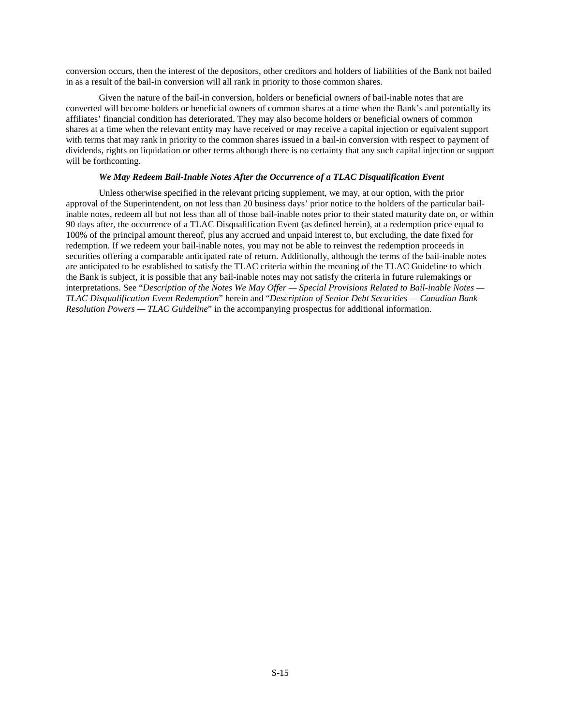conversion occurs, then the interest of the depositors, other creditors and holders of liabilities of the Bank not bailed in as a result of the bail-in conversion will all rank in priority to those common shares.

 Given the nature of the bail-in conversion, holders or beneficial owners of bail-inable notes that are converted will become holders or beneficial owners of common shares at a time when the Bank's and potentially its affiliates' financial condition has deteriorated. They may also become holders or beneficial owners of common shares at a time when the relevant entity may have received or may receive a capital injection or equivalent support with terms that may rank in priority to the common shares issued in a bail-in conversion with respect to payment of dividends, rights on liquidation or other terms although there is no certainty that any such capital injection or support will be forthcoming.

# *We May Redeem Bail-Inable Notes After the Occurrence of a TLAC Disqualification Event*

Unless otherwise specified in the relevant pricing supplement, we may, at our option, with the prior approval of the Superintendent, on not less than 20 business days' prior notice to the holders of the particular bailinable notes, redeem all but not less than all of those bail-inable notes prior to their stated maturity date on, or within 90 days after, the occurrence of a TLAC Disqualification Event (as defined herein), at a redemption price equal to 100% of the principal amount thereof, plus any accrued and unpaid interest to, but excluding, the date fixed for redemption. If we redeem your bail-inable notes, you may not be able to reinvest the redemption proceeds in securities offering a comparable anticipated rate of return. Additionally, although the terms of the bail-inable notes are anticipated to be established to satisfy the TLAC criteria within the meaning of the TLAC Guideline to which the Bank is subject, it is possible that any bail-inable notes may not satisfy the criteria in future rulemakings or interpretations. See "*Description of the Notes We May Offer — Special Provisions Related to Bail-inable Notes — TLAC Disqualification Event Redemption*" herein and "*Description of Senior Debt Securities — Canadian Bank Resolution Powers — TLAC Guideline*" in the accompanying prospectus for additional information.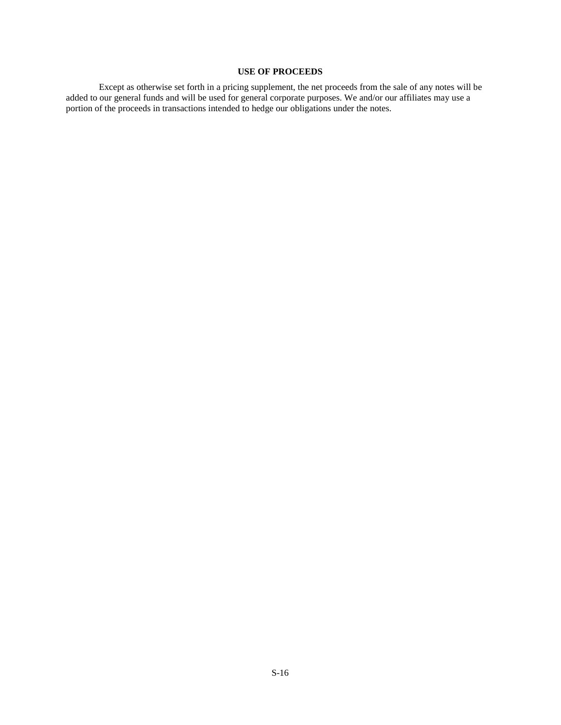# **USE OF PROCEEDS**

Except as otherwise set forth in a pricing supplement, the net proceeds from the sale of any notes will be added to our general funds and will be used for general corporate purposes. We and/or our affiliates may use a portion of the proceeds in transactions intended to hedge our obligations under the notes.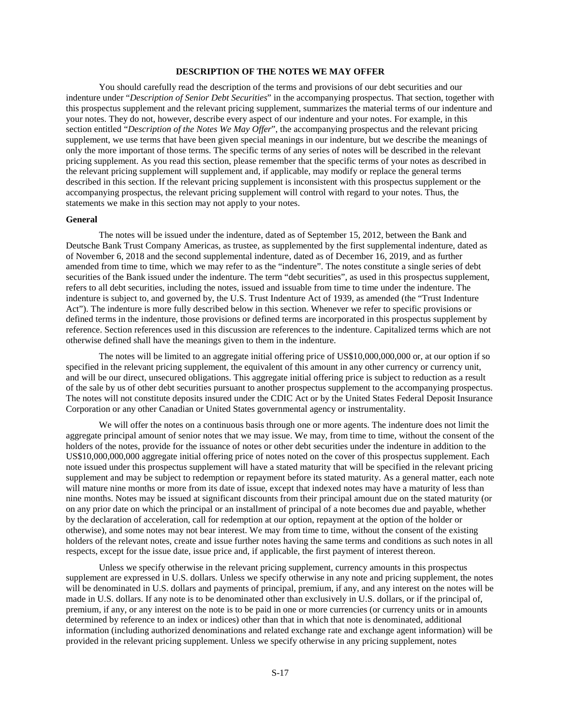## **DESCRIPTION OF THE NOTES WE MAY OFFER**

You should carefully read the description of the terms and provisions of our debt securities and our indenture under "*Description of Senior Debt Securities*" in the accompanying prospectus. That section, together with this prospectus supplement and the relevant pricing supplement, summarizes the material terms of our indenture and your notes. They do not, however, describe every aspect of our indenture and your notes. For example, in this section entitled "*Description of the Notes We May Offer*", the accompanying prospectus and the relevant pricing supplement, we use terms that have been given special meanings in our indenture, but we describe the meanings of only the more important of those terms. The specific terms of any series of notes will be described in the relevant pricing supplement. As you read this section, please remember that the specific terms of your notes as described in the relevant pricing supplement will supplement and, if applicable, may modify or replace the general terms described in this section. If the relevant pricing supplement is inconsistent with this prospectus supplement or the accompanying prospectus, the relevant pricing supplement will control with regard to your notes. Thus, the statements we make in this section may not apply to your notes.

#### **General**

The notes will be issued under the indenture, dated as of September 15, 2012, between the Bank and Deutsche Bank Trust Company Americas, as trustee, as supplemented by the first supplemental indenture, dated as of November 6, 2018 and the second supplemental indenture, dated as of December 16, 2019, and as further amended from time to time, which we may refer to as the "indenture". The notes constitute a single series of debt securities of the Bank issued under the indenture. The term "debt securities", as used in this prospectus supplement, refers to all debt securities, including the notes, issued and issuable from time to time under the indenture. The indenture is subject to, and governed by, the U.S. Trust Indenture Act of 1939, as amended (the "Trust Indenture Act"). The indenture is more fully described below in this section. Whenever we refer to specific provisions or defined terms in the indenture, those provisions or defined terms are incorporated in this prospectus supplement by reference. Section references used in this discussion are references to the indenture. Capitalized terms which are not otherwise defined shall have the meanings given to them in the indenture.

The notes will be limited to an aggregate initial offering price of US\$10,000,000,000 or, at our option if so specified in the relevant pricing supplement, the equivalent of this amount in any other currency or currency unit, and will be our direct, unsecured obligations. This aggregate initial offering price is subject to reduction as a result of the sale by us of other debt securities pursuant to another prospectus supplement to the accompanying prospectus. The notes will not constitute deposits insured under the CDIC Act or by the United States Federal Deposit Insurance Corporation or any other Canadian or United States governmental agency or instrumentality.

We will offer the notes on a continuous basis through one or more agents. The indenture does not limit the aggregate principal amount of senior notes that we may issue. We may, from time to time, without the consent of the holders of the notes, provide for the issuance of notes or other debt securities under the indenture in addition to the US\$10,000,000,000 aggregate initial offering price of notes noted on the cover of this prospectus supplement. Each note issued under this prospectus supplement will have a stated maturity that will be specified in the relevant pricing supplement and may be subject to redemption or repayment before its stated maturity. As a general matter, each note will mature nine months or more from its date of issue, except that indexed notes may have a maturity of less than nine months. Notes may be issued at significant discounts from their principal amount due on the stated maturity (or on any prior date on which the principal or an installment of principal of a note becomes due and payable, whether by the declaration of acceleration, call for redemption at our option, repayment at the option of the holder or otherwise), and some notes may not bear interest. We may from time to time, without the consent of the existing holders of the relevant notes, create and issue further notes having the same terms and conditions as such notes in all respects, except for the issue date, issue price and, if applicable, the first payment of interest thereon.

Unless we specify otherwise in the relevant pricing supplement, currency amounts in this prospectus supplement are expressed in U.S. dollars. Unless we specify otherwise in any note and pricing supplement, the notes will be denominated in U.S. dollars and payments of principal, premium, if any, and any interest on the notes will be made in U.S. dollars. If any note is to be denominated other than exclusively in U.S. dollars, or if the principal of, premium, if any, or any interest on the note is to be paid in one or more currencies (or currency units or in amounts determined by reference to an index or indices) other than that in which that note is denominated, additional information (including authorized denominations and related exchange rate and exchange agent information) will be provided in the relevant pricing supplement. Unless we specify otherwise in any pricing supplement, notes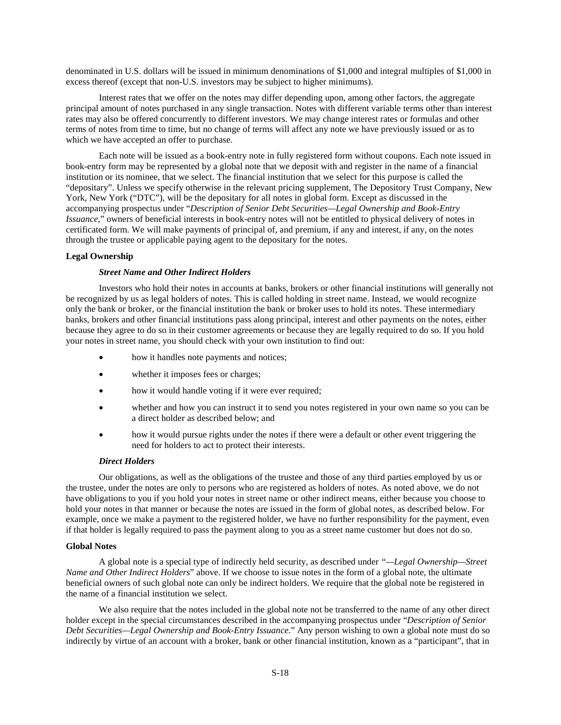denominated in U.S. dollars will be issued in minimum denominations of \$1,000 and integral multiples of \$1,000 in excess thereof (except that non-U.S. investors may be subject to higher minimums).

Interest rates that we offer on the notes may differ depending upon, among other factors, the aggregate principal amount of notes purchased in any single transaction. Notes with different variable terms other than interest rates may also be offered concurrently to different investors. We may change interest rates or formulas and other terms of notes from time to time, but no change of terms will affect any note we have previously issued or as to which we have accepted an offer to purchase.

Each note will be issued as a book-entry note in fully registered form without coupons. Each note issued in book-entry form may be represented by a global note that we deposit with and register in the name of a financial institution or its nominee, that we select. The financial institution that we select for this purpose is called the "depositary". Unless we specify otherwise in the relevant pricing supplement, The Depository Trust Company, New York, New York ("DTC"), will be the depositary for all notes in global form. Except as discussed in the accompanying prospectus under "*Description of Senior Debt Securities—Legal Ownership and Book-Entry Issuance*," owners of beneficial interests in book-entry notes will not be entitled to physical delivery of notes in certificated form. We will make payments of principal of, and premium, if any and interest, if any, on the notes through the trustee or applicable paying agent to the depositary for the notes.

# **Legal Ownership**

# *Street Name and Other Indirect Holders*

Investors who hold their notes in accounts at banks, brokers or other financial institutions will generally not be recognized by us as legal holders of notes. This is called holding in street name. Instead, we would recognize only the bank or broker, or the financial institution the bank or broker uses to hold its notes. These intermediary banks, brokers and other financial institutions pass along principal, interest and other payments on the notes, either because they agree to do so in their customer agreements or because they are legally required to do so. If you hold your notes in street name, you should check with your own institution to find out:

- how it handles note payments and notices;
- whether it imposes fees or charges;
- how it would handle voting if it were ever required;
- whether and how you can instruct it to send you notes registered in your own name so you can be a direct holder as described below; and
- how it would pursue rights under the notes if there were a default or other event triggering the need for holders to act to protect their interests.

### *Direct Holders*

Our obligations, as well as the obligations of the trustee and those of any third parties employed by us or the trustee, under the notes are only to persons who are registered as holders of notes. As noted above, we do not have obligations to you if you hold your notes in street name or other indirect means, either because you choose to hold your notes in that manner or because the notes are issued in the form of global notes, as described below. For example, once we make a payment to the registered holder, we have no further responsibility for the payment, even if that holder is legally required to pass the payment along to you as a street name customer but does not do so.

#### **Global Notes**

A global note is a special type of indirectly held security, as described under *"—Legal Ownership—Street Name and Other Indirect Holders*" above. If we choose to issue notes in the form of a global note, the ultimate beneficial owners of such global note can only be indirect holders. We require that the global note be registered in the name of a financial institution we select.

We also require that the notes included in the global note not be transferred to the name of any other direct holder except in the special circumstances described in the accompanying prospectus under "*Description of Senior Debt Securities—Legal Ownership and Book-Entry Issuance.*" Any person wishing to own a global note must do so indirectly by virtue of an account with a broker, bank or other financial institution, known as a "participant", that in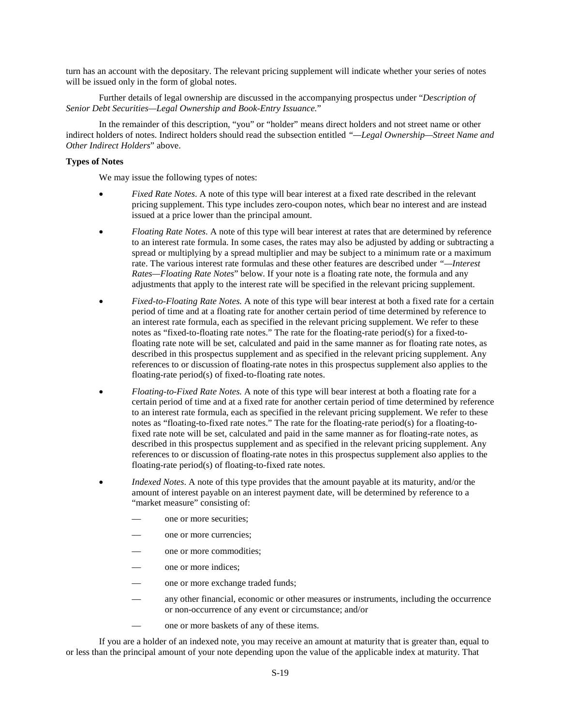turn has an account with the depositary. The relevant pricing supplement will indicate whether your series of notes will be issued only in the form of global notes.

Further details of legal ownership are discussed in the accompanying prospectus under "*Description of Senior Debt Securities—Legal Ownership and Book-Entry Issuance.*"

In the remainder of this description, "you" or "holder" means direct holders and not street name or other indirect holders of notes. Indirect holders should read the subsection entitled *"—Legal Ownership—Street Name and Other Indirect Holders*" above.

#### **Types of Notes**

We may issue the following types of notes:

- *Fixed Rate Notes*. A note of this type will bear interest at a fixed rate described in the relevant pricing supplement. This type includes zero-coupon notes, which bear no interest and are instead issued at a price lower than the principal amount.
- *Floating Rate Notes*. A note of this type will bear interest at rates that are determined by reference to an interest rate formula. In some cases, the rates may also be adjusted by adding or subtracting a spread or multiplying by a spread multiplier and may be subject to a minimum rate or a maximum rate. The various interest rate formulas and these other features are described under *"—Interest Rates—Floating Rate Notes*" below. If your note is a floating rate note, the formula and any adjustments that apply to the interest rate will be specified in the relevant pricing supplement.
- *Fixed-to-Floating Rate Notes.* A note of this type will bear interest at both a fixed rate for a certain period of time and at a floating rate for another certain period of time determined by reference to an interest rate formula, each as specified in the relevant pricing supplement. We refer to these notes as "fixed-to-floating rate notes." The rate for the floating-rate period(s) for a fixed-tofloating rate note will be set, calculated and paid in the same manner as for floating rate notes, as described in this prospectus supplement and as specified in the relevant pricing supplement. Any references to or discussion of floating-rate notes in this prospectus supplement also applies to the floating-rate period(s) of fixed-to-floating rate notes.
- *Floating-to-Fixed Rate Notes.* A note of this type will bear interest at both a floating rate for a certain period of time and at a fixed rate for another certain period of time determined by reference to an interest rate formula, each as specified in the relevant pricing supplement. We refer to these notes as "floating-to-fixed rate notes." The rate for the floating-rate period(s) for a floating-tofixed rate note will be set, calculated and paid in the same manner as for floating-rate notes, as described in this prospectus supplement and as specified in the relevant pricing supplement. Any references to or discussion of floating-rate notes in this prospectus supplement also applies to the floating-rate period(s) of floating-to-fixed rate notes.
- *Indexed Notes*. A note of this type provides that the amount payable at its maturity, and/or the amount of interest payable on an interest payment date, will be determined by reference to a "market measure" consisting of:
	- one or more securities;
	- one or more currencies;
	- one or more commodities:
	- one or more indices;
	- one or more exchange traded funds;
	- any other financial, economic or other measures or instruments, including the occurrence or non-occurrence of any event or circumstance; and/or
	- one or more baskets of any of these items.

If you are a holder of an indexed note, you may receive an amount at maturity that is greater than, equal to or less than the principal amount of your note depending upon the value of the applicable index at maturity. That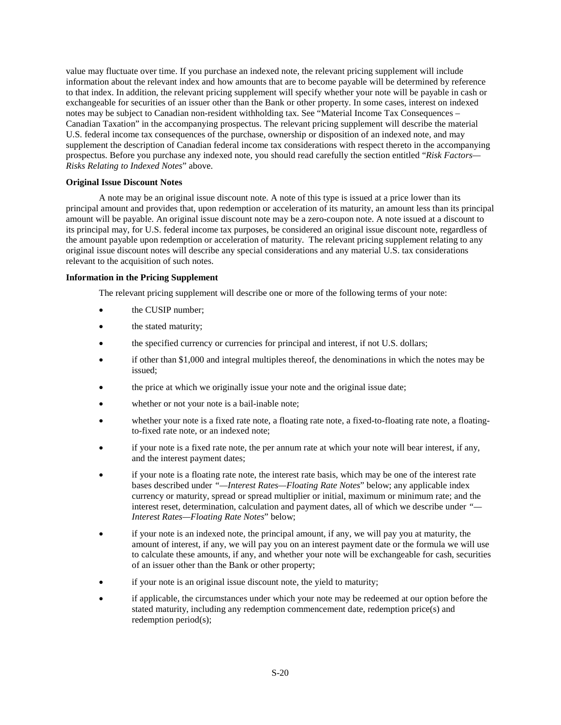value may fluctuate over time. If you purchase an indexed note, the relevant pricing supplement will include information about the relevant index and how amounts that are to become payable will be determined by reference to that index. In addition, the relevant pricing supplement will specify whether your note will be payable in cash or exchangeable for securities of an issuer other than the Bank or other property. In some cases, interest on indexed notes may be subject to Canadian non-resident withholding tax. See "Material Income Tax Consequences – Canadian Taxation" in the accompanying prospectus. The relevant pricing supplement will describe the material U.S. federal income tax consequences of the purchase, ownership or disposition of an indexed note, and may supplement the description of Canadian federal income tax considerations with respect thereto in the accompanying prospectus. Before you purchase any indexed note, you should read carefully the section entitled "*Risk Factors— Risks Relating to Indexed Notes*" above.

#### **Original Issue Discount Notes**

A note may be an original issue discount note. A note of this type is issued at a price lower than its principal amount and provides that, upon redemption or acceleration of its maturity, an amount less than its principal amount will be payable. An original issue discount note may be a zero-coupon note. A note issued at a discount to its principal may, for U.S. federal income tax purposes, be considered an original issue discount note, regardless of the amount payable upon redemption or acceleration of maturity. The relevant pricing supplement relating to any original issue discount notes will describe any special considerations and any material U.S. tax considerations relevant to the acquisition of such notes.

#### **Information in the Pricing Supplement**

The relevant pricing supplement will describe one or more of the following terms of your note:

- the CUSIP number;
- the stated maturity;
- the specified currency or currencies for principal and interest, if not U.S. dollars;
- if other than \$1,000 and integral multiples thereof, the denominations in which the notes may be issued;
- the price at which we originally issue your note and the original issue date;
- whether or not your note is a bail-inable note;
- whether your note is a fixed rate note, a floating rate note, a fixed-to-floating rate note, a floatingto-fixed rate note, or an indexed note;
- if your note is a fixed rate note, the per annum rate at which your note will bear interest, if any, and the interest payment dates;
- if your note is a floating rate note, the interest rate basis, which may be one of the interest rate bases described under *"—Interest Rates—Floating Rate Notes*" below; any applicable index currency or maturity, spread or spread multiplier or initial, maximum or minimum rate; and the interest reset, determination, calculation and payment dates, all of which we describe under *"— Interest Rates—Floating Rate Notes*" below;
- if your note is an indexed note, the principal amount, if any, we will pay you at maturity, the amount of interest, if any, we will pay you on an interest payment date or the formula we will use to calculate these amounts, if any, and whether your note will be exchangeable for cash, securities of an issuer other than the Bank or other property;
- if your note is an original issue discount note, the yield to maturity;
- if applicable, the circumstances under which your note may be redeemed at our option before the stated maturity, including any redemption commencement date, redemption price(s) and redemption period(s);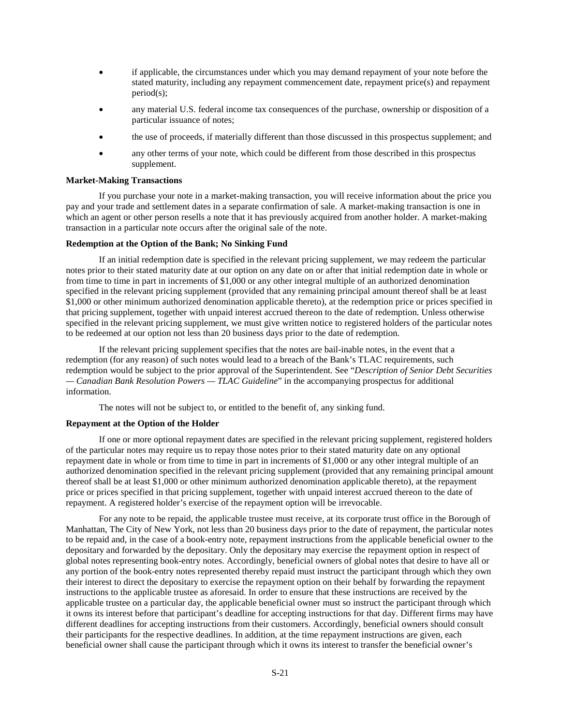- if applicable, the circumstances under which you may demand repayment of your note before the stated maturity, including any repayment commencement date, repayment price(s) and repayment period(s);
- any material U.S. federal income tax consequences of the purchase, ownership or disposition of a particular issuance of notes;
- the use of proceeds, if materially different than those discussed in this prospectus supplement; and
- any other terms of your note, which could be different from those described in this prospectus supplement.

#### **Market-Making Transactions**

If you purchase your note in a market-making transaction, you will receive information about the price you pay and your trade and settlement dates in a separate confirmation of sale. A market-making transaction is one in which an agent or other person resells a note that it has previously acquired from another holder. A market-making transaction in a particular note occurs after the original sale of the note.

#### **Redemption at the Option of the Bank; No Sinking Fund**

If an initial redemption date is specified in the relevant pricing supplement, we may redeem the particular notes prior to their stated maturity date at our option on any date on or after that initial redemption date in whole or from time to time in part in increments of \$1,000 or any other integral multiple of an authorized denomination specified in the relevant pricing supplement (provided that any remaining principal amount thereof shall be at least \$1,000 or other minimum authorized denomination applicable thereto), at the redemption price or prices specified in that pricing supplement, together with unpaid interest accrued thereon to the date of redemption. Unless otherwise specified in the relevant pricing supplement, we must give written notice to registered holders of the particular notes to be redeemed at our option not less than 20 business days prior to the date of redemption.

If the relevant pricing supplement specifies that the notes are bail-inable notes, in the event that a redemption (for any reason) of such notes would lead to a breach of the Bank's TLAC requirements, such redemption would be subject to the prior approval of the Superintendent. See "*Description of Senior Debt Securities — Canadian Bank Resolution Powers — TLAC Guideline*" in the accompanying prospectus for additional information.

The notes will not be subject to, or entitled to the benefit of, any sinking fund.

#### **Repayment at the Option of the Holder**

If one or more optional repayment dates are specified in the relevant pricing supplement, registered holders of the particular notes may require us to repay those notes prior to their stated maturity date on any optional repayment date in whole or from time to time in part in increments of \$1,000 or any other integral multiple of an authorized denomination specified in the relevant pricing supplement (provided that any remaining principal amount thereof shall be at least \$1,000 or other minimum authorized denomination applicable thereto), at the repayment price or prices specified in that pricing supplement, together with unpaid interest accrued thereon to the date of repayment. A registered holder's exercise of the repayment option will be irrevocable.

For any note to be repaid, the applicable trustee must receive, at its corporate trust office in the Borough of Manhattan, The City of New York, not less than 20 business days prior to the date of repayment, the particular notes to be repaid and, in the case of a book-entry note, repayment instructions from the applicable beneficial owner to the depositary and forwarded by the depositary. Only the depositary may exercise the repayment option in respect of global notes representing book-entry notes. Accordingly, beneficial owners of global notes that desire to have all or any portion of the book-entry notes represented thereby repaid must instruct the participant through which they own their interest to direct the depositary to exercise the repayment option on their behalf by forwarding the repayment instructions to the applicable trustee as aforesaid. In order to ensure that these instructions are received by the applicable trustee on a particular day, the applicable beneficial owner must so instruct the participant through which it owns its interest before that participant's deadline for accepting instructions for that day. Different firms may have different deadlines for accepting instructions from their customers. Accordingly, beneficial owners should consult their participants for the respective deadlines. In addition, at the time repayment instructions are given, each beneficial owner shall cause the participant through which it owns its interest to transfer the beneficial owner's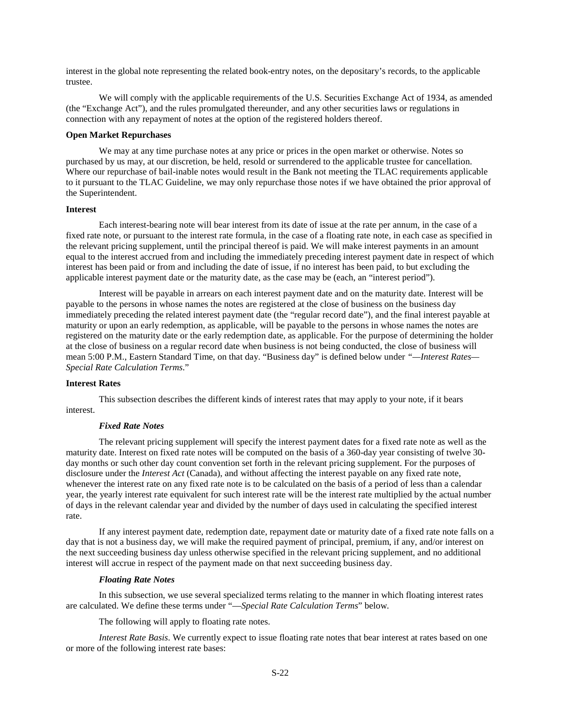interest in the global note representing the related book-entry notes, on the depositary's records, to the applicable trustee.

We will comply with the applicable requirements of the U.S. Securities Exchange Act of 1934, as amended (the "Exchange Act"), and the rules promulgated thereunder, and any other securities laws or regulations in connection with any repayment of notes at the option of the registered holders thereof.

#### **Open Market Repurchases**

We may at any time purchase notes at any price or prices in the open market or otherwise. Notes so purchased by us may, at our discretion, be held, resold or surrendered to the applicable trustee for cancellation. Where our repurchase of bail-inable notes would result in the Bank not meeting the TLAC requirements applicable to it pursuant to the TLAC Guideline, we may only repurchase those notes if we have obtained the prior approval of the Superintendent.

#### **Interest**

Each interest-bearing note will bear interest from its date of issue at the rate per annum, in the case of a fixed rate note, or pursuant to the interest rate formula, in the case of a floating rate note, in each case as specified in the relevant pricing supplement, until the principal thereof is paid. We will make interest payments in an amount equal to the interest accrued from and including the immediately preceding interest payment date in respect of which interest has been paid or from and including the date of issue, if no interest has been paid, to but excluding the applicable interest payment date or the maturity date, as the case may be (each, an "interest period").

Interest will be payable in arrears on each interest payment date and on the maturity date. Interest will be payable to the persons in whose names the notes are registered at the close of business on the business day immediately preceding the related interest payment date (the "regular record date"), and the final interest payable at maturity or upon an early redemption, as applicable, will be payable to the persons in whose names the notes are registered on the maturity date or the early redemption date, as applicable. For the purpose of determining the holder at the close of business on a regular record date when business is not being conducted, the close of business will mean 5:00 P.M., Eastern Standard Time, on that day. "Business day" is defined below under *"—Interest Rates— Special Rate Calculation Terms*."

#### **Interest Rates**

This subsection describes the different kinds of interest rates that may apply to your note, if it bears interest.

#### *Fixed Rate Notes*

The relevant pricing supplement will specify the interest payment dates for a fixed rate note as well as the maturity date. Interest on fixed rate notes will be computed on the basis of a 360-day year consisting of twelve 30 day months or such other day count convention set forth in the relevant pricing supplement. For the purposes of disclosure under the *Interest Act* (Canada), and without affecting the interest payable on any fixed rate note, whenever the interest rate on any fixed rate note is to be calculated on the basis of a period of less than a calendar year, the yearly interest rate equivalent for such interest rate will be the interest rate multiplied by the actual number of days in the relevant calendar year and divided by the number of days used in calculating the specified interest rate.

If any interest payment date, redemption date, repayment date or maturity date of a fixed rate note falls on a day that is not a business day, we will make the required payment of principal, premium, if any, and/or interest on the next succeeding business day unless otherwise specified in the relevant pricing supplement, and no additional interest will accrue in respect of the payment made on that next succeeding business day.

#### *Floating Rate Notes*

In this subsection, we use several specialized terms relating to the manner in which floating interest rates are calculated. We define these terms under "—*Special Rate Calculation Terms*" below.

The following will apply to floating rate notes.

*Interest Rate Basis*. We currently expect to issue floating rate notes that bear interest at rates based on one or more of the following interest rate bases: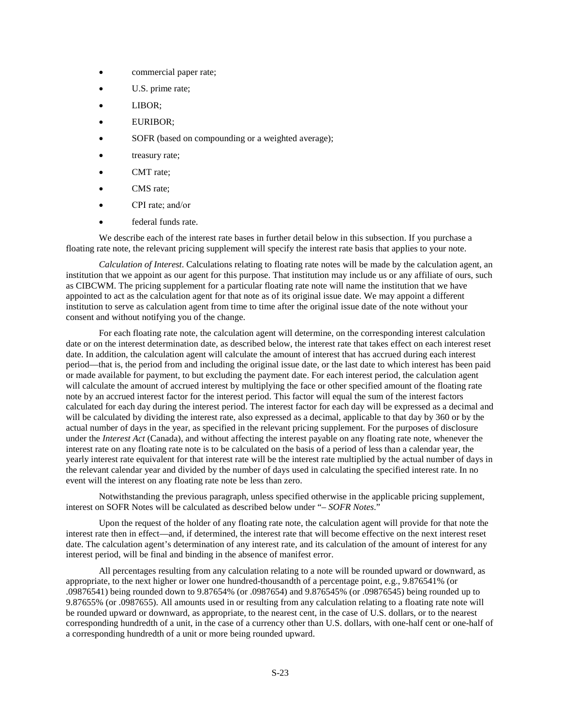- commercial paper rate;
- U.S. prime rate;
- LIBOR;
- EURIBOR;
- SOFR (based on compounding or a weighted average);
- treasury rate;
- CMT rate;
- CMS rate;
- CPI rate; and/or
- federal funds rate.

We describe each of the interest rate bases in further detail below in this subsection. If you purchase a floating rate note, the relevant pricing supplement will specify the interest rate basis that applies to your note.

*Calculation of Interest*. Calculations relating to floating rate notes will be made by the calculation agent, an institution that we appoint as our agent for this purpose. That institution may include us or any affiliate of ours, such as CIBCWM. The pricing supplement for a particular floating rate note will name the institution that we have appointed to act as the calculation agent for that note as of its original issue date. We may appoint a different institution to serve as calculation agent from time to time after the original issue date of the note without your consent and without notifying you of the change.

For each floating rate note, the calculation agent will determine, on the corresponding interest calculation date or on the interest determination date, as described below, the interest rate that takes effect on each interest reset date. In addition, the calculation agent will calculate the amount of interest that has accrued during each interest period—that is, the period from and including the original issue date, or the last date to which interest has been paid or made available for payment, to but excluding the payment date. For each interest period, the calculation agent will calculate the amount of accrued interest by multiplying the face or other specified amount of the floating rate note by an accrued interest factor for the interest period. This factor will equal the sum of the interest factors calculated for each day during the interest period. The interest factor for each day will be expressed as a decimal and will be calculated by dividing the interest rate, also expressed as a decimal, applicable to that day by 360 or by the actual number of days in the year, as specified in the relevant pricing supplement. For the purposes of disclosure under the *Interest Act* (Canada), and without affecting the interest payable on any floating rate note, whenever the interest rate on any floating rate note is to be calculated on the basis of a period of less than a calendar year, the yearly interest rate equivalent for that interest rate will be the interest rate multiplied by the actual number of days in the relevant calendar year and divided by the number of days used in calculating the specified interest rate. In no event will the interest on any floating rate note be less than zero.

Notwithstanding the previous paragraph, unless specified otherwise in the applicable pricing supplement, interest on SOFR Notes will be calculated as described below under "– *SOFR Notes*."

Upon the request of the holder of any floating rate note, the calculation agent will provide for that note the interest rate then in effect—and, if determined, the interest rate that will become effective on the next interest reset date. The calculation agent's determination of any interest rate, and its calculation of the amount of interest for any interest period, will be final and binding in the absence of manifest error.

All percentages resulting from any calculation relating to a note will be rounded upward or downward, as appropriate, to the next higher or lower one hundred-thousandth of a percentage point, e.g., 9.876541% (or .09876541) being rounded down to 9.87654% (or .0987654) and 9.876545% (or .09876545) being rounded up to 9.87655% (or .0987655). All amounts used in or resulting from any calculation relating to a floating rate note will be rounded upward or downward, as appropriate, to the nearest cent, in the case of U.S. dollars, or to the nearest corresponding hundredth of a unit, in the case of a currency other than U.S. dollars, with one-half cent or one-half of a corresponding hundredth of a unit or more being rounded upward.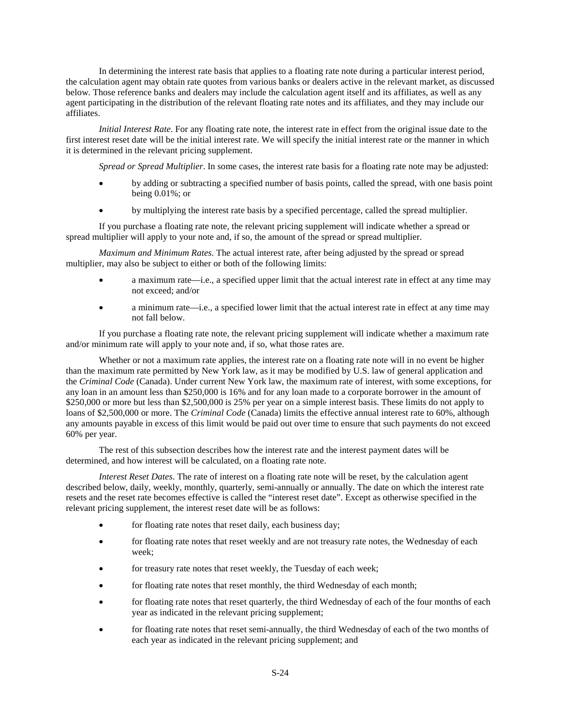In determining the interest rate basis that applies to a floating rate note during a particular interest period, the calculation agent may obtain rate quotes from various banks or dealers active in the relevant market, as discussed below. Those reference banks and dealers may include the calculation agent itself and its affiliates, as well as any agent participating in the distribution of the relevant floating rate notes and its affiliates, and they may include our affiliates.

*Initial Interest Rate*. For any floating rate note, the interest rate in effect from the original issue date to the first interest reset date will be the initial interest rate. We will specify the initial interest rate or the manner in which it is determined in the relevant pricing supplement.

*Spread or Spread Multiplier*. In some cases, the interest rate basis for a floating rate note may be adjusted:

- by adding or subtracting a specified number of basis points, called the spread, with one basis point being 0.01%; or
- by multiplying the interest rate basis by a specified percentage, called the spread multiplier.

If you purchase a floating rate note, the relevant pricing supplement will indicate whether a spread or spread multiplier will apply to your note and, if so, the amount of the spread or spread multiplier.

*Maximum and Minimum Rates*. The actual interest rate, after being adjusted by the spread or spread multiplier, may also be subject to either or both of the following limits:

- a maximum rate—i.e., a specified upper limit that the actual interest rate in effect at any time may not exceed; and/or
- a minimum rate—i.e., a specified lower limit that the actual interest rate in effect at any time may not fall below.

If you purchase a floating rate note, the relevant pricing supplement will indicate whether a maximum rate and/or minimum rate will apply to your note and, if so, what those rates are.

Whether or not a maximum rate applies, the interest rate on a floating rate note will in no event be higher than the maximum rate permitted by New York law, as it may be modified by U.S. law of general application and the *Criminal Code* (Canada). Under current New York law, the maximum rate of interest, with some exceptions, for any loan in an amount less than \$250,000 is 16% and for any loan made to a corporate borrower in the amount of \$250,000 or more but less than \$2,500,000 is 25% per year on a simple interest basis. These limits do not apply to loans of \$2,500,000 or more. The *Criminal Code* (Canada) limits the effective annual interest rate to 60%, although any amounts payable in excess of this limit would be paid out over time to ensure that such payments do not exceed 60% per year.

The rest of this subsection describes how the interest rate and the interest payment dates will be determined, and how interest will be calculated, on a floating rate note.

*Interest Reset Dates*. The rate of interest on a floating rate note will be reset, by the calculation agent described below, daily, weekly, monthly, quarterly, semi-annually or annually. The date on which the interest rate resets and the reset rate becomes effective is called the "interest reset date". Except as otherwise specified in the relevant pricing supplement, the interest reset date will be as follows:

- for floating rate notes that reset daily, each business day;
- for floating rate notes that reset weekly and are not treasury rate notes, the Wednesday of each week;
- for treasury rate notes that reset weekly, the Tuesday of each week;
- for floating rate notes that reset monthly, the third Wednesday of each month;
- for floating rate notes that reset quarterly, the third Wednesday of each of the four months of each year as indicated in the relevant pricing supplement;
- for floating rate notes that reset semi-annually, the third Wednesday of each of the two months of each year as indicated in the relevant pricing supplement; and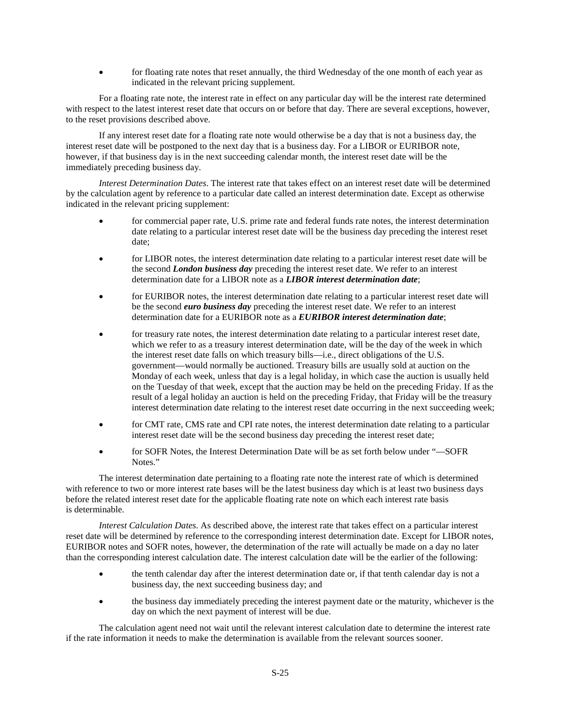for floating rate notes that reset annually, the third Wednesday of the one month of each year as indicated in the relevant pricing supplement.

For a floating rate note, the interest rate in effect on any particular day will be the interest rate determined with respect to the latest interest reset date that occurs on or before that day. There are several exceptions, however, to the reset provisions described above.

If any interest reset date for a floating rate note would otherwise be a day that is not a business day, the interest reset date will be postponed to the next day that is a business day. For a LIBOR or EURIBOR note, however, if that business day is in the next succeeding calendar month, the interest reset date will be the immediately preceding business day.

*Interest Determination Dates*. The interest rate that takes effect on an interest reset date will be determined by the calculation agent by reference to a particular date called an interest determination date. Except as otherwise indicated in the relevant pricing supplement:

- for commercial paper rate, U.S. prime rate and federal funds rate notes, the interest determination date relating to a particular interest reset date will be the business day preceding the interest reset date;
- for LIBOR notes, the interest determination date relating to a particular interest reset date will be the second *London business day* preceding the interest reset date. We refer to an interest determination date for a LIBOR note as a *LIBOR interest determination date*;
- for EURIBOR notes, the interest determination date relating to a particular interest reset date will be the second *euro business day* preceding the interest reset date. We refer to an interest determination date for a EURIBOR note as a *EURIBOR interest determination date*;
- for treasury rate notes, the interest determination date relating to a particular interest reset date, which we refer to as a treasury interest determination date, will be the day of the week in which the interest reset date falls on which treasury bills—i.e., direct obligations of the U.S. government—would normally be auctioned. Treasury bills are usually sold at auction on the Monday of each week, unless that day is a legal holiday, in which case the auction is usually held on the Tuesday of that week, except that the auction may be held on the preceding Friday. If as the result of a legal holiday an auction is held on the preceding Friday, that Friday will be the treasury interest determination date relating to the interest reset date occurring in the next succeeding week;
- for CMT rate, CMS rate and CPI rate notes, the interest determination date relating to a particular interest reset date will be the second business day preceding the interest reset date;
- for SOFR Notes, the Interest Determination Date will be as set forth below under "—SOFR Notes."

The interest determination date pertaining to a floating rate note the interest rate of which is determined with reference to two or more interest rate bases will be the latest business day which is at least two business days before the related interest reset date for the applicable floating rate note on which each interest rate basis is determinable.

*Interest Calculation Dates*. As described above, the interest rate that takes effect on a particular interest reset date will be determined by reference to the corresponding interest determination date. Except for LIBOR notes, EURIBOR notes and SOFR notes, however, the determination of the rate will actually be made on a day no later than the corresponding interest calculation date. The interest calculation date will be the earlier of the following:

- the tenth calendar day after the interest determination date or, if that tenth calendar day is not a business day, the next succeeding business day; and
- the business day immediately preceding the interest payment date or the maturity, whichever is the day on which the next payment of interest will be due.

The calculation agent need not wait until the relevant interest calculation date to determine the interest rate if the rate information it needs to make the determination is available from the relevant sources sooner.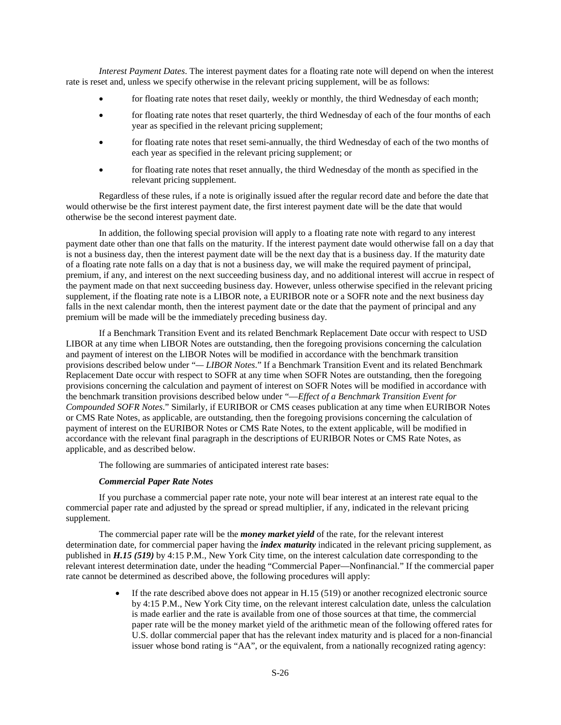*Interest Payment Dates*. The interest payment dates for a floating rate note will depend on when the interest rate is reset and, unless we specify otherwise in the relevant pricing supplement, will be as follows:

- for floating rate notes that reset daily, weekly or monthly, the third Wednesday of each month;
- for floating rate notes that reset quarterly, the third Wednesday of each of the four months of each year as specified in the relevant pricing supplement;
- for floating rate notes that reset semi-annually, the third Wednesday of each of the two months of each year as specified in the relevant pricing supplement; or
- for floating rate notes that reset annually, the third Wednesday of the month as specified in the relevant pricing supplement.

Regardless of these rules, if a note is originally issued after the regular record date and before the date that would otherwise be the first interest payment date, the first interest payment date will be the date that would otherwise be the second interest payment date.

In addition, the following special provision will apply to a floating rate note with regard to any interest payment date other than one that falls on the maturity. If the interest payment date would otherwise fall on a day that is not a business day, then the interest payment date will be the next day that is a business day. If the maturity date of a floating rate note falls on a day that is not a business day, we will make the required payment of principal, premium, if any, and interest on the next succeeding business day, and no additional interest will accrue in respect of the payment made on that next succeeding business day. However, unless otherwise specified in the relevant pricing supplement, if the floating rate note is a LIBOR note, a EURIBOR note or a SOFR note and the next business day falls in the next calendar month, then the interest payment date or the date that the payment of principal and any premium will be made will be the immediately preceding business day.

If a Benchmark Transition Event and its related Benchmark Replacement Date occur with respect to USD LIBOR at any time when LIBOR Notes are outstanding, then the foregoing provisions concerning the calculation and payment of interest on the LIBOR Notes will be modified in accordance with the benchmark transition provisions described below under "*— LIBOR Notes*." If a Benchmark Transition Event and its related Benchmark Replacement Date occur with respect to SOFR at any time when SOFR Notes are outstanding, then the foregoing provisions concerning the calculation and payment of interest on SOFR Notes will be modified in accordance with the benchmark transition provisions described below under "—*Effect of a Benchmark Transition Event for Compounded SOFR Notes*." Similarly, if EURIBOR or CMS ceases publication at any time when EURIBOR Notes or CMS Rate Notes, as applicable, are outstanding, then the foregoing provisions concerning the calculation of payment of interest on the EURIBOR Notes or CMS Rate Notes, to the extent applicable, will be modified in accordance with the relevant final paragraph in the descriptions of EURIBOR Notes or CMS Rate Notes, as applicable, and as described below.

The following are summaries of anticipated interest rate bases:

#### *Commercial Paper Rate Notes*

If you purchase a commercial paper rate note, your note will bear interest at an interest rate equal to the commercial paper rate and adjusted by the spread or spread multiplier, if any, indicated in the relevant pricing supplement.

The commercial paper rate will be the *money market yield* of the rate, for the relevant interest determination date, for commercial paper having the *index maturity* indicated in the relevant pricing supplement, as published in *H.15 (519)* by 4:15 P.M., New York City time, on the interest calculation date corresponding to the relevant interest determination date, under the heading "Commercial Paper—Nonfinancial." If the commercial paper rate cannot be determined as described above, the following procedures will apply:

> • If the rate described above does not appear in H.15 (519) or another recognized electronic source by 4:15 P.M., New York City time, on the relevant interest calculation date, unless the calculation is made earlier and the rate is available from one of those sources at that time, the commercial paper rate will be the money market yield of the arithmetic mean of the following offered rates for U.S. dollar commercial paper that has the relevant index maturity and is placed for a non-financial issuer whose bond rating is "AA", or the equivalent, from a nationally recognized rating agency: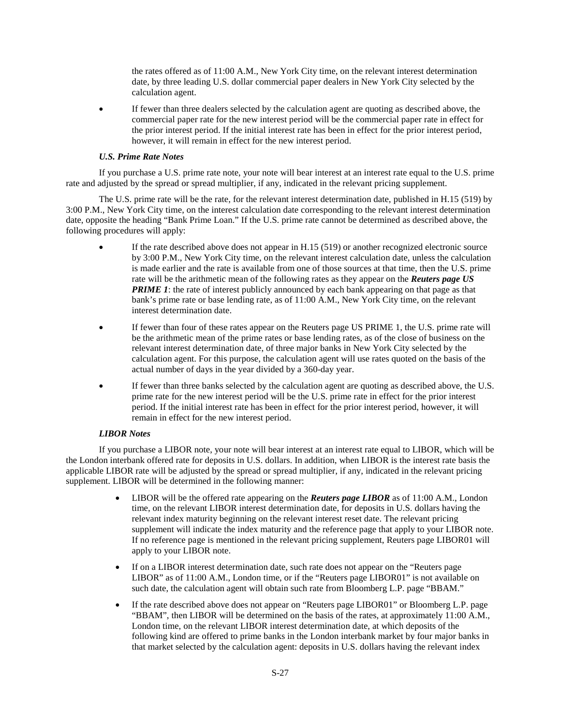the rates offered as of 11:00 A.M., New York City time, on the relevant interest determination date, by three leading U.S. dollar commercial paper dealers in New York City selected by the calculation agent.

 If fewer than three dealers selected by the calculation agent are quoting as described above, the commercial paper rate for the new interest period will be the commercial paper rate in effect for the prior interest period. If the initial interest rate has been in effect for the prior interest period, however, it will remain in effect for the new interest period.

# *U.S. Prime Rate Notes*

If you purchase a U.S. prime rate note, your note will bear interest at an interest rate equal to the U.S. prime rate and adjusted by the spread or spread multiplier, if any, indicated in the relevant pricing supplement.

The U.S. prime rate will be the rate, for the relevant interest determination date, published in H.15 (519) by 3:00 P.M., New York City time, on the interest calculation date corresponding to the relevant interest determination date, opposite the heading "Bank Prime Loan." If the U.S. prime rate cannot be determined as described above, the following procedures will apply:

- If the rate described above does not appear in H.15 (519) or another recognized electronic source by 3:00 P.M., New York City time, on the relevant interest calculation date, unless the calculation is made earlier and the rate is available from one of those sources at that time, then the U.S. prime rate will be the arithmetic mean of the following rates as they appear on the *Reuters page US PRIME 1*: the rate of interest publicly announced by each bank appearing on that page as that bank's prime rate or base lending rate, as of 11:00 A.M., New York City time, on the relevant interest determination date.
- If fewer than four of these rates appear on the Reuters page US PRIME 1, the U.S. prime rate will be the arithmetic mean of the prime rates or base lending rates, as of the close of business on the relevant interest determination date, of three major banks in New York City selected by the calculation agent. For this purpose, the calculation agent will use rates quoted on the basis of the actual number of days in the year divided by a 360-day year.
- If fewer than three banks selected by the calculation agent are quoting as described above, the U.S. prime rate for the new interest period will be the U.S. prime rate in effect for the prior interest period. If the initial interest rate has been in effect for the prior interest period, however, it will remain in effect for the new interest period.

# *LIBOR Notes*

If you purchase a LIBOR note, your note will bear interest at an interest rate equal to LIBOR, which will be the London interbank offered rate for deposits in U.S. dollars. In addition, when LIBOR is the interest rate basis the applicable LIBOR rate will be adjusted by the spread or spread multiplier, if any, indicated in the relevant pricing supplement. LIBOR will be determined in the following manner:

- LIBOR will be the offered rate appearing on the *Reuters page LIBOR* as of 11:00 A.M., London time, on the relevant LIBOR interest determination date, for deposits in U.S. dollars having the relevant index maturity beginning on the relevant interest reset date. The relevant pricing supplement will indicate the index maturity and the reference page that apply to your LIBOR note. If no reference page is mentioned in the relevant pricing supplement, Reuters page LIBOR01 will apply to your LIBOR note.
- If on a LIBOR interest determination date, such rate does not appear on the "Reuters page" LIBOR" as of 11:00 A.M., London time, or if the "Reuters page LIBOR01" is not available on such date, the calculation agent will obtain such rate from Bloomberg L.P. page "BBAM."
- If the rate described above does not appear on "Reuters page LIBOR01" or Bloomberg L.P. page "BBAM", then LIBOR will be determined on the basis of the rates, at approximately 11:00 A.M., London time, on the relevant LIBOR interest determination date, at which deposits of the following kind are offered to prime banks in the London interbank market by four major banks in that market selected by the calculation agent: deposits in U.S. dollars having the relevant index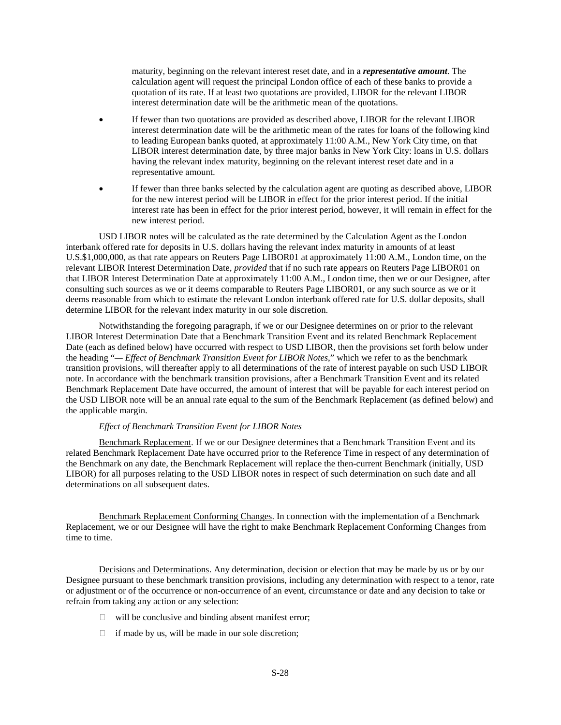maturity, beginning on the relevant interest reset date, and in a *representative amount*. The calculation agent will request the principal London office of each of these banks to provide a quotation of its rate. If at least two quotations are provided, LIBOR for the relevant LIBOR interest determination date will be the arithmetic mean of the quotations.

- If fewer than two quotations are provided as described above, LIBOR for the relevant LIBOR interest determination date will be the arithmetic mean of the rates for loans of the following kind to leading European banks quoted, at approximately 11:00 A.M., New York City time, on that LIBOR interest determination date, by three major banks in New York City: loans in U.S. dollars having the relevant index maturity, beginning on the relevant interest reset date and in a representative amount.
- If fewer than three banks selected by the calculation agent are quoting as described above, LIBOR for the new interest period will be LIBOR in effect for the prior interest period. If the initial interest rate has been in effect for the prior interest period, however, it will remain in effect for the new interest period.

USD LIBOR notes will be calculated as the rate determined by the Calculation Agent as the London interbank offered rate for deposits in U.S. dollars having the relevant index maturity in amounts of at least U.S.\$1,000,000, as that rate appears on Reuters Page LIBOR01 at approximately 11:00 A.M., London time, on the relevant LIBOR Interest Determination Date, *provided* that if no such rate appears on Reuters Page LIBOR01 on that LIBOR Interest Determination Date at approximately 11:00 A.M., London time, then we or our Designee, after consulting such sources as we or it deems comparable to Reuters Page LIBOR01, or any such source as we or it deems reasonable from which to estimate the relevant London interbank offered rate for U.S. dollar deposits, shall determine LIBOR for the relevant index maturity in our sole discretion.

Notwithstanding the foregoing paragraph, if we or our Designee determines on or prior to the relevant LIBOR Interest Determination Date that a Benchmark Transition Event and its related Benchmark Replacement Date (each as defined below) have occurred with respect to USD LIBOR, then the provisions set forth below under the heading "*— Effect of Benchmark Transition Event for LIBOR Notes*," which we refer to as the benchmark transition provisions, will thereafter apply to all determinations of the rate of interest payable on such USD LIBOR note. In accordance with the benchmark transition provisions, after a Benchmark Transition Event and its related Benchmark Replacement Date have occurred, the amount of interest that will be payable for each interest period on the USD LIBOR note will be an annual rate equal to the sum of the Benchmark Replacement (as defined below) and the applicable margin.

#### *Effect of Benchmark Transition Event for LIBOR Notes*

Benchmark Replacement. If we or our Designee determines that a Benchmark Transition Event and its related Benchmark Replacement Date have occurred prior to the Reference Time in respect of any determination of the Benchmark on any date, the Benchmark Replacement will replace the then-current Benchmark (initially, USD LIBOR) for all purposes relating to the USD LIBOR notes in respect of such determination on such date and all determinations on all subsequent dates.

Benchmark Replacement Conforming Changes. In connection with the implementation of a Benchmark Replacement, we or our Designee will have the right to make Benchmark Replacement Conforming Changes from time to time.

Decisions and Determinations. Any determination, decision or election that may be made by us or by our Designee pursuant to these benchmark transition provisions, including any determination with respect to a tenor, rate or adjustment or of the occurrence or non-occurrence of an event, circumstance or date and any decision to take or refrain from taking any action or any selection:

- $\Box$  will be conclusive and binding absent manifest error;
- $\Box$  if made by us, will be made in our sole discretion;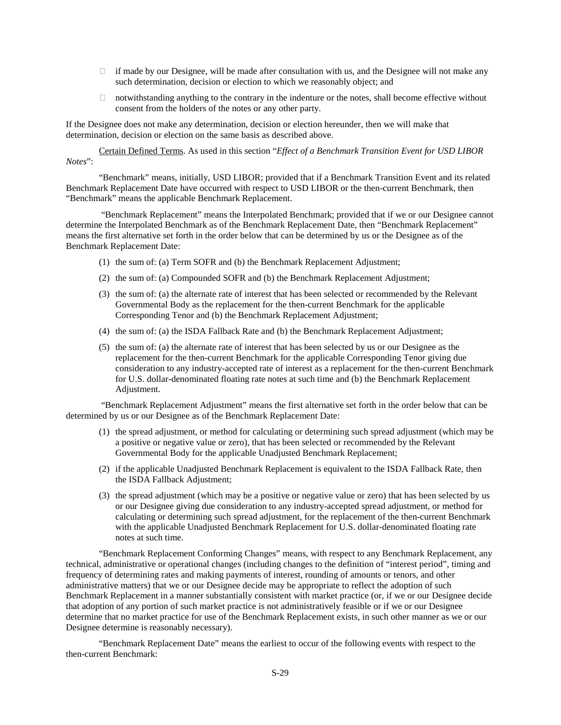- $\Box$  if made by our Designee, will be made after consultation with us, and the Designee will not make any such determination, decision or election to which we reasonably object; and
- $\Box$  notwithstanding anything to the contrary in the indenture or the notes, shall become effective without consent from the holders of the notes or any other party.

If the Designee does not make any determination, decision or election hereunder, then we will make that determination, decision or election on the same basis as described above.

Certain Defined Terms. As used in this section "*Effect of a Benchmark Transition Event for USD LIBOR Notes*":

"Benchmark" means, initially, USD LIBOR; provided that if a Benchmark Transition Event and its related Benchmark Replacement Date have occurred with respect to USD LIBOR or the then-current Benchmark, then "Benchmark" means the applicable Benchmark Replacement.

 "Benchmark Replacement" means the Interpolated Benchmark; provided that if we or our Designee cannot determine the Interpolated Benchmark as of the Benchmark Replacement Date, then "Benchmark Replacement" means the first alternative set forth in the order below that can be determined by us or the Designee as of the Benchmark Replacement Date:

- (1) the sum of: (a) Term SOFR and (b) the Benchmark Replacement Adjustment;
- (2) the sum of: (a) Compounded SOFR and (b) the Benchmark Replacement Adjustment;
- (3) the sum of: (a) the alternate rate of interest that has been selected or recommended by the Relevant Governmental Body as the replacement for the then-current Benchmark for the applicable Corresponding Tenor and (b) the Benchmark Replacement Adjustment;
- (4) the sum of: (a) the ISDA Fallback Rate and (b) the Benchmark Replacement Adjustment;
- (5) the sum of: (a) the alternate rate of interest that has been selected by us or our Designee as the replacement for the then-current Benchmark for the applicable Corresponding Tenor giving due consideration to any industry-accepted rate of interest as a replacement for the then-current Benchmark for U.S. dollar-denominated floating rate notes at such time and (b) the Benchmark Replacement Adjustment.

 "Benchmark Replacement Adjustment" means the first alternative set forth in the order below that can be determined by us or our Designee as of the Benchmark Replacement Date:

- (1) the spread adjustment, or method for calculating or determining such spread adjustment (which may be a positive or negative value or zero), that has been selected or recommended by the Relevant Governmental Body for the applicable Unadjusted Benchmark Replacement;
- (2) if the applicable Unadjusted Benchmark Replacement is equivalent to the ISDA Fallback Rate, then the ISDA Fallback Adjustment;
- (3) the spread adjustment (which may be a positive or negative value or zero) that has been selected by us or our Designee giving due consideration to any industry-accepted spread adjustment, or method for calculating or determining such spread adjustment, for the replacement of the then-current Benchmark with the applicable Unadjusted Benchmark Replacement for U.S. dollar-denominated floating rate notes at such time.

"Benchmark Replacement Conforming Changes" means, with respect to any Benchmark Replacement, any technical, administrative or operational changes (including changes to the definition of "interest period", timing and frequency of determining rates and making payments of interest, rounding of amounts or tenors, and other administrative matters) that we or our Designee decide may be appropriate to reflect the adoption of such Benchmark Replacement in a manner substantially consistent with market practice (or, if we or our Designee decide that adoption of any portion of such market practice is not administratively feasible or if we or our Designee determine that no market practice for use of the Benchmark Replacement exists, in such other manner as we or our Designee determine is reasonably necessary).

"Benchmark Replacement Date" means the earliest to occur of the following events with respect to the then-current Benchmark: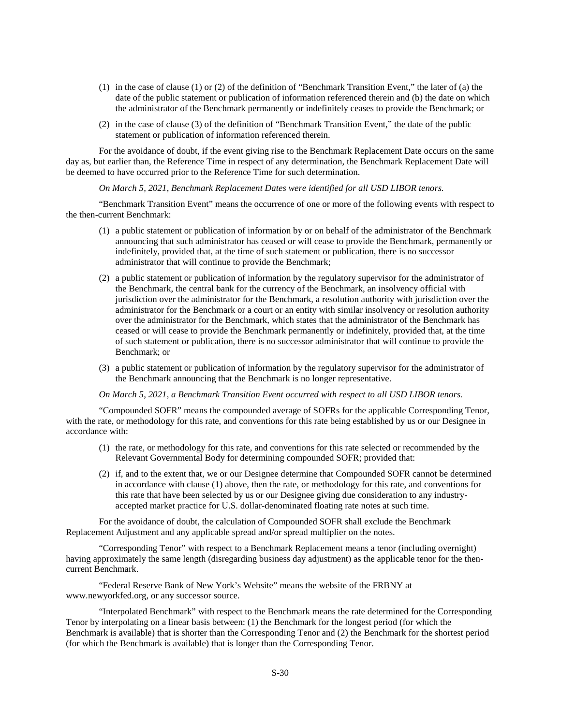- (1) in the case of clause (1) or (2) of the definition of "Benchmark Transition Event," the later of (a) the date of the public statement or publication of information referenced therein and (b) the date on which the administrator of the Benchmark permanently or indefinitely ceases to provide the Benchmark; or
- (2) in the case of clause (3) of the definition of "Benchmark Transition Event," the date of the public statement or publication of information referenced therein.

For the avoidance of doubt, if the event giving rise to the Benchmark Replacement Date occurs on the same day as, but earlier than, the Reference Time in respect of any determination, the Benchmark Replacement Date will be deemed to have occurred prior to the Reference Time for such determination.

*On March 5, 2021, Benchmark Replacement Dates were identified for all USD LIBOR tenors.* 

"Benchmark Transition Event" means the occurrence of one or more of the following events with respect to the then-current Benchmark:

- (1) a public statement or publication of information by or on behalf of the administrator of the Benchmark announcing that such administrator has ceased or will cease to provide the Benchmark, permanently or indefinitely, provided that, at the time of such statement or publication, there is no successor administrator that will continue to provide the Benchmark;
- (2) a public statement or publication of information by the regulatory supervisor for the administrator of the Benchmark, the central bank for the currency of the Benchmark, an insolvency official with jurisdiction over the administrator for the Benchmark, a resolution authority with jurisdiction over the administrator for the Benchmark or a court or an entity with similar insolvency or resolution authority over the administrator for the Benchmark, which states that the administrator of the Benchmark has ceased or will cease to provide the Benchmark permanently or indefinitely, provided that, at the time of such statement or publication, there is no successor administrator that will continue to provide the Benchmark; or
- (3) a public statement or publication of information by the regulatory supervisor for the administrator of the Benchmark announcing that the Benchmark is no longer representative.

*On March 5, 2021, a Benchmark Transition Event occurred with respect to all USD LIBOR tenors.* 

"Compounded SOFR" means the compounded average of SOFRs for the applicable Corresponding Tenor, with the rate, or methodology for this rate, and conventions for this rate being established by us or our Designee in accordance with:

- (1) the rate, or methodology for this rate, and conventions for this rate selected or recommended by the Relevant Governmental Body for determining compounded SOFR; provided that:
- (2) if, and to the extent that, we or our Designee determine that Compounded SOFR cannot be determined in accordance with clause (1) above, then the rate, or methodology for this rate, and conventions for this rate that have been selected by us or our Designee giving due consideration to any industryaccepted market practice for U.S. dollar-denominated floating rate notes at such time.

For the avoidance of doubt, the calculation of Compounded SOFR shall exclude the Benchmark Replacement Adjustment and any applicable spread and/or spread multiplier on the notes.

"Corresponding Tenor" with respect to a Benchmark Replacement means a tenor (including overnight) having approximately the same length (disregarding business day adjustment) as the applicable tenor for the thencurrent Benchmark.

"Federal Reserve Bank of New York's Website" means the website of the FRBNY at www.newyorkfed.org, or any successor source.

"Interpolated Benchmark" with respect to the Benchmark means the rate determined for the Corresponding Tenor by interpolating on a linear basis between: (1) the Benchmark for the longest period (for which the Benchmark is available) that is shorter than the Corresponding Tenor and (2) the Benchmark for the shortest period (for which the Benchmark is available) that is longer than the Corresponding Tenor.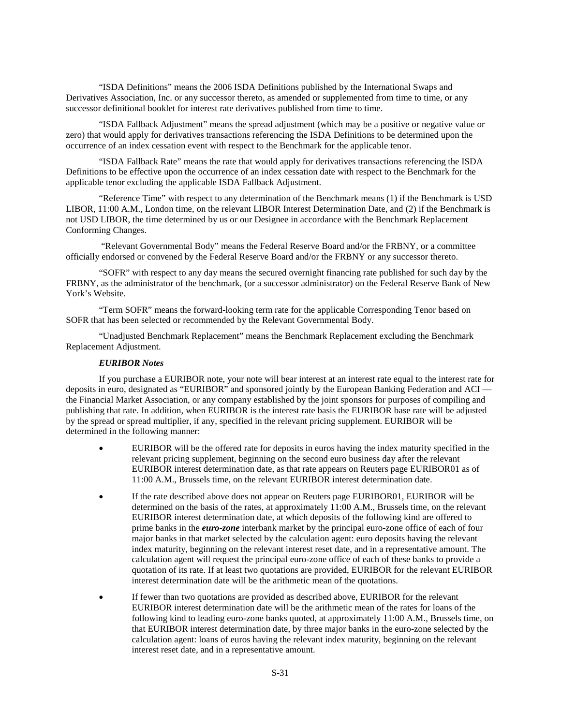"ISDA Definitions" means the 2006 ISDA Definitions published by the International Swaps and Derivatives Association, Inc. or any successor thereto, as amended or supplemented from time to time, or any successor definitional booklet for interest rate derivatives published from time to time.

"ISDA Fallback Adjustment" means the spread adjustment (which may be a positive or negative value or zero) that would apply for derivatives transactions referencing the ISDA Definitions to be determined upon the occurrence of an index cessation event with respect to the Benchmark for the applicable tenor.

"ISDA Fallback Rate" means the rate that would apply for derivatives transactions referencing the ISDA Definitions to be effective upon the occurrence of an index cessation date with respect to the Benchmark for the applicable tenor excluding the applicable ISDA Fallback Adjustment.

"Reference Time" with respect to any determination of the Benchmark means (1) if the Benchmark is USD LIBOR, 11:00 A.M., London time, on the relevant LIBOR Interest Determination Date, and (2) if the Benchmark is not USD LIBOR, the time determined by us or our Designee in accordance with the Benchmark Replacement Conforming Changes.

 "Relevant Governmental Body" means the Federal Reserve Board and/or the FRBNY, or a committee officially endorsed or convened by the Federal Reserve Board and/or the FRBNY or any successor thereto.

"SOFR" with respect to any day means the secured overnight financing rate published for such day by the FRBNY, as the administrator of the benchmark, (or a successor administrator) on the Federal Reserve Bank of New York's Website.

"Term SOFR" means the forward-looking term rate for the applicable Corresponding Tenor based on SOFR that has been selected or recommended by the Relevant Governmental Body.

"Unadjusted Benchmark Replacement" means the Benchmark Replacement excluding the Benchmark Replacement Adjustment.

# *EURIBOR Notes*

If you purchase a EURIBOR note, your note will bear interest at an interest rate equal to the interest rate for deposits in euro, designated as "EURIBOR" and sponsored jointly by the European Banking Federation and ACI the Financial Market Association, or any company established by the joint sponsors for purposes of compiling and publishing that rate. In addition, when EURIBOR is the interest rate basis the EURIBOR base rate will be adjusted by the spread or spread multiplier, if any, specified in the relevant pricing supplement. EURIBOR will be determined in the following manner:

- EURIBOR will be the offered rate for deposits in euros having the index maturity specified in the relevant pricing supplement, beginning on the second euro business day after the relevant EURIBOR interest determination date, as that rate appears on Reuters page EURIBOR01 as of 11:00 A.M., Brussels time, on the relevant EURIBOR interest determination date.
- If the rate described above does not appear on Reuters page EURIBOR01, EURIBOR will be determined on the basis of the rates, at approximately 11:00 A.M., Brussels time, on the relevant EURIBOR interest determination date, at which deposits of the following kind are offered to prime banks in the *euro-zone* interbank market by the principal euro-zone office of each of four major banks in that market selected by the calculation agent: euro deposits having the relevant index maturity, beginning on the relevant interest reset date, and in a representative amount. The calculation agent will request the principal euro-zone office of each of these banks to provide a quotation of its rate. If at least two quotations are provided, EURIBOR for the relevant EURIBOR interest determination date will be the arithmetic mean of the quotations.
- If fewer than two quotations are provided as described above, EURIBOR for the relevant EURIBOR interest determination date will be the arithmetic mean of the rates for loans of the following kind to leading euro-zone banks quoted, at approximately 11:00 A.M., Brussels time, on that EURIBOR interest determination date, by three major banks in the euro-zone selected by the calculation agent: loans of euros having the relevant index maturity, beginning on the relevant interest reset date, and in a representative amount.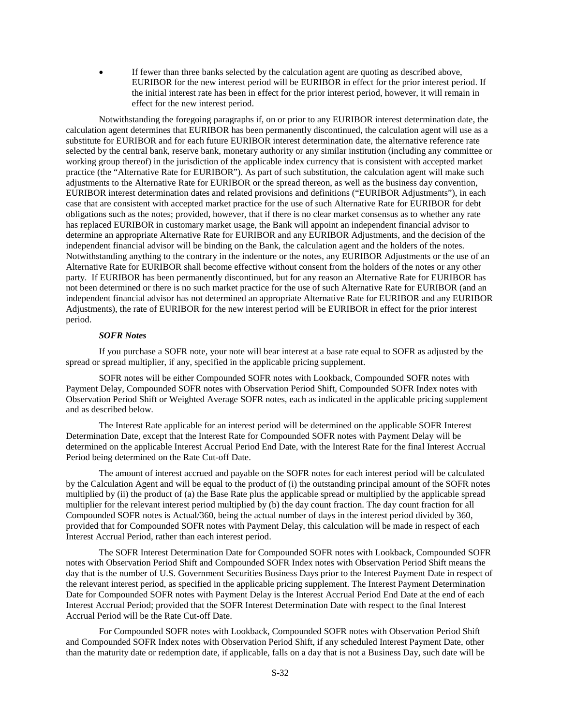If fewer than three banks selected by the calculation agent are quoting as described above, EURIBOR for the new interest period will be EURIBOR in effect for the prior interest period. If the initial interest rate has been in effect for the prior interest period, however, it will remain in effect for the new interest period.

Notwithstanding the foregoing paragraphs if, on or prior to any EURIBOR interest determination date, the calculation agent determines that EURIBOR has been permanently discontinued, the calculation agent will use as a substitute for EURIBOR and for each future EURIBOR interest determination date, the alternative reference rate selected by the central bank, reserve bank, monetary authority or any similar institution (including any committee or working group thereof) in the jurisdiction of the applicable index currency that is consistent with accepted market practice (the "Alternative Rate for EURIBOR"). As part of such substitution, the calculation agent will make such adjustments to the Alternative Rate for EURIBOR or the spread thereon, as well as the business day convention, EURIBOR interest determination dates and related provisions and definitions ("EURIBOR Adjustments"), in each case that are consistent with accepted market practice for the use of such Alternative Rate for EURIBOR for debt obligations such as the notes; provided, however, that if there is no clear market consensus as to whether any rate has replaced EURIBOR in customary market usage, the Bank will appoint an independent financial advisor to determine an appropriate Alternative Rate for EURIBOR and any EURIBOR Adjustments, and the decision of the independent financial advisor will be binding on the Bank, the calculation agent and the holders of the notes. Notwithstanding anything to the contrary in the indenture or the notes, any EURIBOR Adjustments or the use of an Alternative Rate for EURIBOR shall become effective without consent from the holders of the notes or any other party. If EURIBOR has been permanently discontinued, but for any reason an Alternative Rate for EURIBOR has not been determined or there is no such market practice for the use of such Alternative Rate for EURIBOR (and an independent financial advisor has not determined an appropriate Alternative Rate for EURIBOR and any EURIBOR Adjustments), the rate of EURIBOR for the new interest period will be EURIBOR in effect for the prior interest period.

#### *SOFR Notes*

If you purchase a SOFR note, your note will bear interest at a base rate equal to SOFR as adjusted by the spread or spread multiplier, if any, specified in the applicable pricing supplement.

SOFR notes will be either Compounded SOFR notes with Lookback, Compounded SOFR notes with Payment Delay, Compounded SOFR notes with Observation Period Shift, Compounded SOFR Index notes with Observation Period Shift or Weighted Average SOFR notes, each as indicated in the applicable pricing supplement and as described below.

The Interest Rate applicable for an interest period will be determined on the applicable SOFR Interest Determination Date, except that the Interest Rate for Compounded SOFR notes with Payment Delay will be determined on the applicable Interest Accrual Period End Date, with the Interest Rate for the final Interest Accrual Period being determined on the Rate Cut-off Date.

The amount of interest accrued and payable on the SOFR notes for each interest period will be calculated by the Calculation Agent and will be equal to the product of (i) the outstanding principal amount of the SOFR notes multiplied by (ii) the product of (a) the Base Rate plus the applicable spread or multiplied by the applicable spread multiplier for the relevant interest period multiplied by (b) the day count fraction. The day count fraction for all Compounded SOFR notes is Actual/360, being the actual number of days in the interest period divided by 360, provided that for Compounded SOFR notes with Payment Delay, this calculation will be made in respect of each Interest Accrual Period, rather than each interest period.

The SOFR Interest Determination Date for Compounded SOFR notes with Lookback, Compounded SOFR notes with Observation Period Shift and Compounded SOFR Index notes with Observation Period Shift means the day that is the number of U.S. Government Securities Business Days prior to the Interest Payment Date in respect of the relevant interest period, as specified in the applicable pricing supplement. The Interest Payment Determination Date for Compounded SOFR notes with Payment Delay is the Interest Accrual Period End Date at the end of each Interest Accrual Period; provided that the SOFR Interest Determination Date with respect to the final Interest Accrual Period will be the Rate Cut-off Date.

For Compounded SOFR notes with Lookback, Compounded SOFR notes with Observation Period Shift and Compounded SOFR Index notes with Observation Period Shift, if any scheduled Interest Payment Date, other than the maturity date or redemption date, if applicable, falls on a day that is not a Business Day, such date will be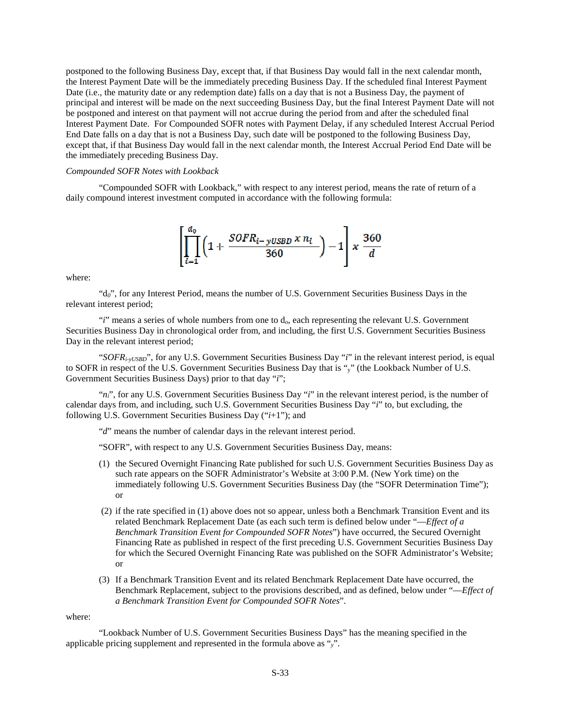postponed to the following Business Day, except that, if that Business Day would fall in the next calendar month, the Interest Payment Date will be the immediately preceding Business Day. If the scheduled final Interest Payment Date (i.e., the maturity date or any redemption date) falls on a day that is not a Business Day, the payment of principal and interest will be made on the next succeeding Business Day, but the final Interest Payment Date will not be postponed and interest on that payment will not accrue during the period from and after the scheduled final Interest Payment Date. For Compounded SOFR notes with Payment Delay, if any scheduled Interest Accrual Period End Date falls on a day that is not a Business Day, such date will be postponed to the following Business Day, except that, if that Business Day would fall in the next calendar month, the Interest Accrual Period End Date will be the immediately preceding Business Day.

## *Compounded SOFR Notes with Lookback*

"Compounded SOFR with Lookback," with respect to any interest period, means the rate of return of a daily compound interest investment computed in accordance with the following formula:



where:

"d*0*", for any Interest Period, means the number of U.S. Government Securities Business Days in the relevant interest period;

"*i*" means a series of whole numbers from one to d*o*, each representing the relevant U.S. Government Securities Business Day in chronological order from, and including, the first U.S. Government Securities Business Day in the relevant interest period;

"*SOFRi-yUSBD*", for any U.S. Government Securities Business Day "*i*" in the relevant interest period, is equal to SOFR in respect of the U.S. Government Securities Business Day that is "y" (the Lookback Number of U.S. Government Securities Business Days) prior to that day "*i*";

"*ni*", for any U.S. Government Securities Business Day "*i*" in the relevant interest period, is the number of calendar days from, and including, such U.S. Government Securities Business Day "*i*" to, but excluding, the following U.S. Government Securities Business Day ("*i*+1"); and

"*d*" means the number of calendar days in the relevant interest period.

"SOFR", with respect to any U.S. Government Securities Business Day, means:

- (1) the Secured Overnight Financing Rate published for such U.S. Government Securities Business Day as such rate appears on the SOFR Administrator's Website at 3:00 P.M. (New York time) on the immediately following U.S. Government Securities Business Day (the "SOFR Determination Time"); or
- (2) if the rate specified in (1) above does not so appear, unless both a Benchmark Transition Event and its related Benchmark Replacement Date (as each such term is defined below under "—*Effect of a Benchmark Transition Event for Compounded SOFR Notes*") have occurred, the Secured Overnight Financing Rate as published in respect of the first preceding U.S. Government Securities Business Day for which the Secured Overnight Financing Rate was published on the SOFR Administrator's Website; or
- (3) If a Benchmark Transition Event and its related Benchmark Replacement Date have occurred, the Benchmark Replacement, subject to the provisions described, and as defined, below under "—*Effect of a Benchmark Transition Event for Compounded SOFR Notes*".

where:

"Lookback Number of U.S. Government Securities Business Days" has the meaning specified in the applicable pricing supplement and represented in the formula above as "*y*".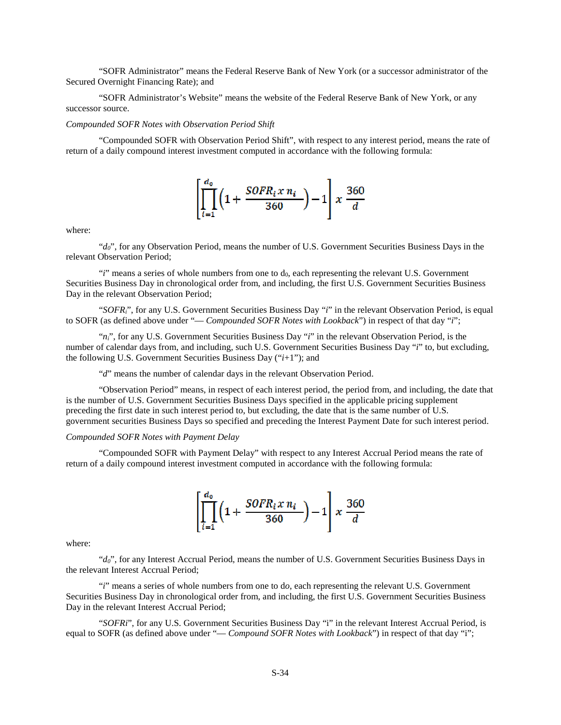"SOFR Administrator" means the Federal Reserve Bank of New York (or a successor administrator of the Secured Overnight Financing Rate); and

"SOFR Administrator's Website" means the website of the Federal Reserve Bank of New York, or any successor source.

#### *Compounded SOFR Notes with Observation Period Shift*

"Compounded SOFR with Observation Period Shift", with respect to any interest period, means the rate of return of a daily compound interest investment computed in accordance with the following formula:

$$
\left[\prod_{i=1}^{d_0}\left(1+\frac{SOFR_i x n_i}{360}\right)-1\right]x \frac{360}{d}
$$

where:

"*d0*", for any Observation Period, means the number of U.S. Government Securities Business Days in the relevant Observation Period;

 $i$ <sup>"</sup>*i*" means a series of whole numbers from one to  $d_0$ , each representing the relevant U.S. Government Securities Business Day in chronological order from, and including, the first U.S. Government Securities Business Day in the relevant Observation Period;

"*SOFRi*", for any U.S. Government Securities Business Day "*i*" in the relevant Observation Period, is equal to SOFR (as defined above under "— *Compounded SOFR Notes with Lookback*") in respect of that day "*i*";

" $n_i$ ", for any U.S. Government Securities Business Day "*i*" in the relevant Observation Period, is the number of calendar days from, and including, such U.S. Government Securities Business Day "*i*" to, but excluding, the following U.S. Government Securities Business Day ("*i*+1"); and

"*d*" means the number of calendar days in the relevant Observation Period.

"Observation Period" means, in respect of each interest period, the period from, and including, the date that is the number of U.S. Government Securities Business Days specified in the applicable pricing supplement preceding the first date in such interest period to, but excluding, the date that is the same number of U.S. government securities Business Days so specified and preceding the Interest Payment Date for such interest period.

*Compounded SOFR Notes with Payment Delay*

"Compounded SOFR with Payment Delay" with respect to any Interest Accrual Period means the rate of return of a daily compound interest investment computed in accordance with the following formula:

$$
\left[\prod_{i=1}^{d_0}\left(1+\frac{SOFR_i x n_i}{360}\right)-1\right]x \frac{360}{d}
$$

where:

"*d0*", for any Interest Accrual Period, means the number of U.S. Government Securities Business Days in the relevant Interest Accrual Period;

"*i*" means a series of whole numbers from one to d*o*, each representing the relevant U.S. Government Securities Business Day in chronological order from, and including, the first U.S. Government Securities Business Day in the relevant Interest Accrual Period;

"*SOFRi*", for any U.S. Government Securities Business Day "i" in the relevant Interest Accrual Period, is equal to SOFR (as defined above under "— *Compound SOFR Notes with Lookback*") in respect of that day "i";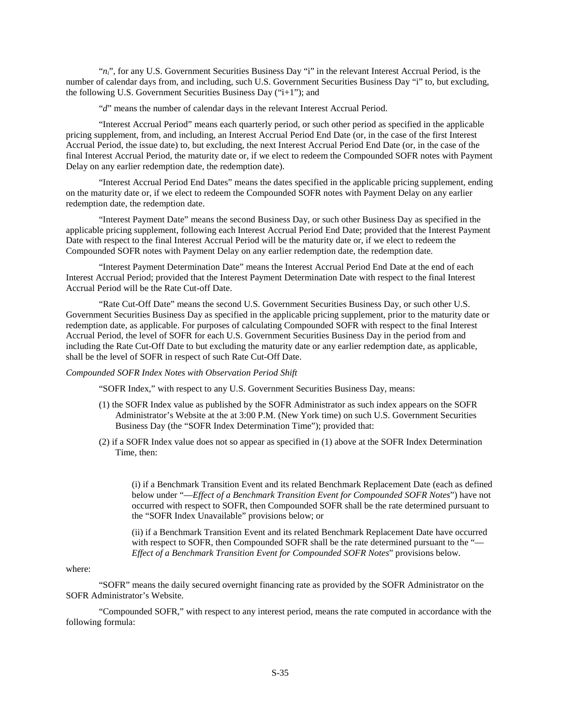" $n_i$ ", for any U.S. Government Securities Business Day "i" in the relevant Interest Accrual Period, is the number of calendar days from, and including, such U.S. Government Securities Business Day "i" to, but excluding, the following U.S. Government Securities Business Day ("i+1"); and

"*d*" means the number of calendar days in the relevant Interest Accrual Period.

"Interest Accrual Period" means each quarterly period, or such other period as specified in the applicable pricing supplement, from, and including, an Interest Accrual Period End Date (or, in the case of the first Interest Accrual Period, the issue date) to, but excluding, the next Interest Accrual Period End Date (or, in the case of the final Interest Accrual Period, the maturity date or, if we elect to redeem the Compounded SOFR notes with Payment Delay on any earlier redemption date, the redemption date).

"Interest Accrual Period End Dates" means the dates specified in the applicable pricing supplement, ending on the maturity date or, if we elect to redeem the Compounded SOFR notes with Payment Delay on any earlier redemption date, the redemption date.

"Interest Payment Date" means the second Business Day, or such other Business Day as specified in the applicable pricing supplement, following each Interest Accrual Period End Date; provided that the Interest Payment Date with respect to the final Interest Accrual Period will be the maturity date or, if we elect to redeem the Compounded SOFR notes with Payment Delay on any earlier redemption date, the redemption date.

"Interest Payment Determination Date" means the Interest Accrual Period End Date at the end of each Interest Accrual Period; provided that the Interest Payment Determination Date with respect to the final Interest Accrual Period will be the Rate Cut-off Date.

"Rate Cut-Off Date" means the second U.S. Government Securities Business Day, or such other U.S. Government Securities Business Day as specified in the applicable pricing supplement, prior to the maturity date or redemption date, as applicable. For purposes of calculating Compounded SOFR with respect to the final Interest Accrual Period, the level of SOFR for each U.S. Government Securities Business Day in the period from and including the Rate Cut-Off Date to but excluding the maturity date or any earlier redemption date, as applicable, shall be the level of SOFR in respect of such Rate Cut-Off Date.

## *Compounded SOFR Index Notes with Observation Period Shift*

"SOFR Index," with respect to any U.S. Government Securities Business Day, means:

- (1) the SOFR Index value as published by the SOFR Administrator as such index appears on the SOFR Administrator's Website at the at 3:00 P.M. (New York time) on such U.S. Government Securities Business Day (the "SOFR Index Determination Time"); provided that:
- (2) if a SOFR Index value does not so appear as specified in (1) above at the SOFR Index Determination Time, then:

(i) if a Benchmark Transition Event and its related Benchmark Replacement Date (each as defined below under "—*Effect of a Benchmark Transition Event for Compounded SOFR Notes*") have not occurred with respect to SOFR, then Compounded SOFR shall be the rate determined pursuant to the "SOFR Index Unavailable" provisions below; or

(ii) if a Benchmark Transition Event and its related Benchmark Replacement Date have occurred with respect to SOFR, then Compounded SOFR shall be the rate determined pursuant to the "— *Effect of a Benchmark Transition Event for Compounded SOFR Notes*" provisions below.

#### where:

"SOFR" means the daily secured overnight financing rate as provided by the SOFR Administrator on the SOFR Administrator's Website.

"Compounded SOFR," with respect to any interest period, means the rate computed in accordance with the following formula: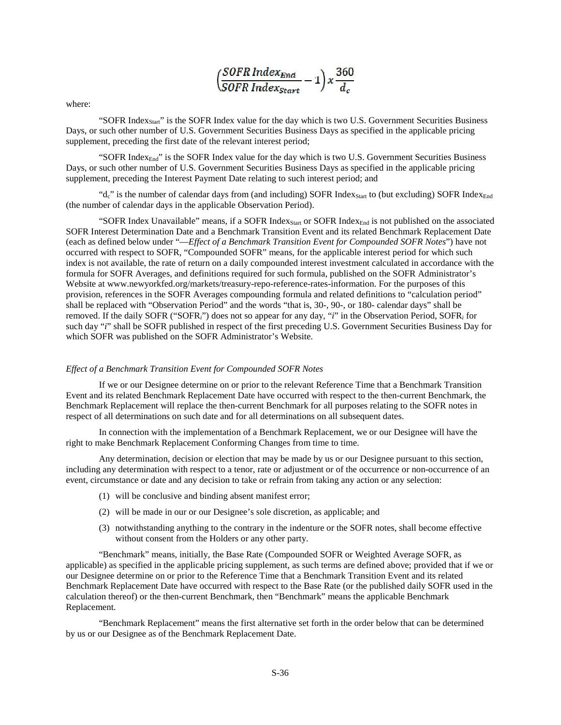| / SOFR Index <sub>Fnd</sub> | -360<br>$1\mathbf{x}$ |
|-----------------------------|-----------------------|
| SOFR Index <sub>Start</sub> |                       |

where:

"SOFR Index $_{\text{Start}}$ " is the SOFR Index value for the day which is two U.S. Government Securities Business Days, or such other number of U.S. Government Securities Business Days as specified in the applicable pricing supplement, preceding the first date of the relevant interest period;

"SOFR Index<sub>End</sub>" is the SOFR Index value for the day which is two U.S. Government Securities Business Days, or such other number of U.S. Government Securities Business Days as specified in the applicable pricing supplement, preceding the Interest Payment Date relating to such interest period; and

" $d_c$ " is the number of calendar days from (and including) SOFR Index<sub>Start</sub> to (but excluding) SOFR Index $_{End}$ (the number of calendar days in the applicable Observation Period).

"SOFR Index Unavailable" means, if a SOFR Index $_{\text{Start}}$  or SOFR Index $_{\text{End}}$  is not published on the associated SOFR Interest Determination Date and a Benchmark Transition Event and its related Benchmark Replacement Date (each as defined below under "—*Effect of a Benchmark Transition Event for Compounded SOFR Notes*") have not occurred with respect to SOFR, "Compounded SOFR" means, for the applicable interest period for which such index is not available, the rate of return on a daily compounded interest investment calculated in accordance with the formula for SOFR Averages, and definitions required for such formula, published on the SOFR Administrator's Website at www.newyorkfed.org/markets/treasury-repo-reference-rates-information. For the purposes of this provision, references in the SOFR Averages compounding formula and related definitions to "calculation period" shall be replaced with "Observation Period" and the words "that is, 30-, 90-, or 180- calendar days" shall be removed. If the daily SOFR ("SOFR*i*") does not so appear for any day, "*i*" in the Observation Period, SOFR*i* for such day "*i*" shall be SOFR published in respect of the first preceding U.S. Government Securities Business Day for which SOFR was published on the SOFR Administrator's Website.

#### *Effect of a Benchmark Transition Event for Compounded SOFR Notes*

If we or our Designee determine on or prior to the relevant Reference Time that a Benchmark Transition Event and its related Benchmark Replacement Date have occurred with respect to the then-current Benchmark, the Benchmark Replacement will replace the then-current Benchmark for all purposes relating to the SOFR notes in respect of all determinations on such date and for all determinations on all subsequent dates.

In connection with the implementation of a Benchmark Replacement, we or our Designee will have the right to make Benchmark Replacement Conforming Changes from time to time.

Any determination, decision or election that may be made by us or our Designee pursuant to this section, including any determination with respect to a tenor, rate or adjustment or of the occurrence or non-occurrence of an event, circumstance or date and any decision to take or refrain from taking any action or any selection:

- (1) will be conclusive and binding absent manifest error;
- (2) will be made in our or our Designee's sole discretion, as applicable; and
- (3) notwithstanding anything to the contrary in the indenture or the SOFR notes, shall become effective without consent from the Holders or any other party.

"Benchmark" means, initially, the Base Rate (Compounded SOFR or Weighted Average SOFR, as applicable) as specified in the applicable pricing supplement, as such terms are defined above; provided that if we or our Designee determine on or prior to the Reference Time that a Benchmark Transition Event and its related Benchmark Replacement Date have occurred with respect to the Base Rate (or the published daily SOFR used in the calculation thereof) or the then-current Benchmark, then "Benchmark" means the applicable Benchmark Replacement.

"Benchmark Replacement" means the first alternative set forth in the order below that can be determined by us or our Designee as of the Benchmark Replacement Date.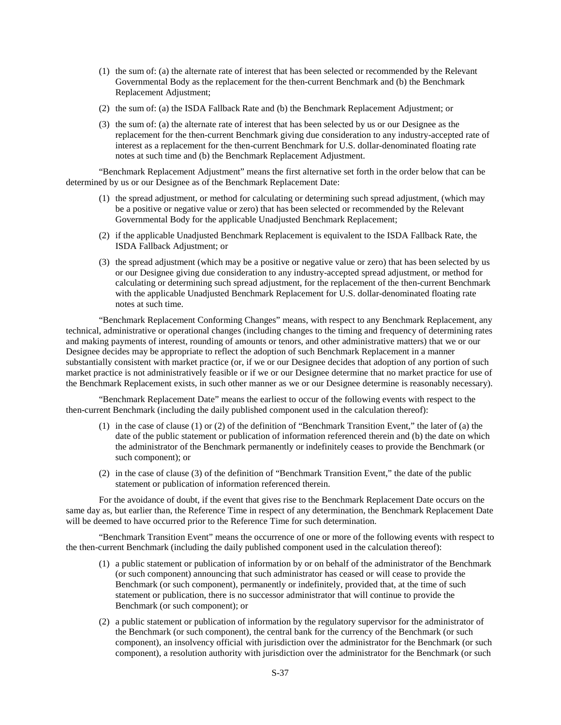- (1) the sum of: (a) the alternate rate of interest that has been selected or recommended by the Relevant Governmental Body as the replacement for the then-current Benchmark and (b) the Benchmark Replacement Adjustment;
- (2) the sum of: (a) the ISDA Fallback Rate and (b) the Benchmark Replacement Adjustment; or
- (3) the sum of: (a) the alternate rate of interest that has been selected by us or our Designee as the replacement for the then-current Benchmark giving due consideration to any industry-accepted rate of interest as a replacement for the then-current Benchmark for U.S. dollar-denominated floating rate notes at such time and (b) the Benchmark Replacement Adjustment.

"Benchmark Replacement Adjustment" means the first alternative set forth in the order below that can be determined by us or our Designee as of the Benchmark Replacement Date:

- (1) the spread adjustment, or method for calculating or determining such spread adjustment, (which may be a positive or negative value or zero) that has been selected or recommended by the Relevant Governmental Body for the applicable Unadjusted Benchmark Replacement;
- (2) if the applicable Unadjusted Benchmark Replacement is equivalent to the ISDA Fallback Rate, the ISDA Fallback Adjustment; or
- (3) the spread adjustment (which may be a positive or negative value or zero) that has been selected by us or our Designee giving due consideration to any industry-accepted spread adjustment, or method for calculating or determining such spread adjustment, for the replacement of the then-current Benchmark with the applicable Unadjusted Benchmark Replacement for U.S. dollar-denominated floating rate notes at such time.

"Benchmark Replacement Conforming Changes" means, with respect to any Benchmark Replacement, any technical, administrative or operational changes (including changes to the timing and frequency of determining rates and making payments of interest, rounding of amounts or tenors, and other administrative matters) that we or our Designee decides may be appropriate to reflect the adoption of such Benchmark Replacement in a manner substantially consistent with market practice (or, if we or our Designee decides that adoption of any portion of such market practice is not administratively feasible or if we or our Designee determine that no market practice for use of the Benchmark Replacement exists, in such other manner as we or our Designee determine is reasonably necessary).

"Benchmark Replacement Date" means the earliest to occur of the following events with respect to the then-current Benchmark (including the daily published component used in the calculation thereof):

- (1) in the case of clause (1) or (2) of the definition of "Benchmark Transition Event," the later of (a) the date of the public statement or publication of information referenced therein and (b) the date on which the administrator of the Benchmark permanently or indefinitely ceases to provide the Benchmark (or such component); or
- (2) in the case of clause (3) of the definition of "Benchmark Transition Event," the date of the public statement or publication of information referenced therein.

For the avoidance of doubt, if the event that gives rise to the Benchmark Replacement Date occurs on the same day as, but earlier than, the Reference Time in respect of any determination, the Benchmark Replacement Date will be deemed to have occurred prior to the Reference Time for such determination.

"Benchmark Transition Event" means the occurrence of one or more of the following events with respect to the then-current Benchmark (including the daily published component used in the calculation thereof):

- (1) a public statement or publication of information by or on behalf of the administrator of the Benchmark (or such component) announcing that such administrator has ceased or will cease to provide the Benchmark (or such component), permanently or indefinitely, provided that, at the time of such statement or publication, there is no successor administrator that will continue to provide the Benchmark (or such component); or
- (2) a public statement or publication of information by the regulatory supervisor for the administrator of the Benchmark (or such component), the central bank for the currency of the Benchmark (or such component), an insolvency official with jurisdiction over the administrator for the Benchmark (or such component), a resolution authority with jurisdiction over the administrator for the Benchmark (or such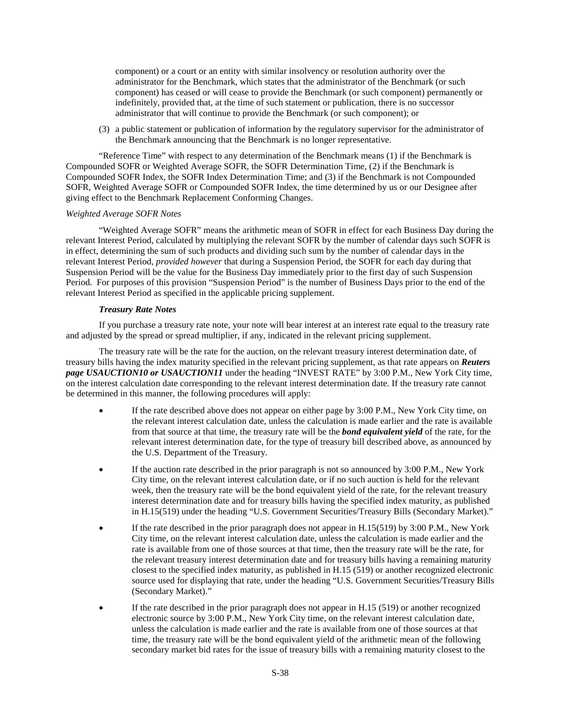component) or a court or an entity with similar insolvency or resolution authority over the administrator for the Benchmark, which states that the administrator of the Benchmark (or such component) has ceased or will cease to provide the Benchmark (or such component) permanently or indefinitely, provided that, at the time of such statement or publication, there is no successor administrator that will continue to provide the Benchmark (or such component); or

(3) a public statement or publication of information by the regulatory supervisor for the administrator of the Benchmark announcing that the Benchmark is no longer representative.

"Reference Time" with respect to any determination of the Benchmark means (1) if the Benchmark is Compounded SOFR or Weighted Average SOFR, the SOFR Determination Time, (2) if the Benchmark is Compounded SOFR Index, the SOFR Index Determination Time; and (3) if the Benchmark is not Compounded SOFR, Weighted Average SOFR or Compounded SOFR Index, the time determined by us or our Designee after giving effect to the Benchmark Replacement Conforming Changes.

#### *Weighted Average SOFR Notes*

"Weighted Average SOFR" means the arithmetic mean of SOFR in effect for each Business Day during the relevant Interest Period, calculated by multiplying the relevant SOFR by the number of calendar days such SOFR is in effect, determining the sum of such products and dividing such sum by the number of calendar days in the relevant Interest Period, *provided however* that during a Suspension Period, the SOFR for each day during that Suspension Period will be the value for the Business Day immediately prior to the first day of such Suspension Period. For purposes of this provision "Suspension Period" is the number of Business Days prior to the end of the relevant Interest Period as specified in the applicable pricing supplement.

#### *Treasury Rate Notes*

If you purchase a treasury rate note, your note will bear interest at an interest rate equal to the treasury rate and adjusted by the spread or spread multiplier, if any, indicated in the relevant pricing supplement.

The treasury rate will be the rate for the auction, on the relevant treasury interest determination date, of treasury bills having the index maturity specified in the relevant pricing supplement, as that rate appears on *Reuters page USAUCTION10 or USAUCTION11* under the heading "INVEST RATE" by 3:00 P.M., New York City time, on the interest calculation date corresponding to the relevant interest determination date. If the treasury rate cannot be determined in this manner, the following procedures will apply:

- If the rate described above does not appear on either page by 3:00 P.M., New York City time, on the relevant interest calculation date, unless the calculation is made earlier and the rate is available from that source at that time, the treasury rate will be the *bond equivalent yield* of the rate, for the relevant interest determination date, for the type of treasury bill described above, as announced by the U.S. Department of the Treasury.
- If the auction rate described in the prior paragraph is not so announced by 3:00 P.M., New York City time, on the relevant interest calculation date, or if no such auction is held for the relevant week, then the treasury rate will be the bond equivalent yield of the rate, for the relevant treasury interest determination date and for treasury bills having the specified index maturity, as published in H.15(519) under the heading "U.S. Government Securities/Treasury Bills (Secondary Market)."
- If the rate described in the prior paragraph does not appear in H.15(519) by 3:00 P.M., New York City time, on the relevant interest calculation date, unless the calculation is made earlier and the rate is available from one of those sources at that time, then the treasury rate will be the rate, for the relevant treasury interest determination date and for treasury bills having a remaining maturity closest to the specified index maturity, as published in H.15 (519) or another recognized electronic source used for displaying that rate, under the heading "U.S. Government Securities/Treasury Bills (Secondary Market)."
- If the rate described in the prior paragraph does not appear in H.15 (519) or another recognized electronic source by 3:00 P.M., New York City time, on the relevant interest calculation date, unless the calculation is made earlier and the rate is available from one of those sources at that time, the treasury rate will be the bond equivalent yield of the arithmetic mean of the following secondary market bid rates for the issue of treasury bills with a remaining maturity closest to the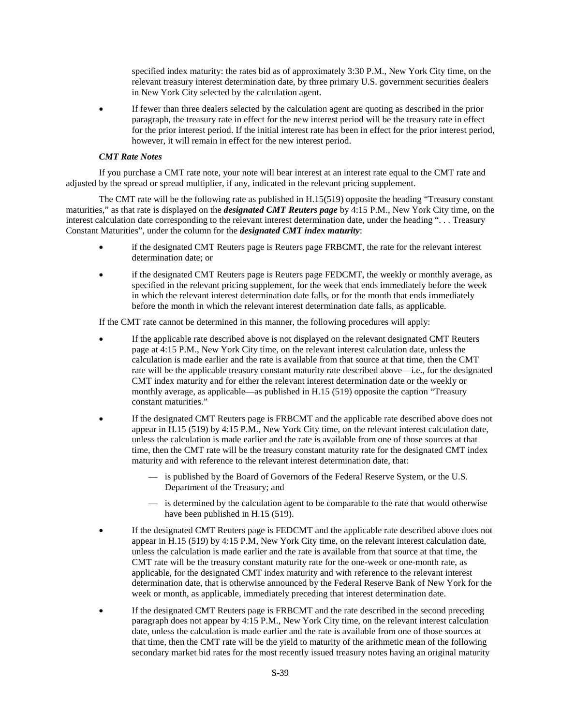specified index maturity: the rates bid as of approximately 3:30 P.M., New York City time, on the relevant treasury interest determination date, by three primary U.S. government securities dealers in New York City selected by the calculation agent.

 If fewer than three dealers selected by the calculation agent are quoting as described in the prior paragraph, the treasury rate in effect for the new interest period will be the treasury rate in effect for the prior interest period. If the initial interest rate has been in effect for the prior interest period, however, it will remain in effect for the new interest period.

#### *CMT Rate Notes*

If you purchase a CMT rate note, your note will bear interest at an interest rate equal to the CMT rate and adjusted by the spread or spread multiplier, if any, indicated in the relevant pricing supplement.

The CMT rate will be the following rate as published in H.15(519) opposite the heading "Treasury constant maturities," as that rate is displayed on the *designated CMT Reuters page* by 4:15 P.M., New York City time, on the interest calculation date corresponding to the relevant interest determination date, under the heading ". . . Treasury Constant Maturities", under the column for the *designated CMT index maturity*:

- if the designated CMT Reuters page is Reuters page FRBCMT, the rate for the relevant interest determination date; or
- if the designated CMT Reuters page is Reuters page FEDCMT, the weekly or monthly average, as specified in the relevant pricing supplement, for the week that ends immediately before the week in which the relevant interest determination date falls, or for the month that ends immediately before the month in which the relevant interest determination date falls, as applicable.

If the CMT rate cannot be determined in this manner, the following procedures will apply:

- If the applicable rate described above is not displayed on the relevant designated CMT Reuters page at 4:15 P.M., New York City time, on the relevant interest calculation date, unless the calculation is made earlier and the rate is available from that source at that time, then the CMT rate will be the applicable treasury constant maturity rate described above—i.e., for the designated CMT index maturity and for either the relevant interest determination date or the weekly or monthly average, as applicable—as published in H.15 (519) opposite the caption "Treasury constant maturities."
- If the designated CMT Reuters page is FRBCMT and the applicable rate described above does not appear in H.15 (519) by 4:15 P.M., New York City time, on the relevant interest calculation date, unless the calculation is made earlier and the rate is available from one of those sources at that time, then the CMT rate will be the treasury constant maturity rate for the designated CMT index maturity and with reference to the relevant interest determination date, that:
	- is published by the Board of Governors of the Federal Reserve System, or the U.S. Department of the Treasury; and
	- is determined by the calculation agent to be comparable to the rate that would otherwise have been published in H.15 (519).
- If the designated CMT Reuters page is FEDCMT and the applicable rate described above does not appear in H.15 (519) by 4:15 P.M, New York City time, on the relevant interest calculation date, unless the calculation is made earlier and the rate is available from that source at that time, the CMT rate will be the treasury constant maturity rate for the one-week or one-month rate, as applicable, for the designated CMT index maturity and with reference to the relevant interest determination date, that is otherwise announced by the Federal Reserve Bank of New York for the week or month, as applicable, immediately preceding that interest determination date.
- If the designated CMT Reuters page is FRBCMT and the rate described in the second preceding paragraph does not appear by 4:15 P.M., New York City time, on the relevant interest calculation date, unless the calculation is made earlier and the rate is available from one of those sources at that time, then the CMT rate will be the yield to maturity of the arithmetic mean of the following secondary market bid rates for the most recently issued treasury notes having an original maturity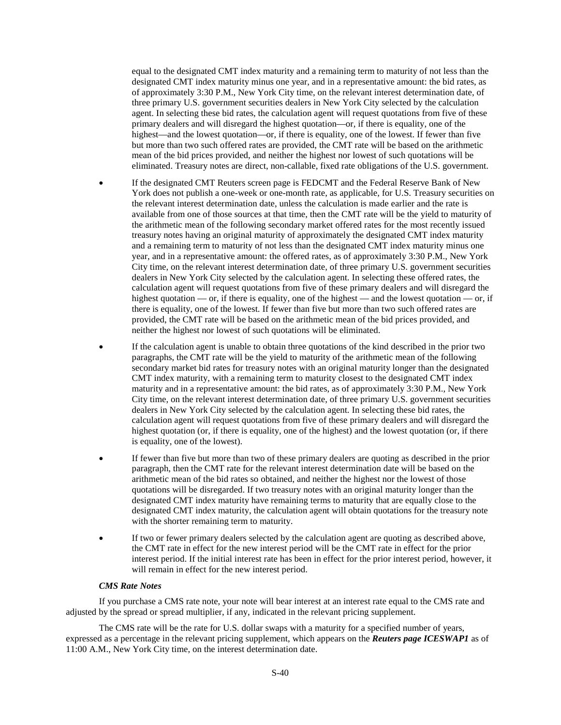equal to the designated CMT index maturity and a remaining term to maturity of not less than the designated CMT index maturity minus one year, and in a representative amount: the bid rates, as of approximately 3:30 P.M., New York City time, on the relevant interest determination date, of three primary U.S. government securities dealers in New York City selected by the calculation agent. In selecting these bid rates, the calculation agent will request quotations from five of these primary dealers and will disregard the highest quotation—or, if there is equality, one of the highest—and the lowest quotation—or, if there is equality, one of the lowest. If fewer than five but more than two such offered rates are provided, the CMT rate will be based on the arithmetic mean of the bid prices provided, and neither the highest nor lowest of such quotations will be eliminated. Treasury notes are direct, non-callable, fixed rate obligations of the U.S. government.

- If the designated CMT Reuters screen page is FEDCMT and the Federal Reserve Bank of New York does not publish a one-week or one-month rate, as applicable, for U.S. Treasury securities on the relevant interest determination date, unless the calculation is made earlier and the rate is available from one of those sources at that time, then the CMT rate will be the yield to maturity of the arithmetic mean of the following secondary market offered rates for the most recently issued treasury notes having an original maturity of approximately the designated CMT index maturity and a remaining term to maturity of not less than the designated CMT index maturity minus one year, and in a representative amount: the offered rates, as of approximately 3:30 P.M., New York City time, on the relevant interest determination date, of three primary U.S. government securities dealers in New York City selected by the calculation agent. In selecting these offered rates, the calculation agent will request quotations from five of these primary dealers and will disregard the highest quotation — or, if there is equality, one of the highest — and the lowest quotation — or, if there is equality, one of the lowest. If fewer than five but more than two such offered rates are provided, the CMT rate will be based on the arithmetic mean of the bid prices provided, and neither the highest nor lowest of such quotations will be eliminated.
- If the calculation agent is unable to obtain three quotations of the kind described in the prior two paragraphs, the CMT rate will be the yield to maturity of the arithmetic mean of the following secondary market bid rates for treasury notes with an original maturity longer than the designated CMT index maturity, with a remaining term to maturity closest to the designated CMT index maturity and in a representative amount: the bid rates, as of approximately 3:30 P.M., New York City time, on the relevant interest determination date, of three primary U.S. government securities dealers in New York City selected by the calculation agent. In selecting these bid rates, the calculation agent will request quotations from five of these primary dealers and will disregard the highest quotation (or, if there is equality, one of the highest) and the lowest quotation (or, if there is equality, one of the lowest).
- If fewer than five but more than two of these primary dealers are quoting as described in the prior paragraph, then the CMT rate for the relevant interest determination date will be based on the arithmetic mean of the bid rates so obtained, and neither the highest nor the lowest of those quotations will be disregarded. If two treasury notes with an original maturity longer than the designated CMT index maturity have remaining terms to maturity that are equally close to the designated CMT index maturity, the calculation agent will obtain quotations for the treasury note with the shorter remaining term to maturity.
- If two or fewer primary dealers selected by the calculation agent are quoting as described above, the CMT rate in effect for the new interest period will be the CMT rate in effect for the prior interest period. If the initial interest rate has been in effect for the prior interest period, however, it will remain in effect for the new interest period.

#### *CMS Rate Notes*

If you purchase a CMS rate note, your note will bear interest at an interest rate equal to the CMS rate and adjusted by the spread or spread multiplier, if any, indicated in the relevant pricing supplement.

The CMS rate will be the rate for U.S. dollar swaps with a maturity for a specified number of years, expressed as a percentage in the relevant pricing supplement, which appears on the *Reuters page ICESWAP1* as of 11:00 A.M., New York City time, on the interest determination date.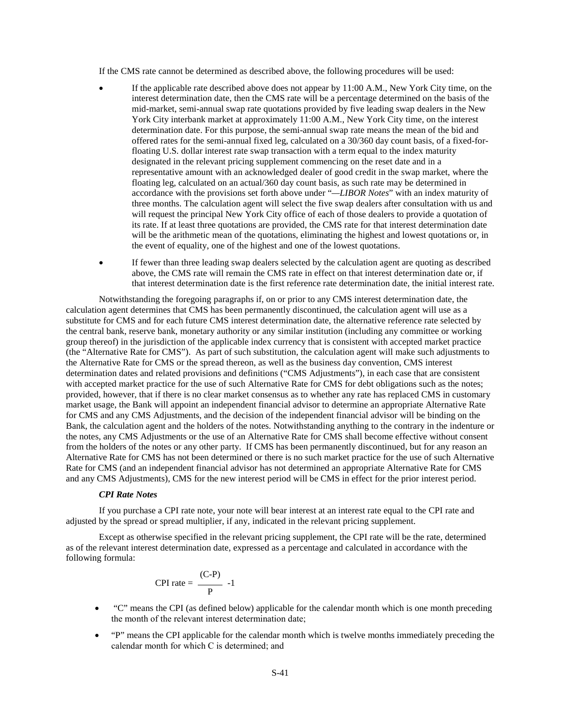If the CMS rate cannot be determined as described above, the following procedures will be used:

- If the applicable rate described above does not appear by 11:00 A.M., New York City time, on the interest determination date, then the CMS rate will be a percentage determined on the basis of the mid-market, semi-annual swap rate quotations provided by five leading swap dealers in the New York City interbank market at approximately 11:00 A.M., New York City time, on the interest determination date. For this purpose, the semi-annual swap rate means the mean of the bid and offered rates for the semi-annual fixed leg, calculated on a 30/360 day count basis, of a fixed-forfloating U.S. dollar interest rate swap transaction with a term equal to the index maturity designated in the relevant pricing supplement commencing on the reset date and in a representative amount with an acknowledged dealer of good credit in the swap market, where the floating leg, calculated on an actual/360 day count basis, as such rate may be determined in accordance with the provisions set forth above under "*—LIBOR Notes*" with an index maturity of three months. The calculation agent will select the five swap dealers after consultation with us and will request the principal New York City office of each of those dealers to provide a quotation of its rate. If at least three quotations are provided, the CMS rate for that interest determination date will be the arithmetic mean of the quotations, eliminating the highest and lowest quotations or, in the event of equality, one of the highest and one of the lowest quotations.
- If fewer than three leading swap dealers selected by the calculation agent are quoting as described above, the CMS rate will remain the CMS rate in effect on that interest determination date or, if that interest determination date is the first reference rate determination date, the initial interest rate.

Notwithstanding the foregoing paragraphs if, on or prior to any CMS interest determination date, the calculation agent determines that CMS has been permanently discontinued, the calculation agent will use as a substitute for CMS and for each future CMS interest determination date, the alternative reference rate selected by the central bank, reserve bank, monetary authority or any similar institution (including any committee or working group thereof) in the jurisdiction of the applicable index currency that is consistent with accepted market practice (the "Alternative Rate for CMS"). As part of such substitution, the calculation agent will make such adjustments to the Alternative Rate for CMS or the spread thereon, as well as the business day convention, CMS interest determination dates and related provisions and definitions ("CMS Adjustments"), in each case that are consistent with accepted market practice for the use of such Alternative Rate for CMS for debt obligations such as the notes; provided, however, that if there is no clear market consensus as to whether any rate has replaced CMS in customary market usage, the Bank will appoint an independent financial advisor to determine an appropriate Alternative Rate for CMS and any CMS Adjustments, and the decision of the independent financial advisor will be binding on the Bank, the calculation agent and the holders of the notes. Notwithstanding anything to the contrary in the indenture or the notes, any CMS Adjustments or the use of an Alternative Rate for CMS shall become effective without consent from the holders of the notes or any other party. If CMS has been permanently discontinued, but for any reason an Alternative Rate for CMS has not been determined or there is no such market practice for the use of such Alternative Rate for CMS (and an independent financial advisor has not determined an appropriate Alternative Rate for CMS and any CMS Adjustments), CMS for the new interest period will be CMS in effect for the prior interest period.

#### *CPI Rate Notes*

If you purchase a CPI rate note, your note will bear interest at an interest rate equal to the CPI rate and adjusted by the spread or spread multiplier, if any, indicated in the relevant pricing supplement.

Except as otherwise specified in the relevant pricing supplement, the CPI rate will be the rate, determined as of the relevant interest determination date, expressed as a percentage and calculated in accordance with the following formula:

$$
CPI\ rate = \frac{(C-P)}{P} -1
$$

- "C" means the CPI (as defined below) applicable for the calendar month which is one month preceding the month of the relevant interest determination date;
- "P" means the CPI applicable for the calendar month which is twelve months immediately preceding the calendar month for which C is determined; and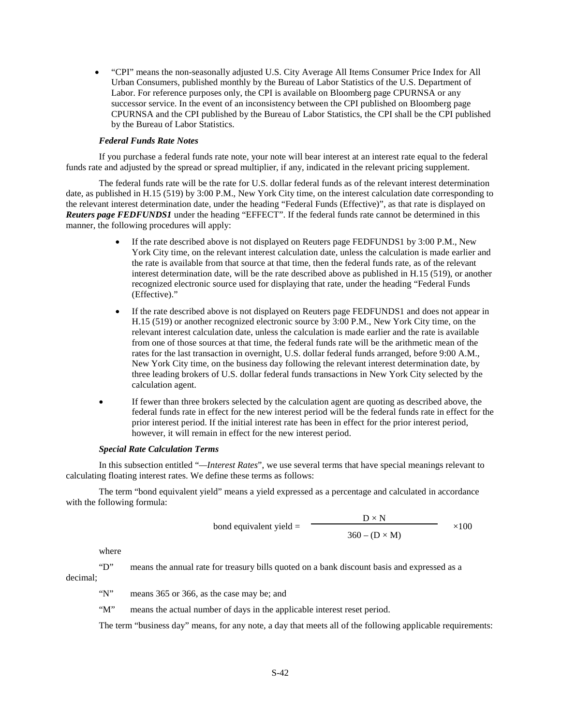"CPI" means the non-seasonally adjusted U.S. City Average All Items Consumer Price Index for All Urban Consumers, published monthly by the Bureau of Labor Statistics of the U.S. Department of Labor. For reference purposes only, the CPI is available on Bloomberg page CPURNSA or any successor service. In the event of an inconsistency between the CPI published on Bloomberg page CPURNSA and the CPI published by the Bureau of Labor Statistics, the CPI shall be the CPI published by the Bureau of Labor Statistics.

# *Federal Funds Rate Notes*

If you purchase a federal funds rate note, your note will bear interest at an interest rate equal to the federal funds rate and adjusted by the spread or spread multiplier, if any, indicated in the relevant pricing supplement.

The federal funds rate will be the rate for U.S. dollar federal funds as of the relevant interest determination date, as published in H.15 (519) by 3:00 P.M., New York City time, on the interest calculation date corresponding to the relevant interest determination date, under the heading "Federal Funds (Effective)", as that rate is displayed on *Reuters page FEDFUNDS1* under the heading "EFFECT". If the federal funds rate cannot be determined in this manner, the following procedures will apply:

- If the rate described above is not displayed on Reuters page FEDFUNDS1 by 3:00 P.M., New York City time, on the relevant interest calculation date, unless the calculation is made earlier and the rate is available from that source at that time, then the federal funds rate, as of the relevant interest determination date, will be the rate described above as published in H.15 (519), or another recognized electronic source used for displaying that rate, under the heading "Federal Funds (Effective)."
- If the rate described above is not displayed on Reuters page FEDFUNDS1 and does not appear in H.15 (519) or another recognized electronic source by 3:00 P.M., New York City time, on the relevant interest calculation date, unless the calculation is made earlier and the rate is available from one of those sources at that time, the federal funds rate will be the arithmetic mean of the rates for the last transaction in overnight, U.S. dollar federal funds arranged, before 9:00 A.M., New York City time, on the business day following the relevant interest determination date, by three leading brokers of U.S. dollar federal funds transactions in New York City selected by the calculation agent.
- If fewer than three brokers selected by the calculation agent are quoting as described above, the federal funds rate in effect for the new interest period will be the federal funds rate in effect for the prior interest period. If the initial interest rate has been in effect for the prior interest period, however, it will remain in effect for the new interest period.

#### *Special Rate Calculation Terms*

In this subsection entitled "*—Interest Rates*", we use several terms that have special meanings relevant to calculating floating interest rates. We define these terms as follows:

The term "bond equivalent yield" means a yield expressed as a percentage and calculated in accordance with the following formula:

bond equivalent yield = 
$$
\frac{D \times N}{360 - (D \times M)}
$$
 ×100

where

"D" means the annual rate for treasury bills quoted on a bank discount basis and expressed as a decimal;

"N" means 365 or 366, as the case may be; and

"M" means the actual number of days in the applicable interest reset period.

The term "business day" means, for any note, a day that meets all of the following applicable requirements: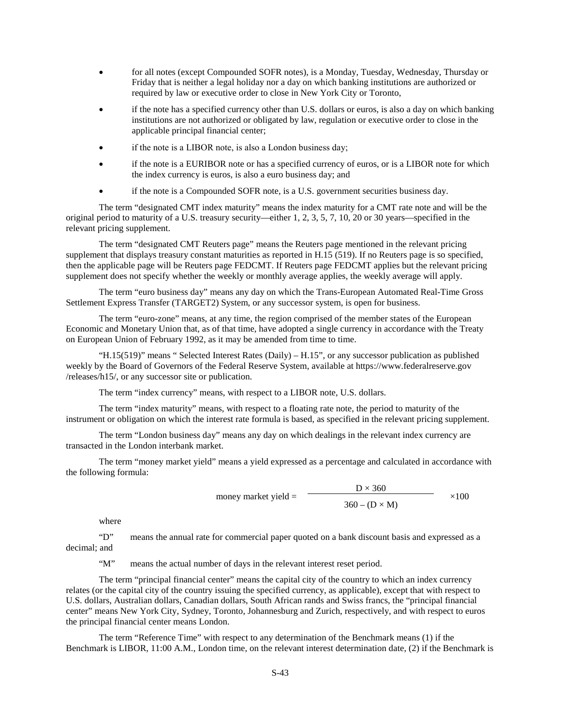- for all notes (except Compounded SOFR notes), is a Monday, Tuesday, Wednesday, Thursday or Friday that is neither a legal holiday nor a day on which banking institutions are authorized or required by law or executive order to close in New York City or Toronto,
- if the note has a specified currency other than U.S. dollars or euros, is also a day on which banking institutions are not authorized or obligated by law, regulation or executive order to close in the applicable principal financial center;
- if the note is a LIBOR note, is also a London business day;
- if the note is a EURIBOR note or has a specified currency of euros, or is a LIBOR note for which the index currency is euros, is also a euro business day; and
- if the note is a Compounded SOFR note, is a U.S. government securities business day.

The term "designated CMT index maturity" means the index maturity for a CMT rate note and will be the original period to maturity of a U.S. treasury security—either 1, 2, 3, 5, 7, 10, 20 or 30 years—specified in the relevant pricing supplement.

The term "designated CMT Reuters page" means the Reuters page mentioned in the relevant pricing supplement that displays treasury constant maturities as reported in H.15 (519). If no Reuters page is so specified, then the applicable page will be Reuters page FEDCMT. If Reuters page FEDCMT applies but the relevant pricing supplement does not specify whether the weekly or monthly average applies, the weekly average will apply.

The term "euro business day" means any day on which the Trans-European Automated Real-Time Gross Settlement Express Transfer (TARGET2) System, or any successor system, is open for business.

The term "euro-zone" means, at any time, the region comprised of the member states of the European Economic and Monetary Union that, as of that time, have adopted a single currency in accordance with the Treaty on European Union of February 1992, as it may be amended from time to time.

"H.15(519)" means " Selected Interest Rates (Daily) – H.15", or any successor publication as published weekly by the Board of Governors of the Federal Reserve System, available at https://www.federalreserve.gov /releases/h15/, or any successor site or publication.

The term "index currency" means, with respect to a LIBOR note, U.S. dollars.

The term "index maturity" means, with respect to a floating rate note, the period to maturity of the instrument or obligation on which the interest rate formula is based, as specified in the relevant pricing supplement.

The term "London business day" means any day on which dealings in the relevant index currency are transacted in the London interbank market.

The term "money market yield" means a yield expressed as a percentage and calculated in accordance with the following formula:

money market yield =

\n
$$
\frac{D \times 360}{360 - (D \times M)} \times 100
$$

where

"D" means the annual rate for commercial paper quoted on a bank discount basis and expressed as a decimal; and

"M" means the actual number of days in the relevant interest reset period.

The term "principal financial center" means the capital city of the country to which an index currency relates (or the capital city of the country issuing the specified currency, as applicable), except that with respect to U.S. dollars, Australian dollars, Canadian dollars, South African rands and Swiss francs, the "principal financial center" means New York City, Sydney, Toronto, Johannesburg and Zurich, respectively, and with respect to euros the principal financial center means London.

The term "Reference Time" with respect to any determination of the Benchmark means (1) if the Benchmark is LIBOR, 11:00 A.M., London time, on the relevant interest determination date, (2) if the Benchmark is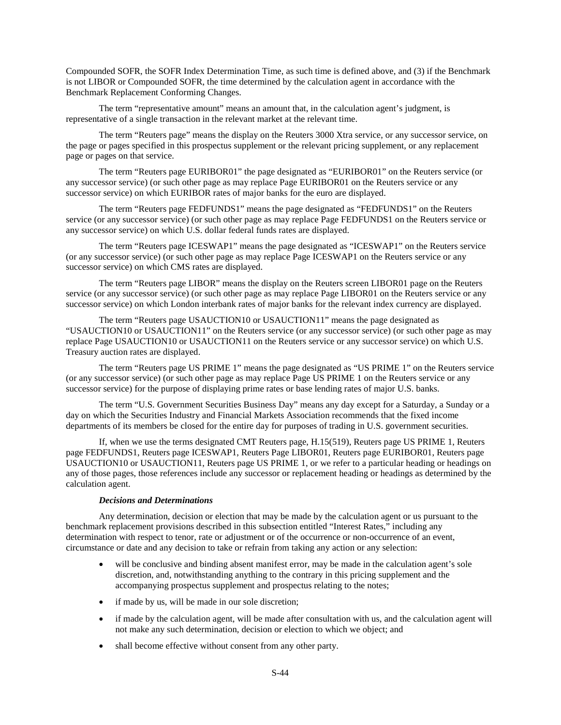Compounded SOFR, the SOFR Index Determination Time, as such time is defined above, and (3) if the Benchmark is not LIBOR or Compounded SOFR, the time determined by the calculation agent in accordance with the Benchmark Replacement Conforming Changes.

The term "representative amount" means an amount that, in the calculation agent's judgment, is representative of a single transaction in the relevant market at the relevant time.

The term "Reuters page" means the display on the Reuters 3000 Xtra service, or any successor service, on the page or pages specified in this prospectus supplement or the relevant pricing supplement, or any replacement page or pages on that service.

The term "Reuters page EURIBOR01" the page designated as "EURIBOR01" on the Reuters service (or any successor service) (or such other page as may replace Page EURIBOR01 on the Reuters service or any successor service) on which EURIBOR rates of major banks for the euro are displayed.

The term "Reuters page FEDFUNDS1" means the page designated as "FEDFUNDS1" on the Reuters service (or any successor service) (or such other page as may replace Page FEDFUNDS1 on the Reuters service or any successor service) on which U.S. dollar federal funds rates are displayed.

The term "Reuters page ICESWAP1" means the page designated as "ICESWAP1" on the Reuters service (or any successor service) (or such other page as may replace Page ICESWAP1 on the Reuters service or any successor service) on which CMS rates are displayed.

The term "Reuters page LIBOR" means the display on the Reuters screen LIBOR01 page on the Reuters service (or any successor service) (or such other page as may replace Page LIBOR01 on the Reuters service or any successor service) on which London interbank rates of major banks for the relevant index currency are displayed.

The term "Reuters page USAUCTION10 or USAUCTION11" means the page designated as "USAUCTION10 or USAUCTION11" on the Reuters service (or any successor service) (or such other page as may replace Page USAUCTION10 or USAUCTION11 on the Reuters service or any successor service) on which U.S. Treasury auction rates are displayed.

The term "Reuters page US PRIME 1" means the page designated as "US PRIME 1" on the Reuters service (or any successor service) (or such other page as may replace Page US PRIME 1 on the Reuters service or any successor service) for the purpose of displaying prime rates or base lending rates of major U.S. banks.

The term "U.S. Government Securities Business Day" means any day except for a Saturday, a Sunday or a day on which the Securities Industry and Financial Markets Association recommends that the fixed income departments of its members be closed for the entire day for purposes of trading in U.S. government securities.

If, when we use the terms designated CMT Reuters page, H.15(519), Reuters page US PRIME 1, Reuters page FEDFUNDS1, Reuters page ICESWAP1, Reuters Page LIBOR01, Reuters page EURIBOR01, Reuters page USAUCTION10 or USAUCTION11, Reuters page US PRIME 1, or we refer to a particular heading or headings on any of those pages, those references include any successor or replacement heading or headings as determined by the calculation agent.

#### *Decisions and Determinations*

Any determination, decision or election that may be made by the calculation agent or us pursuant to the benchmark replacement provisions described in this subsection entitled "Interest Rates," including any determination with respect to tenor, rate or adjustment or of the occurrence or non-occurrence of an event, circumstance or date and any decision to take or refrain from taking any action or any selection:

- will be conclusive and binding absent manifest error, may be made in the calculation agent's sole discretion, and, notwithstanding anything to the contrary in this pricing supplement and the accompanying prospectus supplement and prospectus relating to the notes;
- if made by us, will be made in our sole discretion;
- if made by the calculation agent, will be made after consultation with us, and the calculation agent will not make any such determination, decision or election to which we object; and
- shall become effective without consent from any other party.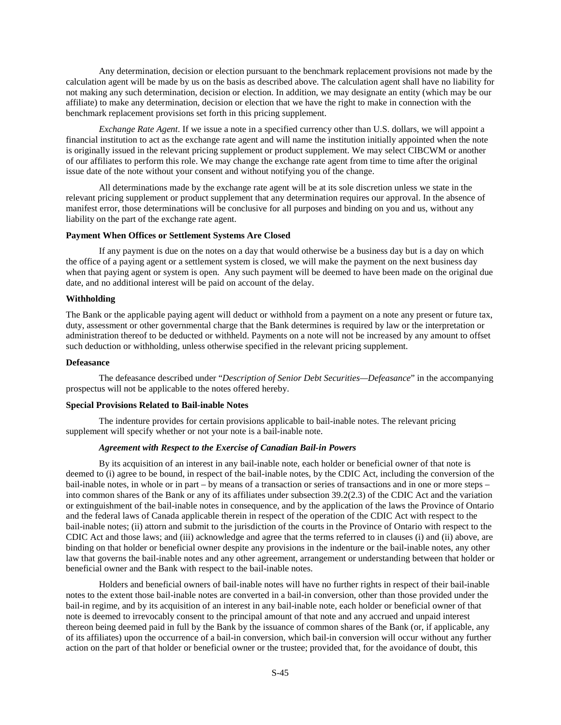Any determination, decision or election pursuant to the benchmark replacement provisions not made by the calculation agent will be made by us on the basis as described above. The calculation agent shall have no liability for not making any such determination, decision or election. In addition, we may designate an entity (which may be our affiliate) to make any determination, decision or election that we have the right to make in connection with the benchmark replacement provisions set forth in this pricing supplement.

*Exchange Rate Agent*. If we issue a note in a specified currency other than U.S. dollars, we will appoint a financial institution to act as the exchange rate agent and will name the institution initially appointed when the note is originally issued in the relevant pricing supplement or product supplement. We may select CIBCWM or another of our affiliates to perform this role. We may change the exchange rate agent from time to time after the original issue date of the note without your consent and without notifying you of the change.

All determinations made by the exchange rate agent will be at its sole discretion unless we state in the relevant pricing supplement or product supplement that any determination requires our approval. In the absence of manifest error, those determinations will be conclusive for all purposes and binding on you and us, without any liability on the part of the exchange rate agent.

#### **Payment When Offices or Settlement Systems Are Closed**

If any payment is due on the notes on a day that would otherwise be a business day but is a day on which the office of a paying agent or a settlement system is closed, we will make the payment on the next business day when that paying agent or system is open. Any such payment will be deemed to have been made on the original due date, and no additional interest will be paid on account of the delay.

#### **Withholding**

The Bank or the applicable paying agent will deduct or withhold from a payment on a note any present or future tax, duty, assessment or other governmental charge that the Bank determines is required by law or the interpretation or administration thereof to be deducted or withheld. Payments on a note will not be increased by any amount to offset such deduction or withholding, unless otherwise specified in the relevant pricing supplement.

## **Defeasance**

The defeasance described under "*Description of Senior Debt Securities—Defeasance*" in the accompanying prospectus will not be applicable to the notes offered hereby.

#### **Special Provisions Related to Bail-inable Notes**

 The indenture provides for certain provisions applicable to bail-inable notes. The relevant pricing supplement will specify whether or not your note is a bail-inable note.

# *Agreement with Respect to the Exercise of Canadian Bail-in Powers*

 By its acquisition of an interest in any bail-inable note, each holder or beneficial owner of that note is deemed to (i) agree to be bound, in respect of the bail-inable notes, by the CDIC Act, including the conversion of the bail-inable notes, in whole or in part – by means of a transaction or series of transactions and in one or more steps – into common shares of the Bank or any of its affiliates under subsection 39.2(2.3) of the CDIC Act and the variation or extinguishment of the bail-inable notes in consequence, and by the application of the laws the Province of Ontario and the federal laws of Canada applicable therein in respect of the operation of the CDIC Act with respect to the bail-inable notes; (ii) attorn and submit to the jurisdiction of the courts in the Province of Ontario with respect to the CDIC Act and those laws; and (iii) acknowledge and agree that the terms referred to in clauses (i) and (ii) above, are binding on that holder or beneficial owner despite any provisions in the indenture or the bail-inable notes, any other law that governs the bail-inable notes and any other agreement, arrangement or understanding between that holder or beneficial owner and the Bank with respect to the bail-inable notes.

 Holders and beneficial owners of bail-inable notes will have no further rights in respect of their bail-inable notes to the extent those bail-inable notes are converted in a bail-in conversion, other than those provided under the bail-in regime, and by its acquisition of an interest in any bail-inable note, each holder or beneficial owner of that note is deemed to irrevocably consent to the principal amount of that note and any accrued and unpaid interest thereon being deemed paid in full by the Bank by the issuance of common shares of the Bank (or, if applicable, any of its affiliates) upon the occurrence of a bail-in conversion, which bail-in conversion will occur without any further action on the part of that holder or beneficial owner or the trustee; provided that, for the avoidance of doubt, this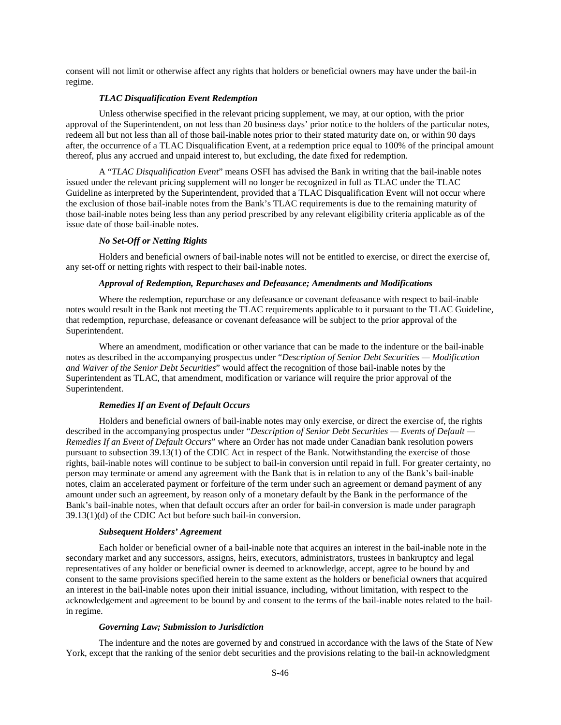consent will not limit or otherwise affect any rights that holders or beneficial owners may have under the bail-in regime.

# *TLAC Disqualification Event Redemption*

 Unless otherwise specified in the relevant pricing supplement, we may, at our option, with the prior approval of the Superintendent, on not less than 20 business days' prior notice to the holders of the particular notes, redeem all but not less than all of those bail-inable notes prior to their stated maturity date on, or within 90 days after, the occurrence of a TLAC Disqualification Event, at a redemption price equal to 100% of the principal amount thereof, plus any accrued and unpaid interest to, but excluding, the date fixed for redemption.

 A "*TLAC Disqualification Event*" means OSFI has advised the Bank in writing that the bail-inable notes issued under the relevant pricing supplement will no longer be recognized in full as TLAC under the TLAC Guideline as interpreted by the Superintendent, provided that a TLAC Disqualification Event will not occur where the exclusion of those bail-inable notes from the Bank's TLAC requirements is due to the remaining maturity of those bail-inable notes being less than any period prescribed by any relevant eligibility criteria applicable as of the issue date of those bail-inable notes.

### *No Set-Off or Netting Rights*

 Holders and beneficial owners of bail-inable notes will not be entitled to exercise, or direct the exercise of, any set-off or netting rights with respect to their bail-inable notes.

#### *Approval of Redemption, Repurchases and Defeasance; Amendments and Modifications*

 Where the redemption, repurchase or any defeasance or covenant defeasance with respect to bail-inable notes would result in the Bank not meeting the TLAC requirements applicable to it pursuant to the TLAC Guideline, that redemption, repurchase, defeasance or covenant defeasance will be subject to the prior approval of the Superintendent.

 Where an amendment, modification or other variance that can be made to the indenture or the bail-inable notes as described in the accompanying prospectus under "*Description of Senior Debt Securities — Modification and Waiver of the Senior Debt Securities*" would affect the recognition of those bail-inable notes by the Superintendent as TLAC, that amendment, modification or variance will require the prior approval of the Superintendent.

# *Remedies If an Event of Default Occurs*

 Holders and beneficial owners of bail-inable notes may only exercise, or direct the exercise of, the rights described in the accompanying prospectus under "*Description of Senior Debt Securities — Events of Default — Remedies If an Event of Default Occurs*" where an Order has not made under Canadian bank resolution powers pursuant to subsection 39.13(1) of the CDIC Act in respect of the Bank. Notwithstanding the exercise of those rights, bail-inable notes will continue to be subject to bail-in conversion until repaid in full. For greater certainty, no person may terminate or amend any agreement with the Bank that is in relation to any of the Bank's bail-inable notes, claim an accelerated payment or forfeiture of the term under such an agreement or demand payment of any amount under such an agreement, by reason only of a monetary default by the Bank in the performance of the Bank's bail-inable notes, when that default occurs after an order for bail-in conversion is made under paragraph 39.13(1)(d) of the CDIC Act but before such bail-in conversion.

#### *Subsequent Holders' Agreement*

 Each holder or beneficial owner of a bail-inable note that acquires an interest in the bail-inable note in the secondary market and any successors, assigns, heirs, executors, administrators, trustees in bankruptcy and legal representatives of any holder or beneficial owner is deemed to acknowledge, accept, agree to be bound by and consent to the same provisions specified herein to the same extent as the holders or beneficial owners that acquired an interest in the bail-inable notes upon their initial issuance, including, without limitation, with respect to the acknowledgement and agreement to be bound by and consent to the terms of the bail-inable notes related to the bailin regime.

#### *Governing Law; Submission to Jurisdiction*

The indenture and the notes are governed by and construed in accordance with the laws of the State of New York, except that the ranking of the senior debt securities and the provisions relating to the bail-in acknowledgment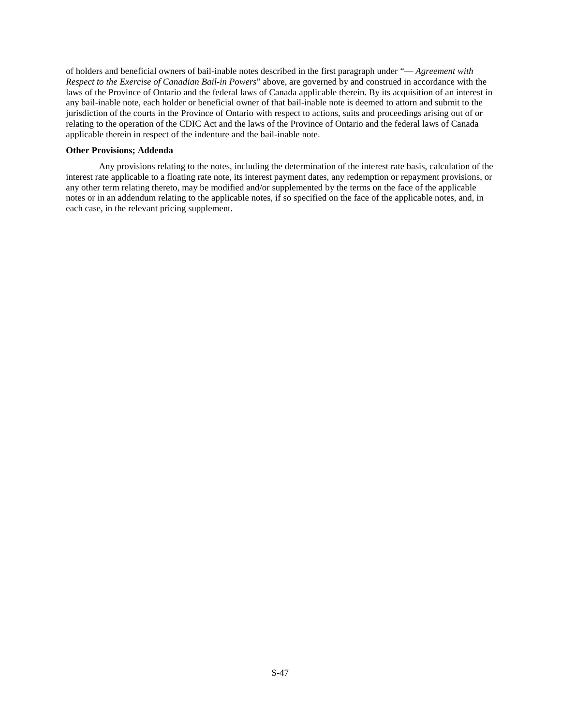of holders and beneficial owners of bail-inable notes described in the first paragraph under "— *Agreement with Respect to the Exercise of Canadian Bail-in Powers*" above, are governed by and construed in accordance with the laws of the Province of Ontario and the federal laws of Canada applicable therein. By its acquisition of an interest in any bail-inable note, each holder or beneficial owner of that bail-inable note is deemed to attorn and submit to the jurisdiction of the courts in the Province of Ontario with respect to actions, suits and proceedings arising out of or relating to the operation of the CDIC Act and the laws of the Province of Ontario and the federal laws of Canada applicable therein in respect of the indenture and the bail-inable note.

### **Other Provisions; Addenda**

Any provisions relating to the notes, including the determination of the interest rate basis, calculation of the interest rate applicable to a floating rate note, its interest payment dates, any redemption or repayment provisions, or any other term relating thereto, may be modified and/or supplemented by the terms on the face of the applicable notes or in an addendum relating to the applicable notes, if so specified on the face of the applicable notes, and, in each case, in the relevant pricing supplement.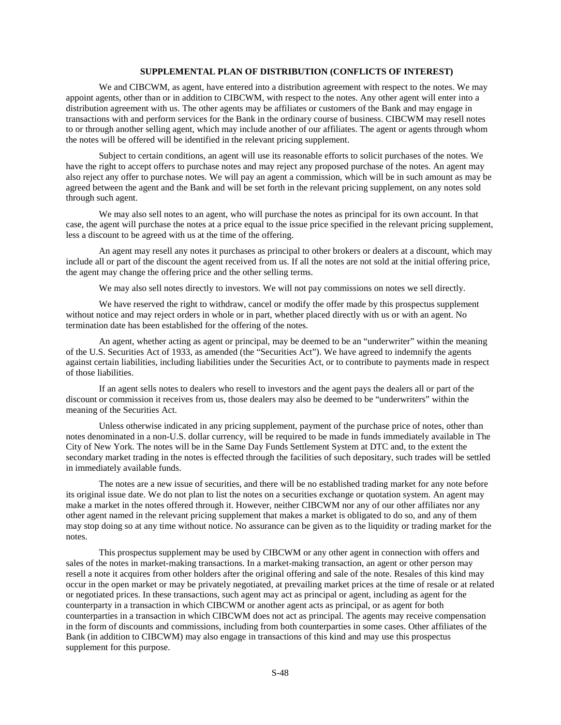# **SUPPLEMENTAL PLAN OF DISTRIBUTION (CONFLICTS OF INTEREST)**

We and CIBCWM, as agent, have entered into a distribution agreement with respect to the notes. We may appoint agents, other than or in addition to CIBCWM, with respect to the notes. Any other agent will enter into a distribution agreement with us. The other agents may be affiliates or customers of the Bank and may engage in transactions with and perform services for the Bank in the ordinary course of business. CIBCWM may resell notes to or through another selling agent, which may include another of our affiliates. The agent or agents through whom the notes will be offered will be identified in the relevant pricing supplement.

Subject to certain conditions, an agent will use its reasonable efforts to solicit purchases of the notes. We have the right to accept offers to purchase notes and may reject any proposed purchase of the notes. An agent may also reject any offer to purchase notes. We will pay an agent a commission, which will be in such amount as may be agreed between the agent and the Bank and will be set forth in the relevant pricing supplement, on any notes sold through such agent.

We may also sell notes to an agent, who will purchase the notes as principal for its own account. In that case, the agent will purchase the notes at a price equal to the issue price specified in the relevant pricing supplement, less a discount to be agreed with us at the time of the offering.

An agent may resell any notes it purchases as principal to other brokers or dealers at a discount, which may include all or part of the discount the agent received from us. If all the notes are not sold at the initial offering price, the agent may change the offering price and the other selling terms.

We may also sell notes directly to investors. We will not pay commissions on notes we sell directly.

We have reserved the right to withdraw, cancel or modify the offer made by this prospectus supplement without notice and may reject orders in whole or in part, whether placed directly with us or with an agent. No termination date has been established for the offering of the notes.

An agent, whether acting as agent or principal, may be deemed to be an "underwriter" within the meaning of the U.S. Securities Act of 1933, as amended (the "Securities Act"). We have agreed to indemnify the agents against certain liabilities, including liabilities under the Securities Act, or to contribute to payments made in respect of those liabilities.

If an agent sells notes to dealers who resell to investors and the agent pays the dealers all or part of the discount or commission it receives from us, those dealers may also be deemed to be "underwriters" within the meaning of the Securities Act.

Unless otherwise indicated in any pricing supplement, payment of the purchase price of notes, other than notes denominated in a non-U.S. dollar currency, will be required to be made in funds immediately available in The City of New York. The notes will be in the Same Day Funds Settlement System at DTC and, to the extent the secondary market trading in the notes is effected through the facilities of such depositary, such trades will be settled in immediately available funds.

The notes are a new issue of securities, and there will be no established trading market for any note before its original issue date. We do not plan to list the notes on a securities exchange or quotation system. An agent may make a market in the notes offered through it. However, neither CIBCWM nor any of our other affiliates nor any other agent named in the relevant pricing supplement that makes a market is obligated to do so, and any of them may stop doing so at any time without notice. No assurance can be given as to the liquidity or trading market for the notes.

This prospectus supplement may be used by CIBCWM or any other agent in connection with offers and sales of the notes in market-making transactions. In a market-making transaction, an agent or other person may resell a note it acquires from other holders after the original offering and sale of the note. Resales of this kind may occur in the open market or may be privately negotiated, at prevailing market prices at the time of resale or at related or negotiated prices. In these transactions, such agent may act as principal or agent, including as agent for the counterparty in a transaction in which CIBCWM or another agent acts as principal, or as agent for both counterparties in a transaction in which CIBCWM does not act as principal. The agents may receive compensation in the form of discounts and commissions, including from both counterparties in some cases. Other affiliates of the Bank (in addition to CIBCWM) may also engage in transactions of this kind and may use this prospectus supplement for this purpose.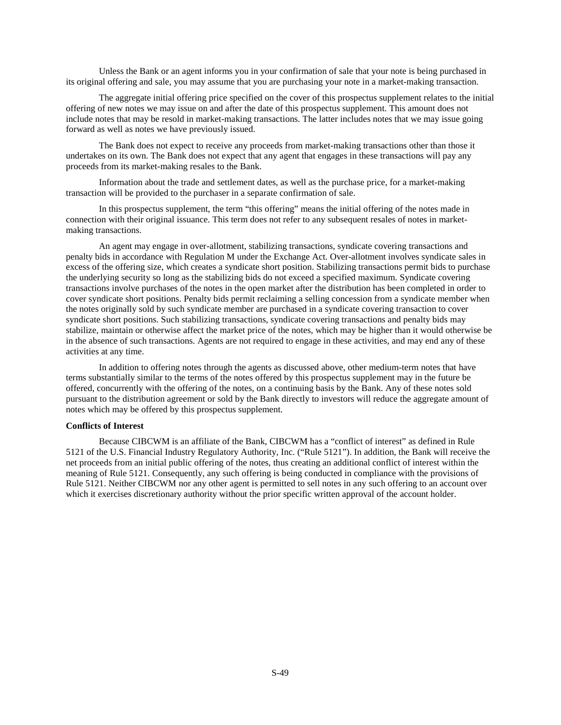Unless the Bank or an agent informs you in your confirmation of sale that your note is being purchased in its original offering and sale, you may assume that you are purchasing your note in a market-making transaction.

The aggregate initial offering price specified on the cover of this prospectus supplement relates to the initial offering of new notes we may issue on and after the date of this prospectus supplement. This amount does not include notes that may be resold in market-making transactions. The latter includes notes that we may issue going forward as well as notes we have previously issued.

The Bank does not expect to receive any proceeds from market-making transactions other than those it undertakes on its own. The Bank does not expect that any agent that engages in these transactions will pay any proceeds from its market-making resales to the Bank.

Information about the trade and settlement dates, as well as the purchase price, for a market-making transaction will be provided to the purchaser in a separate confirmation of sale.

In this prospectus supplement, the term "this offering" means the initial offering of the notes made in connection with their original issuance. This term does not refer to any subsequent resales of notes in marketmaking transactions.

An agent may engage in over-allotment, stabilizing transactions, syndicate covering transactions and penalty bids in accordance with Regulation M under the Exchange Act. Over-allotment involves syndicate sales in excess of the offering size, which creates a syndicate short position. Stabilizing transactions permit bids to purchase the underlying security so long as the stabilizing bids do not exceed a specified maximum. Syndicate covering transactions involve purchases of the notes in the open market after the distribution has been completed in order to cover syndicate short positions. Penalty bids permit reclaiming a selling concession from a syndicate member when the notes originally sold by such syndicate member are purchased in a syndicate covering transaction to cover syndicate short positions. Such stabilizing transactions, syndicate covering transactions and penalty bids may stabilize, maintain or otherwise affect the market price of the notes, which may be higher than it would otherwise be in the absence of such transactions. Agents are not required to engage in these activities, and may end any of these activities at any time.

In addition to offering notes through the agents as discussed above, other medium-term notes that have terms substantially similar to the terms of the notes offered by this prospectus supplement may in the future be offered, concurrently with the offering of the notes, on a continuing basis by the Bank. Any of these notes sold pursuant to the distribution agreement or sold by the Bank directly to investors will reduce the aggregate amount of notes which may be offered by this prospectus supplement.

#### **Conflicts of Interest**

Because CIBCWM is an affiliate of the Bank, CIBCWM has a "conflict of interest" as defined in Rule 5121 of the U.S. Financial Industry Regulatory Authority, Inc. ("Rule 5121"). In addition, the Bank will receive the net proceeds from an initial public offering of the notes, thus creating an additional conflict of interest within the meaning of Rule 5121. Consequently, any such offering is being conducted in compliance with the provisions of Rule 5121. Neither CIBCWM nor any other agent is permitted to sell notes in any such offering to an account over which it exercises discretionary authority without the prior specific written approval of the account holder.